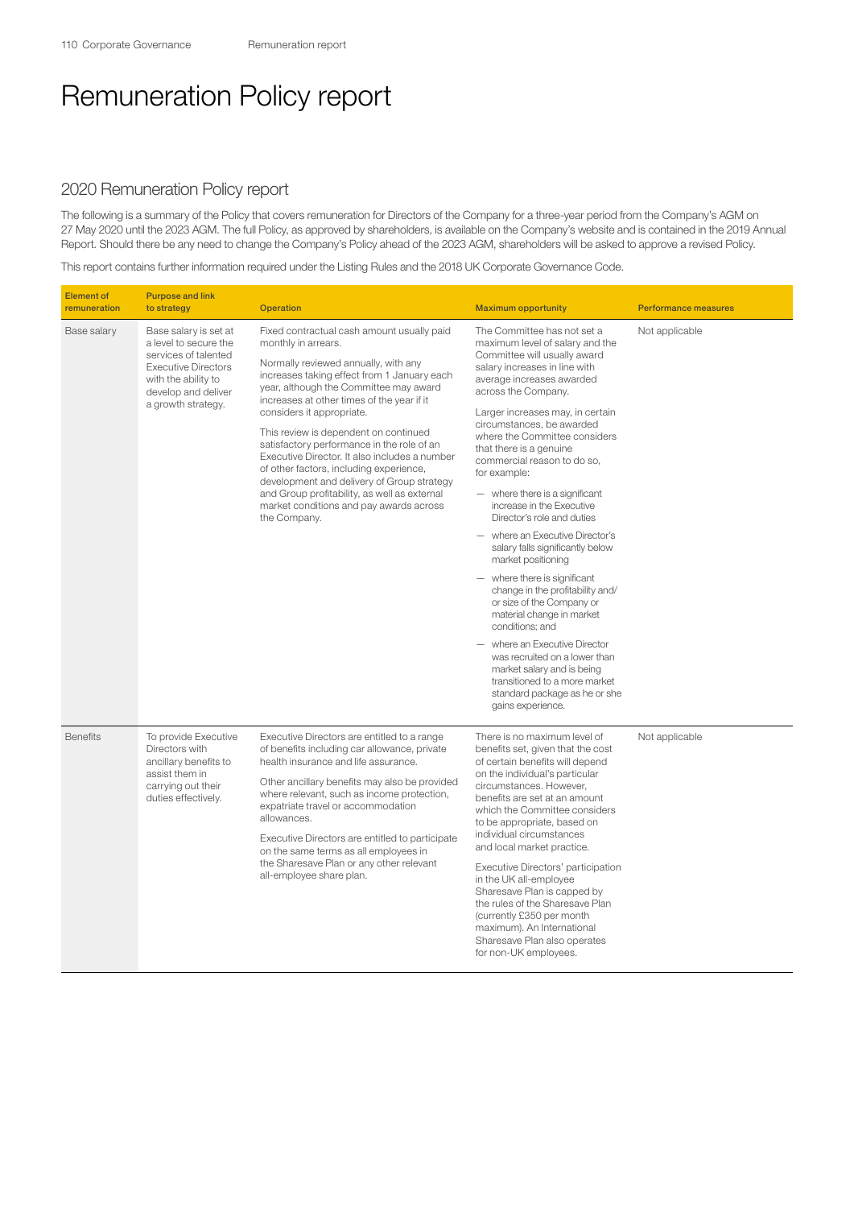## Remuneration Policy report

## 2020 Remuneration Policy report

The following is a summary of the Policy that covers remuneration for Directors of the Company for a three-year period from the Company's AGM on 27 May 2020 until the 2023 AGM. The full Policy, as approved by shareholders, is available on the Company's website and is contained in the 2019 Annual Report. Should there be any need to change the Company's Policy ahead of the 2023 AGM, shareholders will be asked to approve a revised Policy.

This report contains further information required under the Listing Rules and the 2018 UK Corporate Governance Code.

| <b>Element of</b><br>remuneration | <b>Purpose and link</b><br>to strategy                                                                                                                                   | <b>Operation</b>                                                                                                                                                                                                                                                                                                                                                                                                                                                                                                                                                                                                          | <b>Maximum opportunity</b>                                                                                                                                                                                                                                                                                                                                                                                                                                                                                                                                                                                                                                                                                                                                                                                                                                                                          | <b>Performance measures</b> |
|-----------------------------------|--------------------------------------------------------------------------------------------------------------------------------------------------------------------------|---------------------------------------------------------------------------------------------------------------------------------------------------------------------------------------------------------------------------------------------------------------------------------------------------------------------------------------------------------------------------------------------------------------------------------------------------------------------------------------------------------------------------------------------------------------------------------------------------------------------------|-----------------------------------------------------------------------------------------------------------------------------------------------------------------------------------------------------------------------------------------------------------------------------------------------------------------------------------------------------------------------------------------------------------------------------------------------------------------------------------------------------------------------------------------------------------------------------------------------------------------------------------------------------------------------------------------------------------------------------------------------------------------------------------------------------------------------------------------------------------------------------------------------------|-----------------------------|
| Base salary                       | Base salary is set at<br>a level to secure the<br>services of talented<br><b>Executive Directors</b><br>with the ability to<br>develop and deliver<br>a growth strategy. | Fixed contractual cash amount usually paid<br>monthly in arrears.<br>Normally reviewed annually, with any<br>increases taking effect from 1 January each<br>year, although the Committee may award<br>increases at other times of the year if it<br>considers it appropriate.<br>This review is dependent on continued<br>satisfactory performance in the role of an<br>Executive Director. It also includes a number<br>of other factors, including experience,<br>development and delivery of Group strategy<br>and Group profitability, as well as external<br>market conditions and pay awards across<br>the Company. | The Committee has not set a<br>maximum level of salary and the<br>Committee will usually award<br>salary increases in line with<br>average increases awarded<br>across the Company.<br>Larger increases may, in certain<br>circumstances, be awarded<br>where the Committee considers<br>that there is a genuine<br>commercial reason to do so,<br>for example:<br>- where there is a significant<br>increase in the Executive<br>Director's role and duties<br>- where an Executive Director's<br>salary falls significantly below<br>market positioning<br>$-$ where there is significant<br>change in the profitability and/<br>or size of the Company or<br>material change in market<br>conditions; and<br>- where an Executive Director<br>was recruited on a lower than<br>market salary and is being<br>transitioned to a more market<br>standard package as he or she<br>gains experience. | Not applicable              |
| <b>Benefits</b>                   | To provide Executive<br>Directors with<br>ancillary benefits to<br>assist them in<br>carrying out their<br>duties effectively.                                           | Executive Directors are entitled to a range<br>of benefits including car allowance, private<br>health insurance and life assurance.<br>Other ancillary benefits may also be provided<br>where relevant, such as income protection,<br>expatriate travel or accommodation<br>allowances.<br>Executive Directors are entitled to participate<br>on the same terms as all employees in<br>the Sharesave Plan or any other relevant<br>all-employee share plan.                                                                                                                                                               | There is no maximum level of<br>benefits set, given that the cost<br>of certain benefits will depend<br>on the individual's particular<br>circumstances. However.<br>benefits are set at an amount<br>which the Committee considers<br>to be appropriate, based on<br>individual circumstances<br>and local market practice.<br>Executive Directors' participation<br>in the UK all-employee<br>Sharesave Plan is capped by<br>the rules of the Sharesave Plan<br>(currently £350 per month<br>maximum). An International<br>Sharesave Plan also operates<br>for non-UK employees.                                                                                                                                                                                                                                                                                                                  | Not applicable              |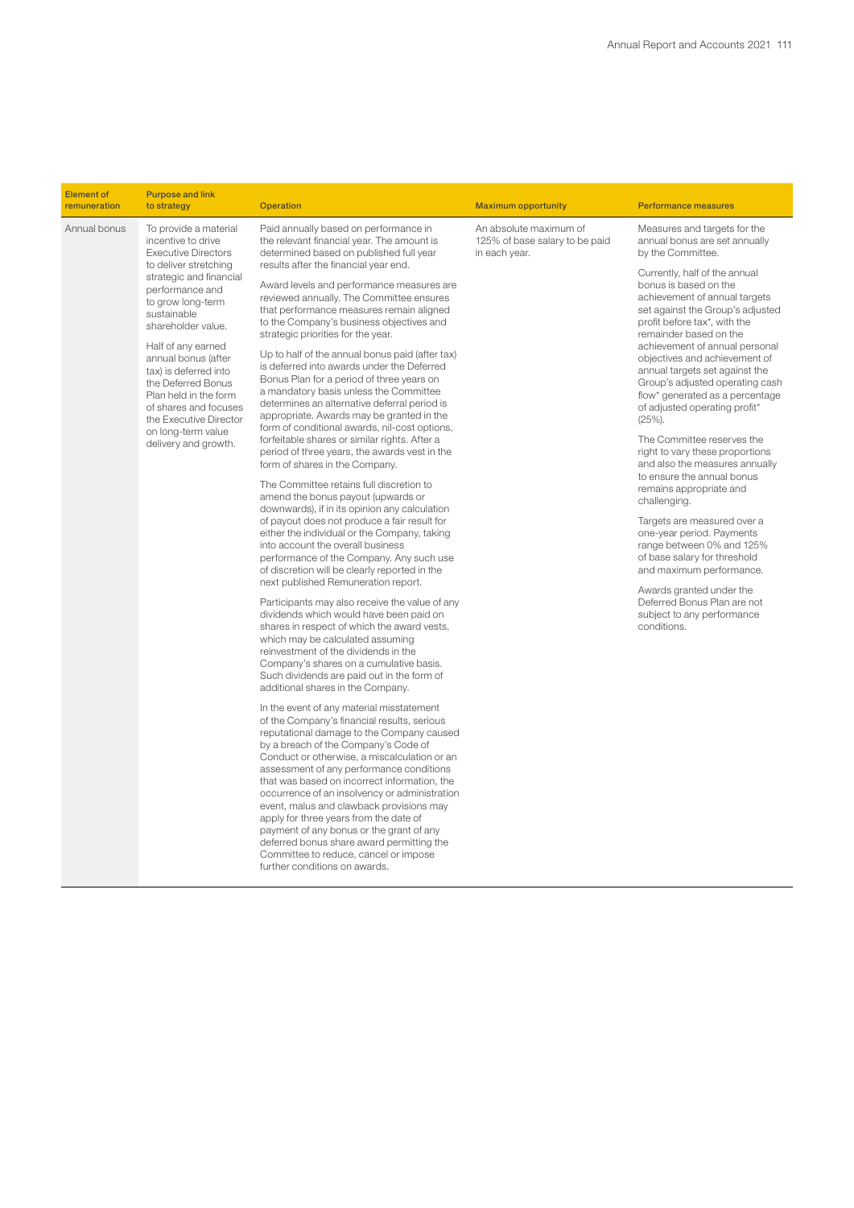| <b>Element of</b><br>remuneration | <b>Purpose and link</b><br>to strategy                                                                                                                                                                                                                                                                                                                                                                                           | <b>Operation</b>                                                                                                                                                                                                                                                                                                                                                                                                                                                                                                                                                                                                                                                                                                                                                                                                                                                                                                                                                                                                                                                                                                                                                                                                                                                                                                                                                                                                                                                                                                                                                                                                                                                                                                                                                                                                                                                                                                                                                                                                                                                                                                                                                                                                                                                                  | <b>Maximum opportunity</b>                                                | <b>Performance measures</b>                                                                                                                                                                                                                                                                                                                                                                                                                                                                                                                                                                                                                                                                                                                                                                                                                                                                                                                   |
|-----------------------------------|----------------------------------------------------------------------------------------------------------------------------------------------------------------------------------------------------------------------------------------------------------------------------------------------------------------------------------------------------------------------------------------------------------------------------------|-----------------------------------------------------------------------------------------------------------------------------------------------------------------------------------------------------------------------------------------------------------------------------------------------------------------------------------------------------------------------------------------------------------------------------------------------------------------------------------------------------------------------------------------------------------------------------------------------------------------------------------------------------------------------------------------------------------------------------------------------------------------------------------------------------------------------------------------------------------------------------------------------------------------------------------------------------------------------------------------------------------------------------------------------------------------------------------------------------------------------------------------------------------------------------------------------------------------------------------------------------------------------------------------------------------------------------------------------------------------------------------------------------------------------------------------------------------------------------------------------------------------------------------------------------------------------------------------------------------------------------------------------------------------------------------------------------------------------------------------------------------------------------------------------------------------------------------------------------------------------------------------------------------------------------------------------------------------------------------------------------------------------------------------------------------------------------------------------------------------------------------------------------------------------------------------------------------------------------------------------------------------------------------|---------------------------------------------------------------------------|-----------------------------------------------------------------------------------------------------------------------------------------------------------------------------------------------------------------------------------------------------------------------------------------------------------------------------------------------------------------------------------------------------------------------------------------------------------------------------------------------------------------------------------------------------------------------------------------------------------------------------------------------------------------------------------------------------------------------------------------------------------------------------------------------------------------------------------------------------------------------------------------------------------------------------------------------|
| Annual bonus                      | To provide a material<br>incentive to drive<br><b>Executive Directors</b><br>to deliver stretching<br>strategic and financial<br>performance and<br>to grow long-term<br>sustainable<br>shareholder value.<br>Half of any earned<br>annual bonus (after<br>tax) is deferred into<br>the Deferred Bonus<br>Plan held in the form<br>of shares and focuses<br>the Executive Director<br>on long-term value<br>delivery and growth. | Paid annually based on performance in<br>the relevant financial year. The amount is<br>determined based on published full year<br>results after the financial year end.<br>Award levels and performance measures are<br>reviewed annually. The Committee ensures<br>that performance measures remain aligned<br>to the Company's business objectives and<br>strategic priorities for the year.<br>Up to half of the annual bonus paid (after tax)<br>is deferred into awards under the Deferred<br>Bonus Plan for a period of three years on<br>a mandatory basis unless the Committee<br>determines an alternative deferral period is<br>appropriate. Awards may be granted in the<br>form of conditional awards, nil-cost options,<br>forfeitable shares or similar rights. After a<br>period of three years, the awards vest in the<br>form of shares in the Company.<br>The Committee retains full discretion to<br>amend the bonus payout (upwards or<br>downwards), if in its opinion any calculation<br>of payout does not produce a fair result for<br>either the individual or the Company, taking<br>into account the overall business<br>performance of the Company. Any such use<br>of discretion will be clearly reported in the<br>next published Remuneration report.<br>Participants may also receive the value of any<br>dividends which would have been paid on<br>shares in respect of which the award vests,<br>which may be calculated assuming<br>reinvestment of the dividends in the<br>Company's shares on a cumulative basis.<br>Such dividends are paid out in the form of<br>additional shares in the Company.<br>In the event of any material misstatement<br>of the Company's financial results, serious<br>reputational damage to the Company caused<br>by a breach of the Company's Code of<br>Conduct or otherwise, a miscalculation or an<br>assessment of any performance conditions<br>that was based on incorrect information, the<br>occurrence of an insolvency or administration<br>event, malus and clawback provisions may<br>apply for three years from the date of<br>payment of any bonus or the grant of any<br>deferred bonus share award permitting the<br>Committee to reduce, cancel or impose<br>further conditions on awards. | An absolute maximum of<br>125% of base salary to be paid<br>in each year. | Measures and targets for the<br>annual bonus are set annually<br>by the Committee.<br>Currently, half of the annual<br>bonus is based on the<br>achievement of annual targets<br>set against the Group's adjusted<br>profit before tax*, with the<br>remainder based on the<br>achievement of annual personal<br>objectives and achievement of<br>annual targets set against the<br>Group's adjusted operating cash<br>flow* generated as a percentage<br>of adjusted operating profit*<br>$(25%)$ .<br>The Committee reserves the<br>right to vary these proportions<br>and also the measures annually<br>to ensure the annual bonus<br>remains appropriate and<br>challenging.<br>Targets are measured over a<br>one-year period. Payments<br>range between 0% and 125%<br>of base salary for threshold<br>and maximum performance.<br>Awards granted under the<br>Deferred Bonus Plan are not<br>subject to any performance<br>conditions. |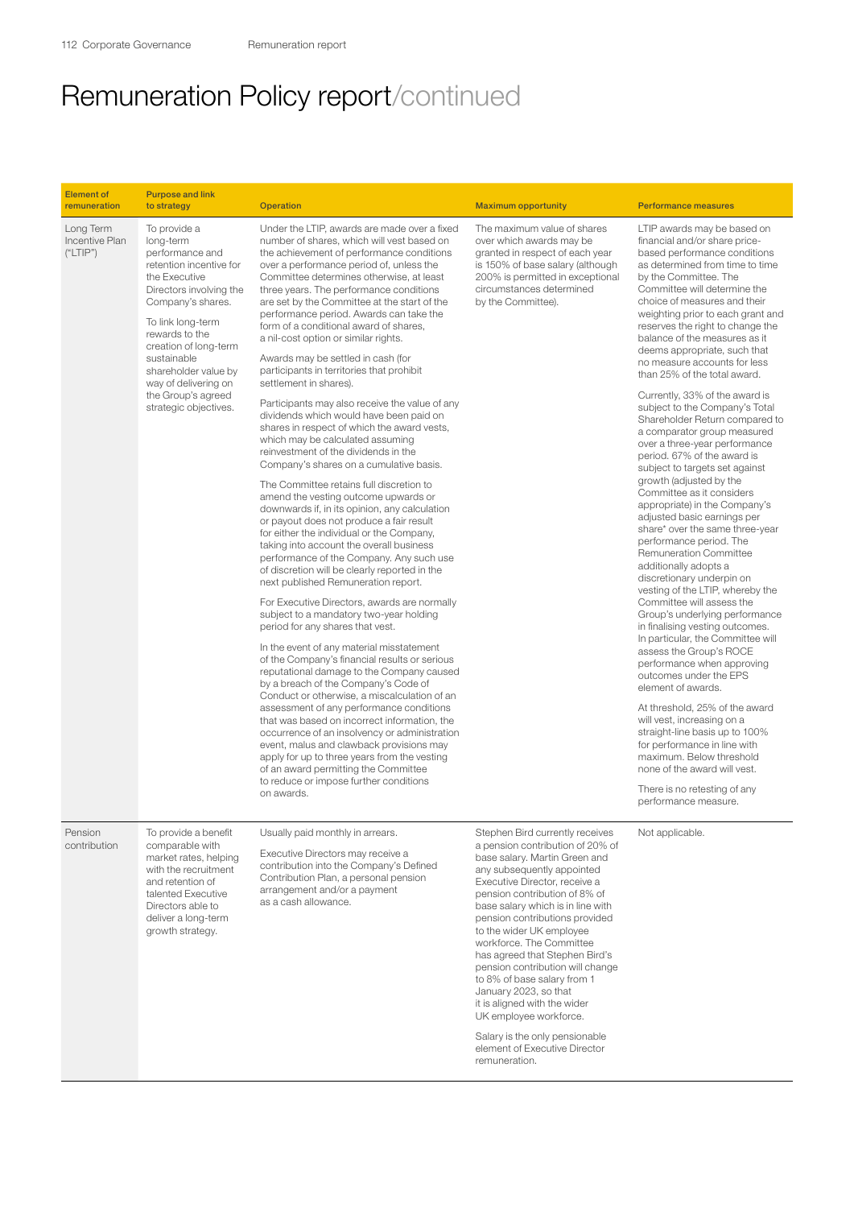| <b>Element of</b><br>remuneration       | <b>Purpose and link</b><br>to strategy                                                                                                                                                                                                                                                                                 | <b>Operation</b>                                                                                                                                                                                                                                                                                                                                                                                                                                                                                                                                                                                                                                                                                                                                                                                                                                                                                                                                                                                                                                                                                                                                                                                                                                                                                                                                                                                                                                                                                                                                                                                                                                                                                                                                                                                                                                                                                                                                                 | <b>Maximum opportunity</b>                                                                                                                                                                                                                                                                                                                                                                                                                                                                                                                                                                                      | <b>Performance measures</b>                                                                                                                                                                                                                                                                                                                                                                                                                                                                                                                                                                                                                                                                                                                                                                                                                                                                                                                                                                                                                                                                                                                                                                                                                                                                                                                                                                                                                                                               |
|-----------------------------------------|------------------------------------------------------------------------------------------------------------------------------------------------------------------------------------------------------------------------------------------------------------------------------------------------------------------------|------------------------------------------------------------------------------------------------------------------------------------------------------------------------------------------------------------------------------------------------------------------------------------------------------------------------------------------------------------------------------------------------------------------------------------------------------------------------------------------------------------------------------------------------------------------------------------------------------------------------------------------------------------------------------------------------------------------------------------------------------------------------------------------------------------------------------------------------------------------------------------------------------------------------------------------------------------------------------------------------------------------------------------------------------------------------------------------------------------------------------------------------------------------------------------------------------------------------------------------------------------------------------------------------------------------------------------------------------------------------------------------------------------------------------------------------------------------------------------------------------------------------------------------------------------------------------------------------------------------------------------------------------------------------------------------------------------------------------------------------------------------------------------------------------------------------------------------------------------------------------------------------------------------------------------------------------------------|-----------------------------------------------------------------------------------------------------------------------------------------------------------------------------------------------------------------------------------------------------------------------------------------------------------------------------------------------------------------------------------------------------------------------------------------------------------------------------------------------------------------------------------------------------------------------------------------------------------------|-------------------------------------------------------------------------------------------------------------------------------------------------------------------------------------------------------------------------------------------------------------------------------------------------------------------------------------------------------------------------------------------------------------------------------------------------------------------------------------------------------------------------------------------------------------------------------------------------------------------------------------------------------------------------------------------------------------------------------------------------------------------------------------------------------------------------------------------------------------------------------------------------------------------------------------------------------------------------------------------------------------------------------------------------------------------------------------------------------------------------------------------------------------------------------------------------------------------------------------------------------------------------------------------------------------------------------------------------------------------------------------------------------------------------------------------------------------------------------------------|
| Long Term<br>Incentive Plan<br>("LTIP") | To provide a<br>long-term<br>performance and<br>retention incentive for<br>the Executive<br>Directors involving the<br>Company's shares.<br>To link long-term<br>rewards to the<br>creation of long-term<br>sustainable<br>shareholder value by<br>way of delivering on<br>the Group's agreed<br>strategic objectives. | Under the LTIP, awards are made over a fixed<br>number of shares, which will vest based on<br>the achievement of performance conditions<br>over a performance period of, unless the<br>Committee determines otherwise, at least<br>three years. The performance conditions<br>are set by the Committee at the start of the<br>performance period. Awards can take the<br>form of a conditional award of shares,<br>a nil-cost option or similar rights.<br>Awards may be settled in cash (for<br>participants in territories that prohibit<br>settlement in shares).<br>Participants may also receive the value of any<br>dividends which would have been paid on<br>shares in respect of which the award vests,<br>which may be calculated assuming<br>reinvestment of the dividends in the<br>Company's shares on a cumulative basis.<br>The Committee retains full discretion to<br>amend the vesting outcome upwards or<br>downwards if, in its opinion, any calculation<br>or payout does not produce a fair result<br>for either the individual or the Company,<br>taking into account the overall business<br>performance of the Company. Any such use<br>of discretion will be clearly reported in the<br>next published Remuneration report.<br>For Executive Directors, awards are normally<br>subject to a mandatory two-year holding<br>period for any shares that vest.<br>In the event of any material misstatement<br>of the Company's financial results or serious<br>reputational damage to the Company caused<br>by a breach of the Company's Code of<br>Conduct or otherwise, a miscalculation of an<br>assessment of any performance conditions<br>that was based on incorrect information, the<br>occurrence of an insolvency or administration<br>event, malus and clawback provisions may<br>apply for up to three years from the vesting<br>of an award permitting the Committee<br>to reduce or impose further conditions<br>on awards. | The maximum value of shares<br>over which awards may be<br>granted in respect of each year<br>is 150% of base salary (although<br>200% is permitted in exceptional<br>circumstances determined<br>by the Committee).                                                                                                                                                                                                                                                                                                                                                                                            | LTIP awards may be based on<br>financial and/or share price-<br>based performance conditions<br>as determined from time to time<br>by the Committee. The<br>Committee will determine the<br>choice of measures and their<br>weighting prior to each grant and<br>reserves the right to change the<br>balance of the measures as it<br>deems appropriate, such that<br>no measure accounts for less<br>than 25% of the total award.<br>Currently, 33% of the award is<br>subject to the Company's Total<br>Shareholder Return compared to<br>a comparator group measured<br>over a three-year performance<br>period. 67% of the award is<br>subject to targets set against<br>growth (adjusted by the<br>Committee as it considers<br>appropriate) in the Company's<br>adjusted basic earnings per<br>share* over the same three-year<br>performance period. The<br>Remuneration Committee<br>additionally adopts a<br>discretionary underpin on<br>vesting of the LTIP, whereby the<br>Committee will assess the<br>Group's underlying performance<br>in finalising vesting outcomes.<br>In particular, the Committee will<br>assess the Group's ROCE<br>performance when approving<br>outcomes under the EPS<br>element of awards.<br>At threshold, 25% of the award<br>will vest, increasing on a<br>straight-line basis up to 100%<br>for performance in line with<br>maximum. Below threshold<br>none of the award will vest.<br>There is no retesting of any<br>performance measure. |
| Pension<br>contribution                 | To provide a benefit<br>comparable with<br>market rates, helping<br>with the recruitment<br>and retention of<br>talented Executive<br>Directors able to<br>deliver a long-term<br>growth strategy.                                                                                                                     | Usually paid monthly in arrears.<br>Executive Directors may receive a<br>contribution into the Company's Defined<br>Contribution Plan, a personal pension<br>arrangement and/or a payment<br>as a cash allowance.                                                                                                                                                                                                                                                                                                                                                                                                                                                                                                                                                                                                                                                                                                                                                                                                                                                                                                                                                                                                                                                                                                                                                                                                                                                                                                                                                                                                                                                                                                                                                                                                                                                                                                                                                | Stephen Bird currently receives<br>a pension contribution of 20% of<br>base salary. Martin Green and<br>any subsequently appointed<br>Executive Director, receive a<br>pension contribution of 8% of<br>base salary which is in line with<br>pension contributions provided<br>to the wider UK employee<br>workforce. The Committee<br>has agreed that Stephen Bird's<br>pension contribution will change<br>to 8% of base salary from 1<br>January 2023, so that<br>it is aligned with the wider<br>UK employee workforce.<br>Salary is the only pensionable<br>element of Executive Director<br>remuneration. | Not applicable.                                                                                                                                                                                                                                                                                                                                                                                                                                                                                                                                                                                                                                                                                                                                                                                                                                                                                                                                                                                                                                                                                                                                                                                                                                                                                                                                                                                                                                                                           |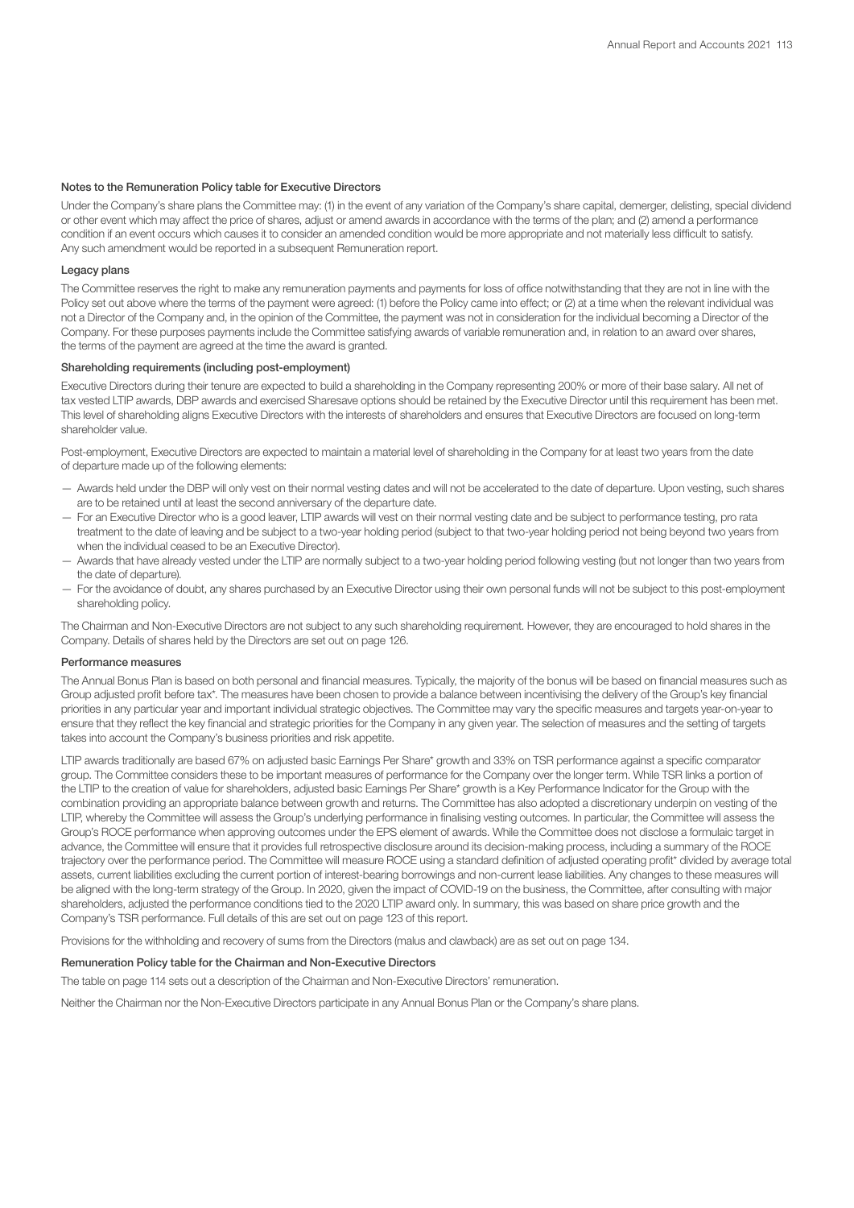## Notes to the Remuneration Policy table for Executive Directors

Under the Company's share plans the Committee may: (1) in the event of any variation of the Company's share capital, demerger, delisting, special dividend or other event which may affect the price of shares, adjust or amend awards in accordance with the terms of the plan; and (2) amend a performance condition if an event occurs which causes it to consider an amended condition would be more appropriate and not materially less difficult to satisfy. Any such amendment would be reported in a subsequent Remuneration report.

## Legacy plans

The Committee reserves the right to make any remuneration payments and payments for loss of office notwithstanding that they are not in line with the Policy set out above where the terms of the payment were agreed: (1) before the Policy came into effect; or (2) at a time when the relevant individual was not a Director of the Company and, in the opinion of the Committee, the payment was not in consideration for the individual becoming a Director of the Company. For these purposes payments include the Committee satisfying awards of variable remuneration and, in relation to an award over shares, the terms of the payment are agreed at the time the award is granted.

## Shareholding requirements (including post-employment)

Executive Directors during their tenure are expected to build a shareholding in the Company representing 200% or more of their base salary. All net of tax vested LTIP awards, DBP awards and exercised Sharesave options should be retained by the Executive Director until this requirement has been met. This level of shareholding aligns Executive Directors with the interests of shareholders and ensures that Executive Directors are focused on long-term shareholder value.

Post-employment, Executive Directors are expected to maintain a material level of shareholding in the Company for at least two years from the date of departure made up of the following elements:

- Awards held under the DBP will only vest on their normal vesting dates and will not be accelerated to the date of departure. Upon vesting, such shares are to be retained until at least the second anniversary of the departure date.
- For an Executive Director who is a good leaver, LTIP awards will vest on their normal vesting date and be subject to performance testing, pro rata treatment to the date of leaving and be subject to a two-year holding period (subject to that two-year holding period not being beyond two years from when the individual ceased to be an Executive Director).
- Awards that have already vested under the LTIP are normally subject to a two-year holding period following vesting (but not longer than two years from the date of departure).
- For the avoidance of doubt, any shares purchased by an Executive Director using their own personal funds will not be subject to this post-employment shareholding policy.

The Chairman and Non-Executive Directors are not subject to any such shareholding requirement. However, they are encouraged to hold shares in the Company. Details of shares held by the Directors are set out on page 126.

## Performance measures

The Annual Bonus Plan is based on both personal and financial measures. Typically, the majority of the bonus will be based on financial measures such as Group adjusted profit before tax\*. The measures have been chosen to provide a balance between incentivising the delivery of the Group's key financial priorities in any particular year and important individual strategic objectives. The Committee may vary the specific measures and targets year-on-year to ensure that they reflect the key financial and strategic priorities for the Company in any given year. The selection of measures and the setting of targets takes into account the Company's business priorities and risk appetite.

LTIP awards traditionally are based 67% on adjusted basic Earnings Per Share\* growth and 33% on TSR performance against a specific comparator group. The Committee considers these to be important measures of performance for the Company over the longer term. While TSR links a portion of the LTIP to the creation of value for shareholders, adjusted basic Earnings Per Share\* growth is a Key Performance Indicator for the Group with the combination providing an appropriate balance between growth and returns. The Committee has also adopted a discretionary underpin on vesting of the LTIP, whereby the Committee will assess the Group's underlying performance in finalising vesting outcomes. In particular, the Committee will assess the Group's ROCE performance when approving outcomes under the EPS element of awards. While the Committee does not disclose a formulaic target in advance, the Committee will ensure that it provides full retrospective disclosure around its decision-making process, including a summary of the ROCE trajectory over the performance period. The Committee will measure ROCE using a standard definition of adjusted operating profit\* divided by average total assets, current liabilities excluding the current portion of interest-bearing borrowings and non-current lease liabilities. Any changes to these measures will be aligned with the long-term strategy of the Group. In 2020, given the impact of COVID-19 on the business, the Committee, after consulting with major shareholders, adjusted the performance conditions tied to the 2020 LTIP award only. In summary, this was based on share price growth and the Company's TSR performance. Full details of this are set out on page 123 of this report.

Provisions for the withholding and recovery of sums from the Directors (malus and clawback) are as set out on page 134.

## Remuneration Policy table for the Chairman and Non-Executive Directors

The table on page 114 sets out a description of the Chairman and Non-Executive Directors' remuneration.

Neither the Chairman nor the Non-Executive Directors participate in any Annual Bonus Plan or the Company's share plans.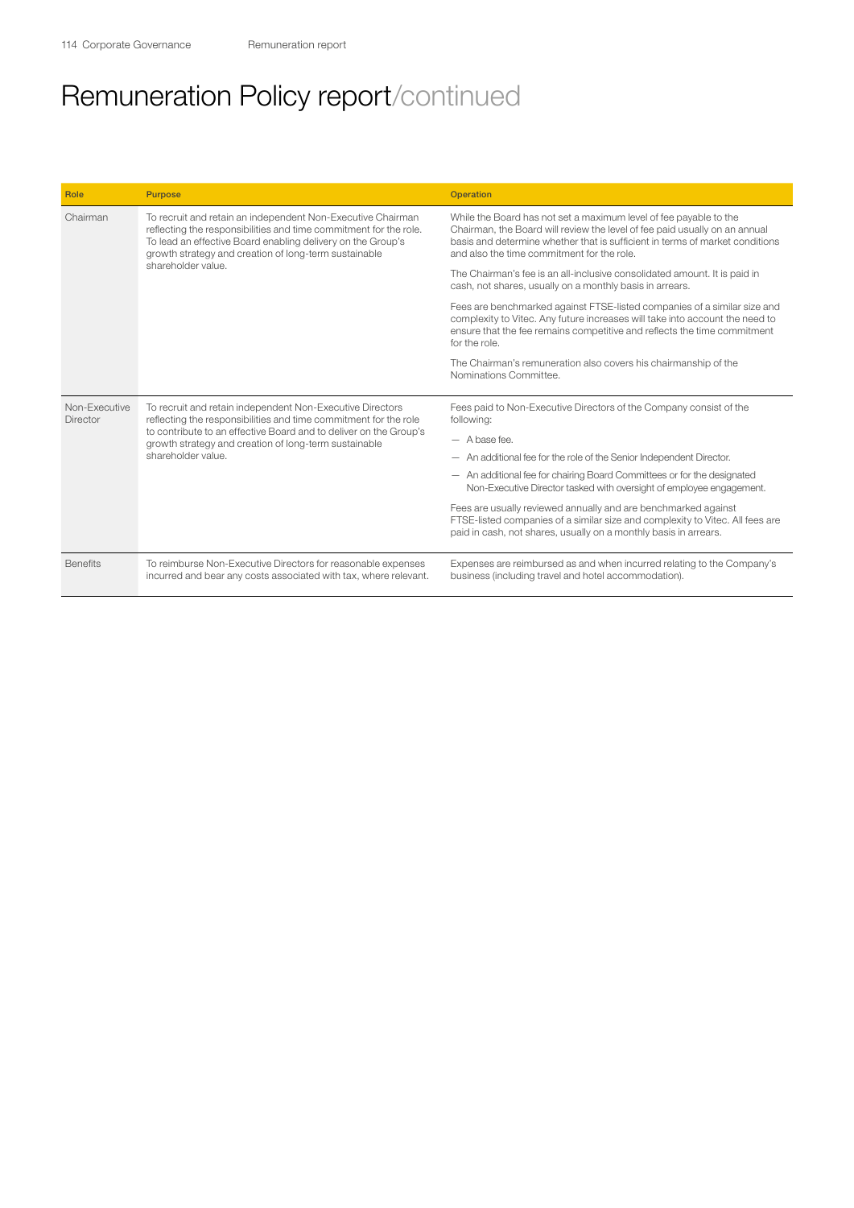| Role                      | <b>Purpose</b>                                                                                                                                                                                                                                           | <b>Operation</b>                                                                                                                                                                                                                                                              |
|---------------------------|----------------------------------------------------------------------------------------------------------------------------------------------------------------------------------------------------------------------------------------------------------|-------------------------------------------------------------------------------------------------------------------------------------------------------------------------------------------------------------------------------------------------------------------------------|
| Chairman                  | To recruit and retain an independent Non-Executive Chairman<br>reflecting the responsibilities and time commitment for the role.<br>To lead an effective Board enabling delivery on the Group's<br>growth strategy and creation of long-term sustainable | While the Board has not set a maximum level of fee payable to the<br>Chairman, the Board will review the level of fee paid usually on an annual<br>basis and determine whether that is sufficient in terms of market conditions<br>and also the time commitment for the role. |
|                           | shareholder value.                                                                                                                                                                                                                                       | The Chairman's fee is an all-inclusive consolidated amount. It is paid in<br>cash, not shares, usually on a monthly basis in arrears.                                                                                                                                         |
|                           |                                                                                                                                                                                                                                                          | Fees are benchmarked against FTSE-listed companies of a similar size and<br>complexity to Vitec. Any future increases will take into account the need to<br>ensure that the fee remains competitive and reflects the time commitment<br>for the role.                         |
|                           |                                                                                                                                                                                                                                                          | The Chairman's remuneration also covers his chairmanship of the<br>Nominations Committee.                                                                                                                                                                                     |
| Non-Executive<br>Director | To recruit and retain independent Non-Executive Directors<br>reflecting the responsibilities and time commitment for the role                                                                                                                            | Fees paid to Non-Executive Directors of the Company consist of the<br>following:                                                                                                                                                                                              |
|                           | to contribute to an effective Board and to deliver on the Group's<br>growth strategy and creation of long-term sustainable                                                                                                                               | $-$ A base fee.                                                                                                                                                                                                                                                               |
|                           | shareholder value                                                                                                                                                                                                                                        | - An additional fee for the role of the Senior Independent Director.                                                                                                                                                                                                          |
|                           |                                                                                                                                                                                                                                                          | - An additional fee for chairing Board Committees or for the designated<br>Non-Executive Director tasked with oversight of employee engagement.                                                                                                                               |
|                           |                                                                                                                                                                                                                                                          | Fees are usually reviewed annually and are benchmarked against<br>FTSE-listed companies of a similar size and complexity to Vitec. All fees are<br>paid in cash, not shares, usually on a monthly basis in arrears.                                                           |
| <b>Benefits</b>           | To reimburse Non-Executive Directors for reasonable expenses<br>incurred and bear any costs associated with tax, where relevant.                                                                                                                         | Expenses are reimbursed as and when incurred relating to the Company's<br>business (including travel and hotel accommodation).                                                                                                                                                |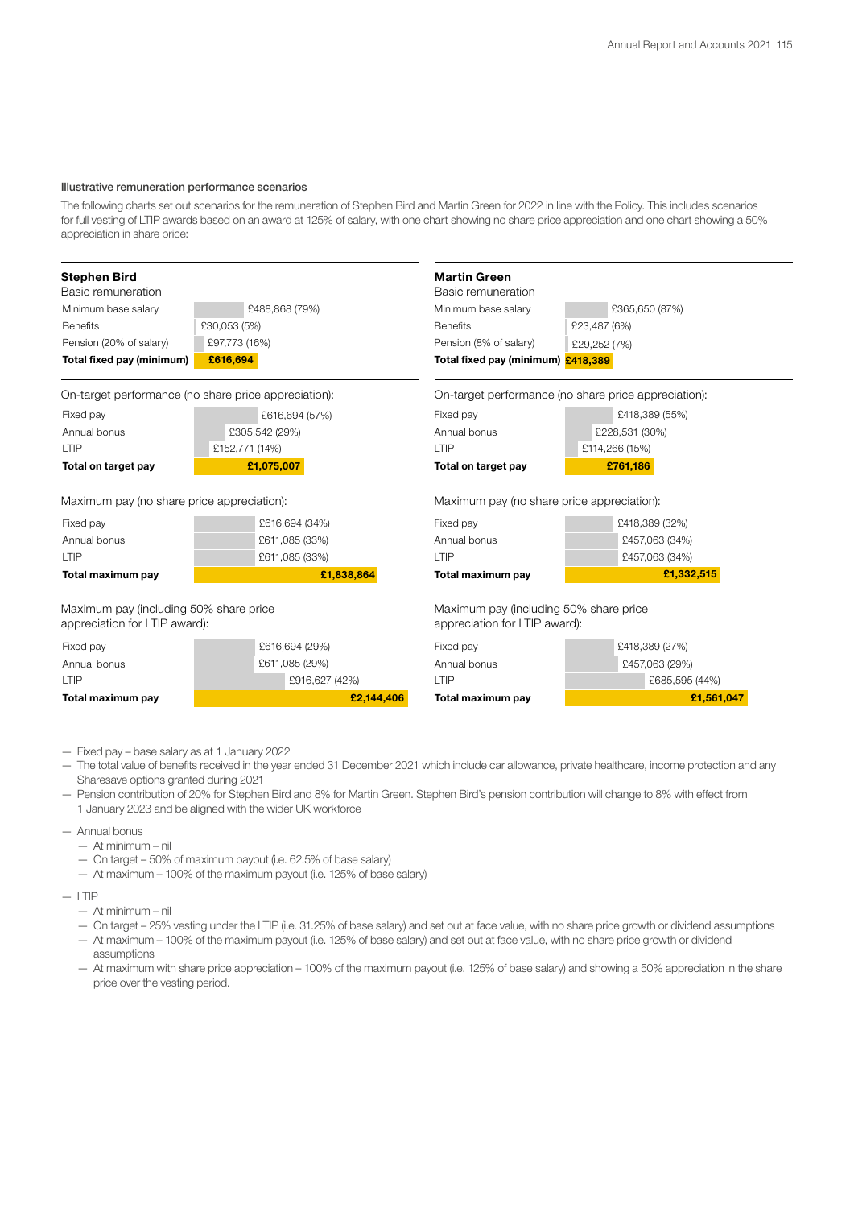### Illustrative remuneration performance scenarios

The following charts set out scenarios for the remuneration of Stephen Bird and Martin Green for 2022 in line with the Policy. This includes scenarios for full vesting of LTIP awards based on an award at 125% of salary, with one chart showing no share price appreciation and one chart showing a 50% appreciation in share price:

| <b>Stephen Bird</b><br>Basic remuneration                               |                                                      | <b>Martin Green</b><br>Basic remuneration                               |                                                      |
|-------------------------------------------------------------------------|------------------------------------------------------|-------------------------------------------------------------------------|------------------------------------------------------|
| Minimum base salary                                                     | £488,868 (79%)                                       | Minimum base salary                                                     | £365,650 (87%)                                       |
| <b>Benefits</b>                                                         | £30,053 (5%)                                         | <b>Benefits</b>                                                         | £23,487 (6%)                                         |
| Pension (20% of salary)                                                 | £97,773 (16%)                                        | Pension (8% of salary)                                                  | £29,252 (7%)                                         |
| Total fixed pay (minimum)                                               | £616.694                                             | Total fixed pay (minimum) £418,389                                      |                                                      |
|                                                                         | On-target performance (no share price appreciation): |                                                                         | On-target performance (no share price appreciation): |
| Fixed pay                                                               | £616,694 (57%)                                       | Fixed pay                                                               | £418,389 (55%)                                       |
| Annual bonus                                                            | £305,542 (29%)                                       | Annual bonus                                                            | £228,531 (30%)                                       |
| LTIP                                                                    | £152,771 (14%)                                       | LTIP                                                                    | £114,266 (15%)                                       |
| Total on target pay                                                     | £1,075,007                                           | Total on target pay                                                     | £761,186                                             |
| Maximum pay (no share price appreciation):                              |                                                      | Maximum pay (no share price appreciation):                              |                                                      |
| Fixed pay                                                               | £616,694 (34%)                                       | Fixed pay                                                               | £418,389 (32%)                                       |
| Annual bonus                                                            | £611,085 (33%)                                       | Annual bonus                                                            | £457,063 (34%)                                       |
| LTIP                                                                    | £611,085 (33%)                                       | LTIP                                                                    | £457,063 (34%)                                       |
| Total maximum pay                                                       | £1,838,864                                           | Total maximum pay                                                       | £1,332,515                                           |
| Maximum pay (including 50% share price<br>appreciation for LTIP award): |                                                      | Maximum pay (including 50% share price<br>appreciation for LTIP award): |                                                      |
| Fixed pay                                                               | £616,694 (29%)                                       | Fixed pay                                                               | £418,389 (27%)                                       |
| Annual bonus                                                            | £611,085 (29%)                                       | Annual bonus                                                            | £457,063 (29%)                                       |
| LTIP                                                                    | £916,627 (42%)                                       | LTIP                                                                    | £685,595 (44%)                                       |
| Total maximum pay                                                       | £2,144,406                                           | Total maximum pay                                                       | £1,561,047                                           |

- Fixed pay base salary as at 1 January 2022
- The total value of benefits received in the year ended 31 December 2021 which include car allowance, private healthcare, income protection and any Sharesave options granted during 2021
- Pension contribution of 20% for Stephen Bird and 8% for Martin Green. Stephen Bird's pension contribution will change to 8% with effect from 1 January 2023 and be aligned with the wider UK workforce
- Annual bonus
	- At minimum nil
	- On target 50% of maximum payout (i.e. 62.5% of base salary)
	- At maximum 100% of the maximum payout (i.e. 125% of base salary)
- $-$  LTIP
	- At minimum nil
	- On target 25% vesting under the LTIP (i.e. 31.25% of base salary) and set out at face value, with no share price growth or dividend assumptions
	- At maximum 100% of the maximum payout (i.e. 125% of base salary) and set out at face value, with no share price growth or dividend assumptions
	- At maximum with share price appreciation 100% of the maximum payout (i.e. 125% of base salary) and showing a 50% appreciation in the share price over the vesting period.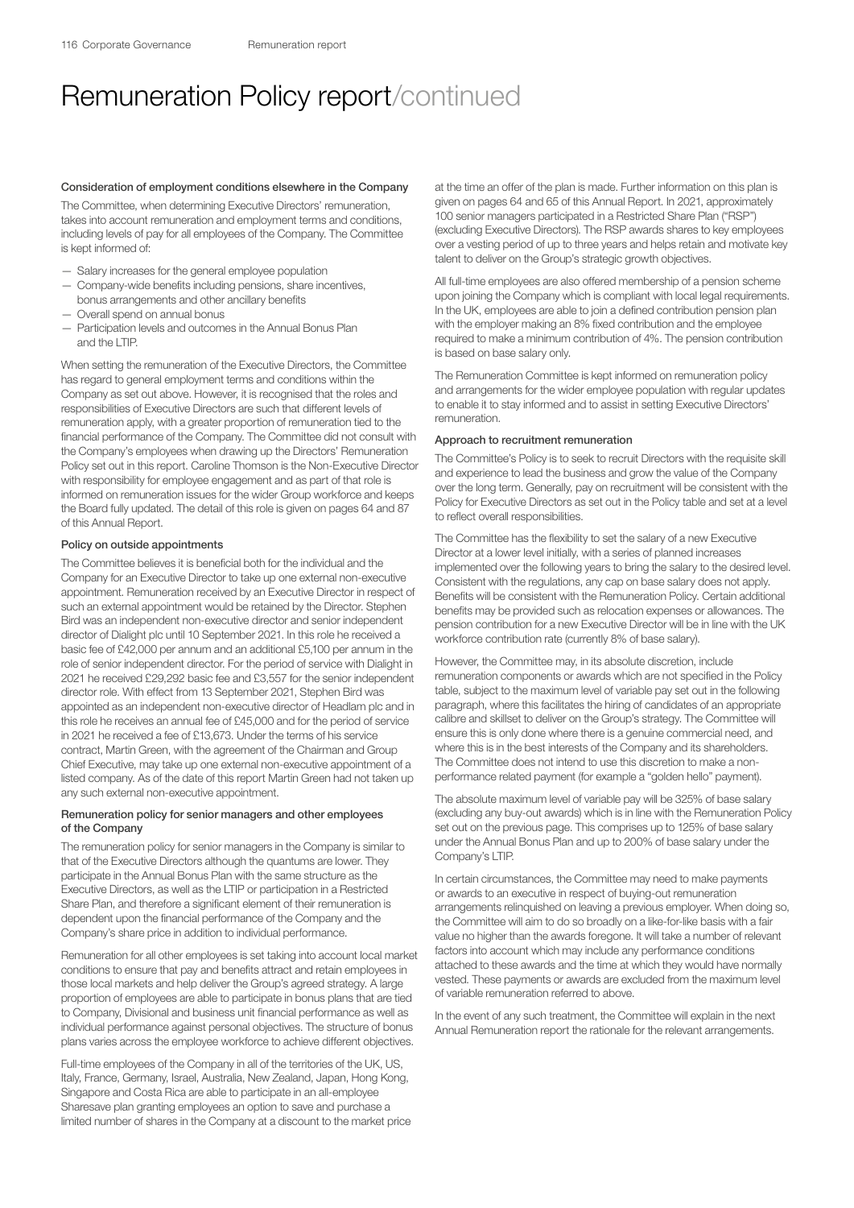#### Consideration of employment conditions elsewhere in the Company

The Committee, when determining Executive Directors' remuneration, takes into account remuneration and employment terms and conditions, including levels of pay for all employees of the Company. The Committee is kept informed of:

- Salary increases for the general employee population
- Company-wide benefits including pensions, share incentives, bonus arrangements and other ancillary benefits
- Overall spend on annual bonus
- Participation levels and outcomes in the Annual Bonus Plan and the LTIP.

When setting the remuneration of the Executive Directors, the Committee has regard to general employment terms and conditions within the Company as set out above. However, it is recognised that the roles and responsibilities of Executive Directors are such that different levels of remuneration apply, with a greater proportion of remuneration tied to the financial performance of the Company. The Committee did not consult with the Company's employees when drawing up the Directors' Remuneration Policy set out in this report. Caroline Thomson is the Non-Executive Director with responsibility for employee engagement and as part of that role is informed on remuneration issues for the wider Group workforce and keeps the Board fully updated. The detail of this role is given on pages 64 and 87 of this Annual Report.

### Policy on outside appointments

The Committee believes it is beneficial both for the individual and the Company for an Executive Director to take up one external non-executive appointment. Remuneration received by an Executive Director in respect of such an external appointment would be retained by the Director. Stephen Bird was an independent non-executive director and senior independent director of Dialight plc until 10 September 2021. In this role he received a basic fee of £42,000 per annum and an additional £5,100 per annum in the role of senior independent director. For the period of service with Dialight in 2021 he received £29,292 basic fee and £3,557 for the senior independent director role. With effect from 13 September 2021, Stephen Bird was appointed as an independent non-executive director of Headlam plc and in this role he receives an annual fee of £45,000 and for the period of service in 2021 he received a fee of £13,673. Under the terms of his service contract, Martin Green, with the agreement of the Chairman and Group Chief Executive, may take up one external non-executive appointment of a listed company. As of the date of this report Martin Green had not taken up any such external non-executive appointment.

## Remuneration policy for senior managers and other employees of the Company

The remuneration policy for senior managers in the Company is similar to that of the Executive Directors although the quantums are lower. They participate in the Annual Bonus Plan with the same structure as the Executive Directors, as well as the LTIP or participation in a Restricted Share Plan, and therefore a significant element of their remuneration is dependent upon the financial performance of the Company and the Company's share price in addition to individual performance.

Remuneration for all other employees is set taking into account local market conditions to ensure that pay and benefits attract and retain employees in those local markets and help deliver the Group's agreed strategy. A large proportion of employees are able to participate in bonus plans that are tied to Company, Divisional and business unit financial performance as well as individual performance against personal objectives. The structure of bonus plans varies across the employee workforce to achieve different objectives.

Full-time employees of the Company in all of the territories of the UK, US, Italy, France, Germany, Israel, Australia, New Zealand, Japan, Hong Kong, Singapore and Costa Rica are able to participate in an all-employee Sharesave plan granting employees an option to save and purchase a limited number of shares in the Company at a discount to the market price at the time an offer of the plan is made. Further information on this plan is given on pages 64 and 65 of this Annual Report. In 2021, approximately 100 senior managers participated in a Restricted Share Plan ("RSP") (excluding Executive Directors). The RSP awards shares to key employees over a vesting period of up to three years and helps retain and motivate key talent to deliver on the Group's strategic growth objectives.

All full-time employees are also offered membership of a pension scheme upon joining the Company which is compliant with local legal requirements. In the UK, employees are able to join a defined contribution pension plan with the employer making an 8% fixed contribution and the employee required to make a minimum contribution of 4%. The pension contribution is based on base salary only.

The Remuneration Committee is kept informed on remuneration policy and arrangements for the wider employee population with regular updates to enable it to stay informed and to assist in setting Executive Directors' remuneration.

#### Approach to recruitment remuneration

The Committee's Policy is to seek to recruit Directors with the requisite skill and experience to lead the business and grow the value of the Company over the long term. Generally, pay on recruitment will be consistent with the Policy for Executive Directors as set out in the Policy table and set at a level to reflect overall responsibilities.

The Committee has the flexibility to set the salary of a new Executive Director at a lower level initially, with a series of planned increases implemented over the following years to bring the salary to the desired level. Consistent with the regulations, any cap on base salary does not apply. Benefits will be consistent with the Remuneration Policy. Certain additional benefits may be provided such as relocation expenses or allowances. The pension contribution for a new Executive Director will be in line with the UK workforce contribution rate (currently 8% of base salary).

However, the Committee may, in its absolute discretion, include remuneration components or awards which are not specified in the Policy table, subject to the maximum level of variable pay set out in the following paragraph, where this facilitates the hiring of candidates of an appropriate calibre and skillset to deliver on the Group's strategy. The Committee will ensure this is only done where there is a genuine commercial need, and where this is in the best interests of the Company and its shareholders. The Committee does not intend to use this discretion to make a nonperformance related payment (for example a "golden hello" payment).

The absolute maximum level of variable pay will be 325% of base salary (excluding any buy-out awards) which is in line with the Remuneration Policy set out on the previous page. This comprises up to 125% of base salary under the Annual Bonus Plan and up to 200% of base salary under the Company's LTIP.

In certain circumstances, the Committee may need to make payments or awards to an executive in respect of buying-out remuneration arrangements relinquished on leaving a previous employer. When doing so, the Committee will aim to do so broadly on a like-for-like basis with a fair value no higher than the awards foregone. It will take a number of relevant factors into account which may include any performance conditions attached to these awards and the time at which they would have normally vested. These payments or awards are excluded from the maximum level of variable remuneration referred to above.

In the event of any such treatment, the Committee will explain in the next Annual Remuneration report the rationale for the relevant arrangements.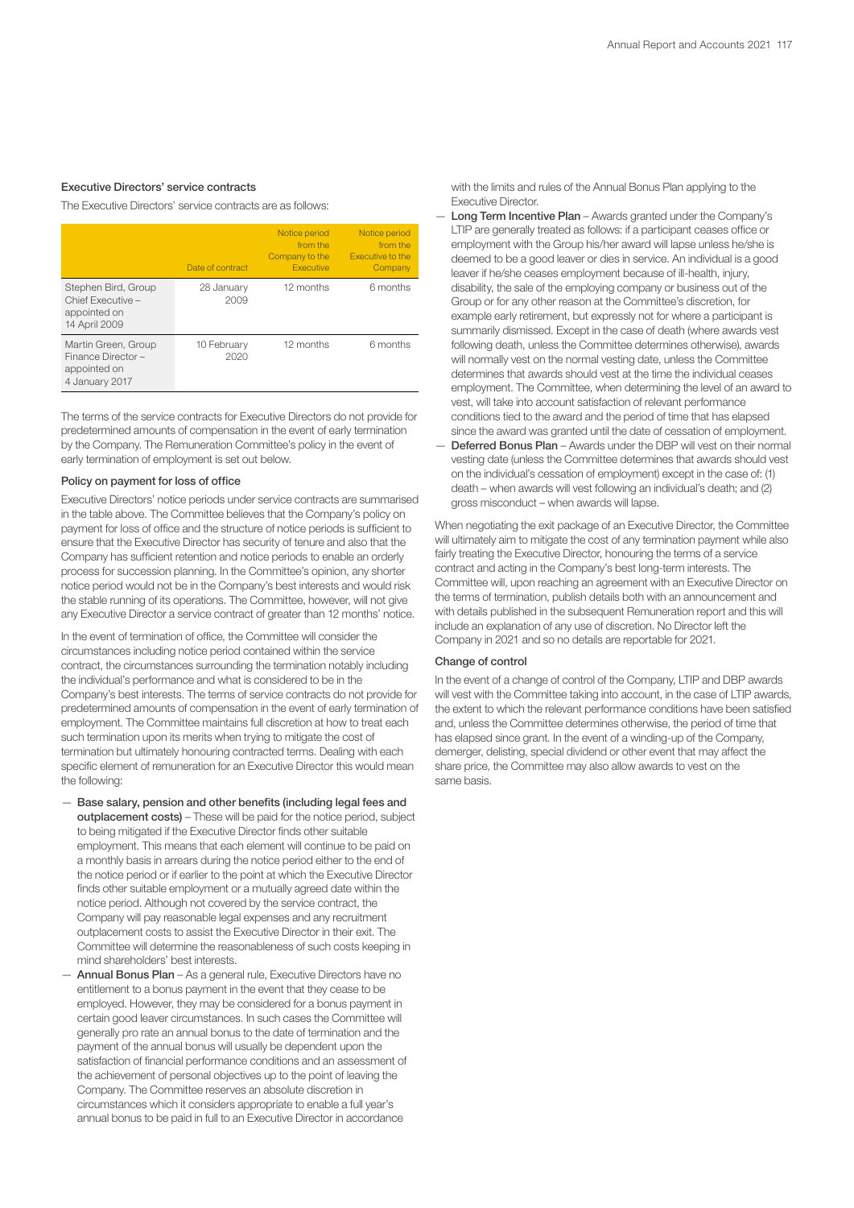## Executive Directors' service contracts

The Executive Directors' service contracts are as follows:

|                                                                            | Date of contract    | Notice period<br>from the<br>Company to the<br><b>Executive</b> | Notice period<br>from the<br><b>Executive to the</b><br>Company |
|----------------------------------------------------------------------------|---------------------|-----------------------------------------------------------------|-----------------------------------------------------------------|
| Stephen Bird, Group<br>Chief Executive -<br>appointed on<br>14 April 2009  | 28 January<br>2009  | 12 months                                                       | 6 months                                                        |
| Martin Green, Group<br>Finance Director-<br>appointed on<br>4 January 2017 | 10 February<br>2020 | 12 months                                                       | 6 months                                                        |

The terms of the service contracts for Executive Directors do not provide for predetermined amounts of compensation in the event of early termination by the Company. The Remuneration Committee's policy in the event of early termination of employment is set out below.

## Policy on payment for loss of office

Executive Directors' notice periods under service contracts are summarised in the table above. The Committee believes that the Company's policy on payment for loss of office and the structure of notice periods is sufficient to ensure that the Executive Director has security of tenure and also that the Company has sufficient retention and notice periods to enable an orderly process for succession planning. In the Committee's opinion, any shorter notice period would not be in the Company's best interests and would risk the stable running of its operations. The Committee, however, will not give any Executive Director a service contract of greater than 12 months' notice.

In the event of termination of office, the Committee will consider the circumstances including notice period contained within the service contract, the circumstances surrounding the termination notably including the individual's performance and what is considered to be in the Company's best interests. The terms of service contracts do not provide for predetermined amounts of compensation in the event of early termination of employment. The Committee maintains full discretion at how to treat each such termination upon its merits when trying to mitigate the cost of termination but ultimately honouring contracted terms. Dealing with each specific element of remuneration for an Executive Director this would mean the following:

- Base salary, pension and other benefits (including legal fees and outplacement costs) – These will be paid for the notice period, subject to being mitigated if the Executive Director finds other suitable employment. This means that each element will continue to be paid on a monthly basis in arrears during the notice period either to the end of the notice period or if earlier to the point at which the Executive Director finds other suitable employment or a mutually agreed date within the notice period. Although not covered by the service contract, the Company will pay reasonable legal expenses and any recruitment outplacement costs to assist the Executive Director in their exit. The Committee will determine the reasonableness of such costs keeping in mind shareholders' best interests.
- Annual Bonus Plan As a general rule, Executive Directors have no entitlement to a bonus payment in the event that they cease to be employed. However, they may be considered for a bonus payment in certain good leaver circumstances. In such cases the Committee will generally pro rate an annual bonus to the date of termination and the payment of the annual bonus will usually be dependent upon the satisfaction of financial performance conditions and an assessment of the achievement of personal objectives up to the point of leaving the Company. The Committee reserves an absolute discretion in circumstances which it considers appropriate to enable a full year's annual bonus to be paid in full to an Executive Director in accordance

with the limits and rules of the Annual Bonus Plan applying to the Executive Director.

- Long Term Incentive Plan Awards granted under the Company's LTIP are generally treated as follows: if a participant ceases office or employment with the Group his/her award will lapse unless he/she is deemed to be a good leaver or dies in service. An individual is a good leaver if he/she ceases employment because of ill-health, injury, disability, the sale of the employing company or business out of the Group or for any other reason at the Committee's discretion, for example early retirement, but expressly not for where a participant is summarily dismissed. Except in the case of death (where awards vest following death, unless the Committee determines otherwise), awards will normally vest on the normal vesting date, unless the Committee determines that awards should vest at the time the individual ceases employment. The Committee, when determining the level of an award to vest, will take into account satisfaction of relevant performance conditions tied to the award and the period of time that has elapsed since the award was granted until the date of cessation of employment.
- Deferred Bonus Plan Awards under the DBP will vest on their normal vesting date (unless the Committee determines that awards should vest on the individual's cessation of employment) except in the case of: (1) death – when awards will vest following an individual's death; and (2) gross misconduct – when awards will lapse.

When negotiating the exit package of an Executive Director, the Committee will ultimately aim to mitigate the cost of any termination payment while also fairly treating the Executive Director, honouring the terms of a service contract and acting in the Company's best long-term interests. The Committee will, upon reaching an agreement with an Executive Director on the terms of termination, publish details both with an announcement and with details published in the subsequent Remuneration report and this will include an explanation of any use of discretion. No Director left the Company in 2021 and so no details are reportable for 2021.

## Change of control

In the event of a change of control of the Company, LTIP and DBP awards will vest with the Committee taking into account, in the case of LTIP awards, the extent to which the relevant performance conditions have been satisfied and, unless the Committee determines otherwise, the period of time that has elapsed since grant. In the event of a winding-up of the Company, demerger, delisting, special dividend or other event that may affect the share price, the Committee may also allow awards to vest on the same basis.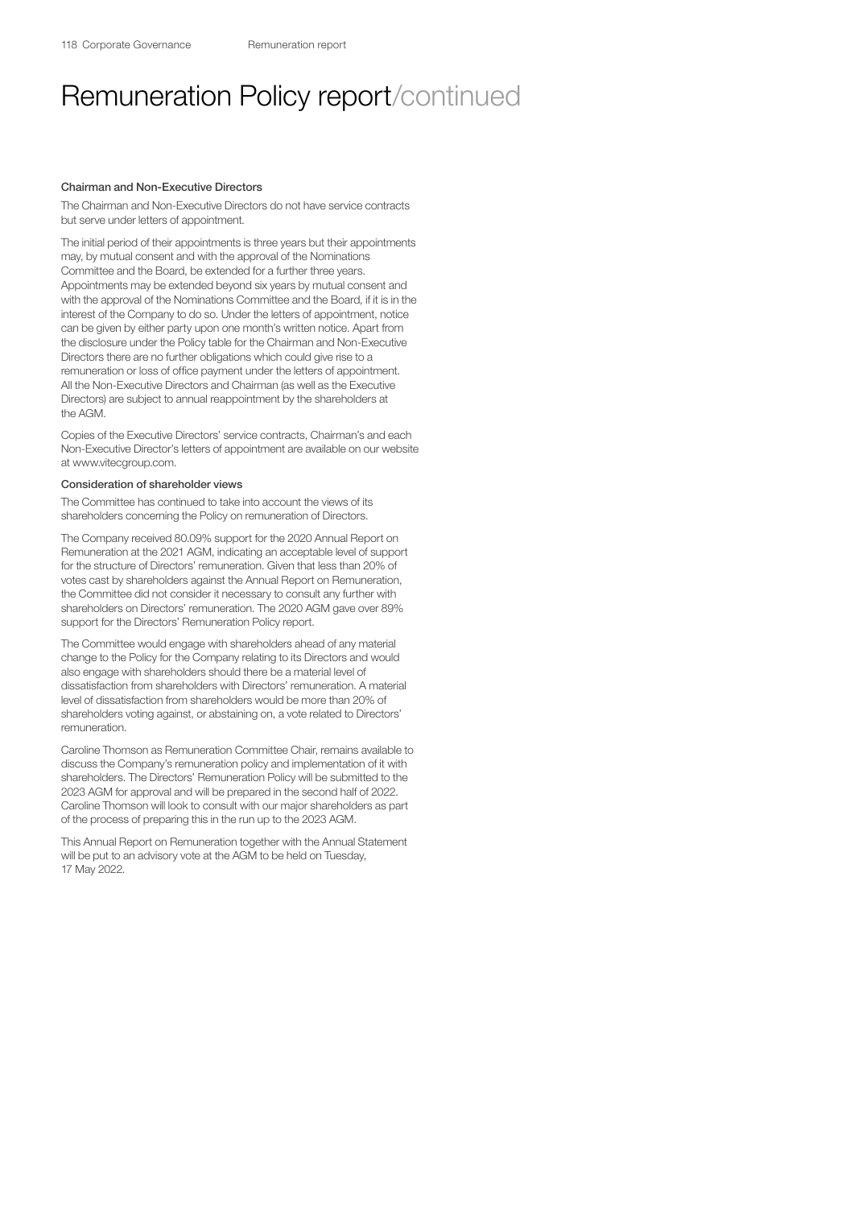### Chairman and Non-Executive Directors

The Chairman and Non-Executive Directors do not have service contracts but serve under letters of appointment.

The initial period of their appointments is three years but their appointments may, by mutual consent and with the approval of the Nominations Committee and the Board, be extended for a further three years. Appointments may be extended beyond six years by mutual consent and with the approval of the Nominations Committee and the Board, if it is in the interest of the Company to do so. Under the letters of appointment, notice can be given by either party upon one month's written notice. Apart from the disclosure under the Policy table for the Chairman and Non-Executive Directors there are no further obligations which could give rise to a remuneration or loss of office payment under the letters of appointment. All the Non-Executive Directors and Chairman (as well as the Executive Directors) are subject to annual reappointment by the shareholders at the AGM.

Copies of the Executive Directors' service contracts, Chairman's and each Non-Executive Director's letters of appointment are available on our website at [www.vitecgroup.com](http://www.vitecgroup.com).

### Consideration of shareholder views

The Committee has continued to take into account the views of its shareholders concerning the Policy on remuneration of Directors.

The Company received 80.09% support for the 2020 Annual Report on Remuneration at the 2021 AGM, indicating an acceptable level of support for the structure of Directors' remuneration. Given that less than 20% of votes cast by shareholders against the Annual Report on Remuneration, the Committee did not consider it necessary to consult any further with shareholders on Directors' remuneration. The 2020 AGM gave over 89% support for the Directors' Remuneration Policy report.

The Committee would engage with shareholders ahead of any material change to the Policy for the Company relating to its Directors and would also engage with shareholders should there be a material level of dissatisfaction from shareholders with Directors' remuneration. A material level of dissatisfaction from shareholders would be more than 20% of shareholders voting against, or abstaining on, a vote related to Directors' remuneration.

Caroline Thomson as Remuneration Committee Chair, remains available to discuss the Company's remuneration policy and implementation of it with shareholders. The Directors' Remuneration Policy will be submitted to the 2023 AGM for approval and will be prepared in the second half of 2022. Caroline Thomson will look to consult with our major shareholders as part of the process of preparing this in the run up to the 2023 AGM.

This Annual Report on Remuneration together with the Annual Statement will be put to an advisory vote at the AGM to be held on Tuesday, 17 May 2022.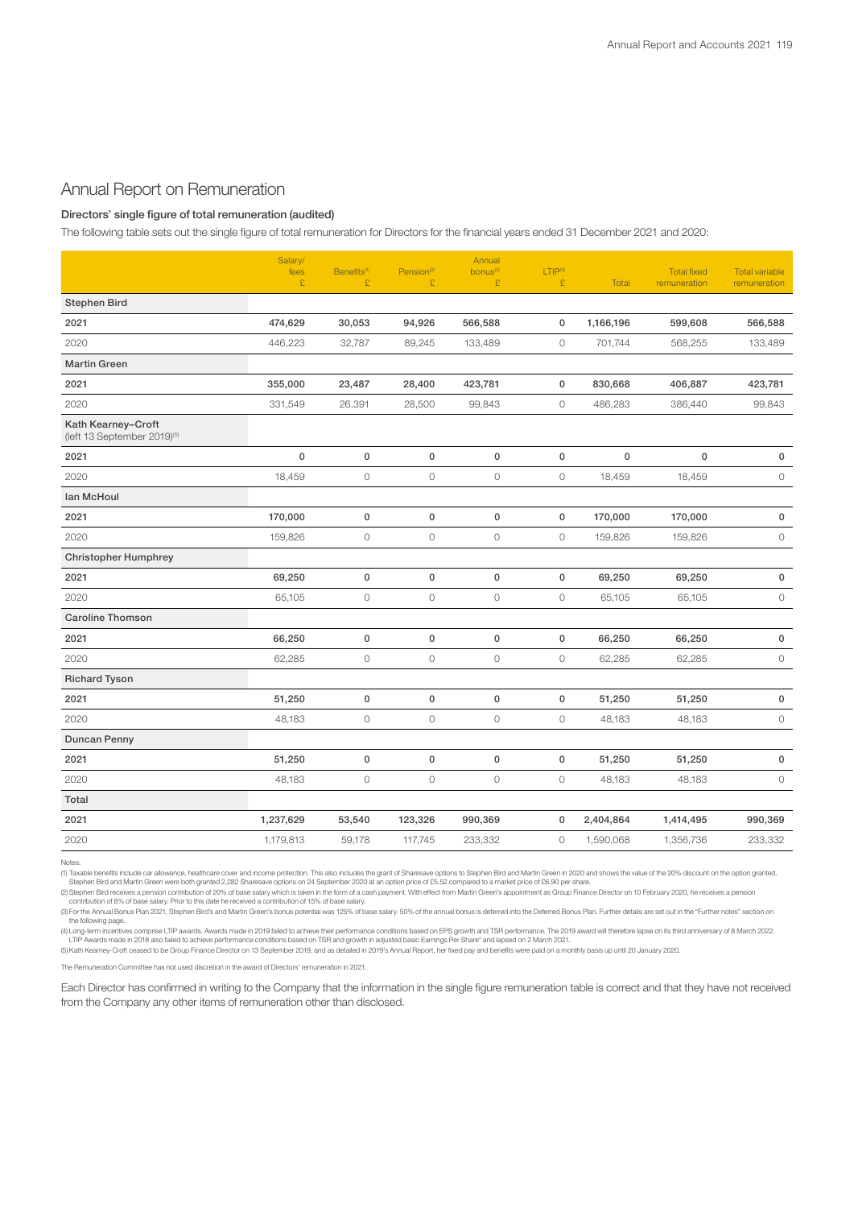## Annual Report on Remuneration

## Directors' single figure of total remuneration (audited)

The following table sets out the single figure of total remuneration for Directors for the financial years ended 31 December 2021 and 2020:

|                                                               | Salary/<br>fees<br>£ | Benefits <sup>(1)</sup><br>£ | Pension <sup>(2)</sup><br>£ | Annual<br>bonus <sup>(3)</sup><br>£ | LTIP <sup>(4)</sup><br>£ | <b>Total</b> | <b>Total fixed</b><br>remuneration | <b>Total variable</b><br>remuneration |
|---------------------------------------------------------------|----------------------|------------------------------|-----------------------------|-------------------------------------|--------------------------|--------------|------------------------------------|---------------------------------------|
| <b>Stephen Bird</b>                                           |                      |                              |                             |                                     |                          |              |                                    |                                       |
| 2021                                                          | 474,629              | 30,053                       | 94,926                      | 566,588                             | 0                        | 1,166,196    | 599,608                            | 566,588                               |
| 2020                                                          | 446,223              | 32,787                       | 89,245                      | 133,489                             | $\circ$                  | 701,744      | 568,255                            | 133,489                               |
| <b>Martin Green</b>                                           |                      |                              |                             |                                     |                          |              |                                    |                                       |
| 2021                                                          | 355,000              | 23,487                       | 28,400                      | 423,781                             | 0                        | 830,668      | 406,887                            | 423,781                               |
| 2020                                                          | 331,549              | 26,391                       | 28,500                      | 99,843                              | $\circ$                  | 486,283      | 386,440                            | 99,843                                |
| Kath Kearney-Croft<br>(left 13 September 2019) <sup>(5)</sup> |                      |                              |                             |                                     |                          |              |                                    |                                       |
| 2021                                                          | $\pmb{0}$            | $\mathbf 0$                  | 0                           | $\mathbf 0$                         | $\mathbf 0$              | $\mathsf 0$  | $\mathsf 0$                        | 0                                     |
| 2020                                                          | 18,459               | $\mathbb O$                  | $\mathsf O$                 | $\mathbb O$                         | $\circ$                  | 18,459       | 18,459                             | $\circ$                               |
| Ian McHoul                                                    |                      |                              |                             |                                     |                          |              |                                    |                                       |
| 2021                                                          | 170,000              | $\pmb{0}$                    | $\mathsf 0$                 | $\mathbf 0$                         | $\mathbf 0$              | 170,000      | 170,000                            | 0                                     |
| 2020                                                          | 159,826              | $\circ$                      | $\circ$                     | $\circ$                             | $\circ$                  | 159,826      | 159,826                            | $\circlearrowright$                   |
| <b>Christopher Humphrey</b>                                   |                      |                              |                             |                                     |                          |              |                                    |                                       |
| 2021                                                          | 69,250               | $\pmb{0}$                    | $\mathsf 0$                 | $\mathbf 0$                         | $\mathsf 0$              | 69,250       | 69,250                             | 0                                     |
| 2020                                                          | 65,105               | $\circ$                      | $\circ$                     | $\circ$                             | $\circ$                  | 65,105       | 65,105                             | $\circ$                               |
| <b>Caroline Thomson</b>                                       |                      |                              |                             |                                     |                          |              |                                    |                                       |
| 2021                                                          | 66,250               | $\mathsf 0$                  | 0                           | $\mathsf 0$                         | $\mathsf 0$              | 66,250       | 66,250                             | $\mathsf 0$                           |
| 2020                                                          | 62,285               | $\circlearrowright$          | $\circ$                     | $\circ$                             | $\circlearrowright$      | 62,285       | 62,285                             | $\circ$                               |
| <b>Richard Tyson</b>                                          |                      |                              |                             |                                     |                          |              |                                    |                                       |
| 2021                                                          | 51,250               | $\mathbf 0$                  | 0                           | $\mathbf 0$                         | $\mathsf 0$              | 51,250       | 51,250                             | $\pmb{0}$                             |
| 2020                                                          | 48,183               | $\circlearrowright$          | $\circ$                     | $\circ$                             | $\circlearrowright$      | 48,183       | 48,183                             | $\mathsf O$                           |
| Duncan Penny                                                  |                      |                              |                             |                                     |                          |              |                                    |                                       |
| 2021                                                          | 51,250               | $\mathbf 0$                  | 0                           | $\mathbf 0$                         | 0                        | 51,250       | 51,250                             | 0                                     |
| 2020                                                          | 48,183               | $\circlearrowright$          | $\circ$                     | $\circ$                             | $\circ$                  | 48,183       | 48,183                             | $\circ$                               |
| Total                                                         |                      |                              |                             |                                     |                          |              |                                    |                                       |
| 2021                                                          | 1,237,629            | 53,540                       | 123,326                     | 990,369                             | $\mathbf 0$              | 2,404,864    | 1,414,495                          | 990,369                               |
| 2020                                                          | 1,179,813            | 59,178                       | 117,745                     | 233,332                             | 0                        | 1,590,068    | 1,356,736                          | 233,332                               |

Notes:

(1) Taxable benefits include car allowance, healthcare cover and income protection. This also includes the grant of Sharesave options to Stephen Bird and Martin Green in 2020 and shows the value of the 20% discount on the

(2) Stephen Bird receives a pension contribution of 20% of base salary which is taken in the form of a cash payment. With effect from Martin Green's appointment as Group Finance Director on 10 February 2020, he receives a

(3) For the Annual Bonus Plan 2021, Stephen Bird's and Martin Green's bonus potential was 125% of base salary. 50% of the annual bonus is deferred into the Deferred Bonus Plan. Further details are set out in the "Further n the following page.

(4) Long-term incentives comprise LTIP awards. Awards made in 2019 failed to achieve their performance conditions based on EPS growth and TSR performance. The 2019 award will therefore lapse on its third anniversary of 8 M

The Remuneration Committee has not used discretion in the award of Directors' remuneration in 2021.

Each Director has confirmed in writing to the Company that the information in the single figure remuneration table is correct and that they have not received from the Company any other items of remuneration other than disclosed.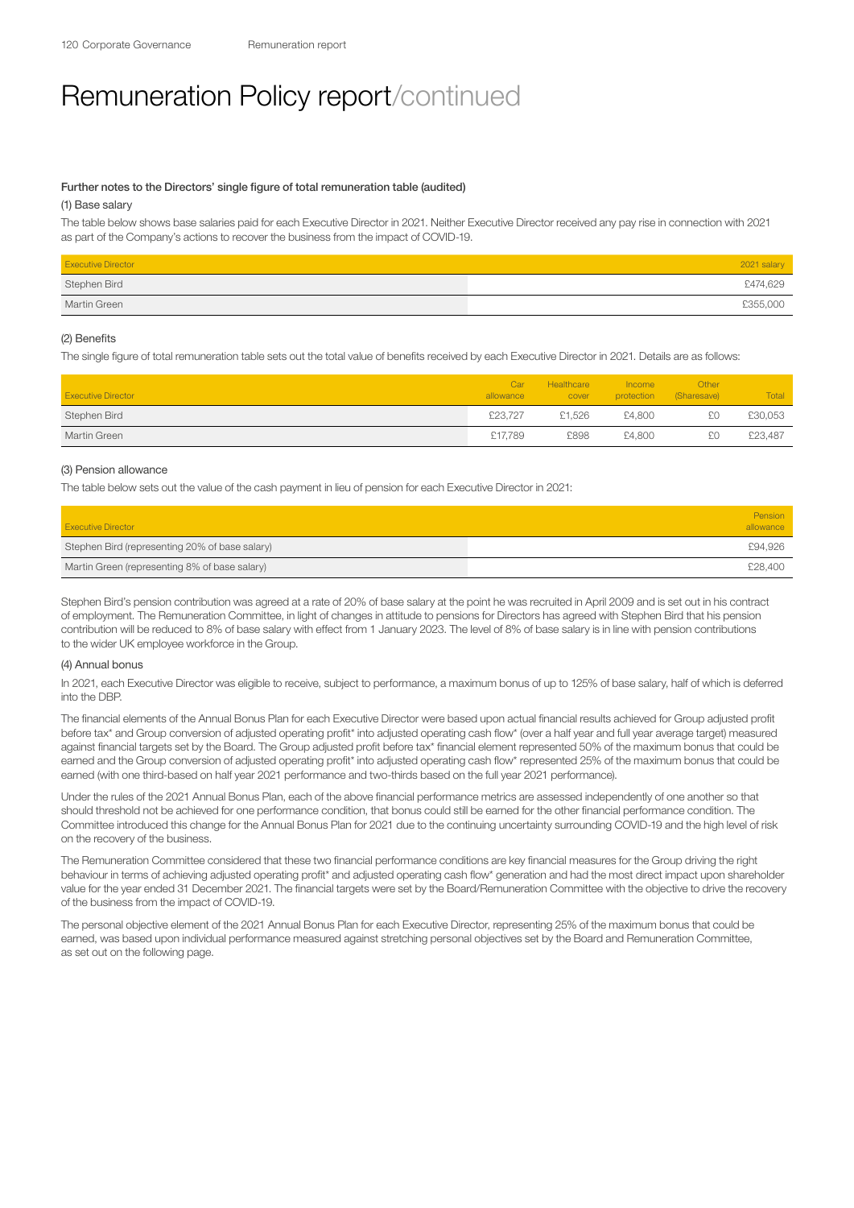## Further notes to the Directors' single figure of total remuneration table (audited)

## (1) Base salary

The table below shows base salaries paid for each Executive Director in 2021. Neither Executive Director received any pay rise in connection with 2021 as part of the Company's actions to recover the business from the impact of COVID-19.

| <b>Executive Director</b> | 2021 salary |
|---------------------------|-------------|
| Stephen Bird              | £474,629    |
| Martin Green              | £355,000    |

## (2) Benefits

The single figure of total remuneration table sets out the total value of benefits received by each Executive Director in 2021. Details are as follows:

| <b>Executive Director</b> | Car<br>allowance | Healthcare<br>cover | <b>Income</b><br>protection | Other<br>(Sharesave) | Total   |
|---------------------------|------------------|---------------------|-----------------------------|----------------------|---------|
| Stephen Bird              | £23.727          | £1.526              | £4,800                      | £0                   | £30,053 |
| Martin Green              | £17.789          | £898                | £4,800                      | £0                   | £23,487 |

### (3) Pension allowance

The table below sets out the value of the cash payment in lieu of pension for each Executive Director in 2021:

| <b>Executive Director</b>                      | Pension<br>allowance |
|------------------------------------------------|----------------------|
| Stephen Bird (representing 20% of base salary) | £94,926              |
| Martin Green (representing 8% of base salary)  | £28,400              |

Stephen Bird's pension contribution was agreed at a rate of 20% of base salary at the point he was recruited in April 2009 and is set out in his contract of employment. The Remuneration Committee, in light of changes in attitude to pensions for Directors has agreed with Stephen Bird that his pension contribution will be reduced to 8% of base salary with effect from 1 January 2023. The level of 8% of base salary is in line with pension contributions to the wider UK employee workforce in the Group.

## (4) Annual bonus

In 2021, each Executive Director was eligible to receive, subject to performance, a maximum bonus of up to 125% of base salary, half of which is deferred into the DBP.

The financial elements of the Annual Bonus Plan for each Executive Director were based upon actual financial results achieved for Group adjusted profit before tax\* and Group conversion of adjusted operating profit\* into adjusted operating cash flow\* (over a half year and full year average target) measured against financial targets set by the Board. The Group adjusted profit before tax\* financial element represented 50% of the maximum bonus that could be earned and the Group conversion of adjusted operating profit\* into adjusted operating cash flow\* represented 25% of the maximum bonus that could be earned (with one third-based on half year 2021 performance and two-thirds based on the full year 2021 performance).

Under the rules of the 2021 Annual Bonus Plan, each of the above financial performance metrics are assessed independently of one another so that should threshold not be achieved for one performance condition, that bonus could still be earned for the other financial performance condition. The Committee introduced this change for the Annual Bonus Plan for 2021 due to the continuing uncertainty surrounding COVID-19 and the high level of risk on the recovery of the business.

The Remuneration Committee considered that these two financial performance conditions are key financial measures for the Group driving the right behaviour in terms of achieving adjusted operating profit\* and adjusted operating cash flow\* generation and had the most direct impact upon shareholder value for the year ended 31 December 2021. The financial targets were set by the Board/Remuneration Committee with the objective to drive the recovery of the business from the impact of COVID-19.

The personal objective element of the 2021 Annual Bonus Plan for each Executive Director, representing 25% of the maximum bonus that could be earned, was based upon individual performance measured against stretching personal objectives set by the Board and Remuneration Committee. as set out on the following page.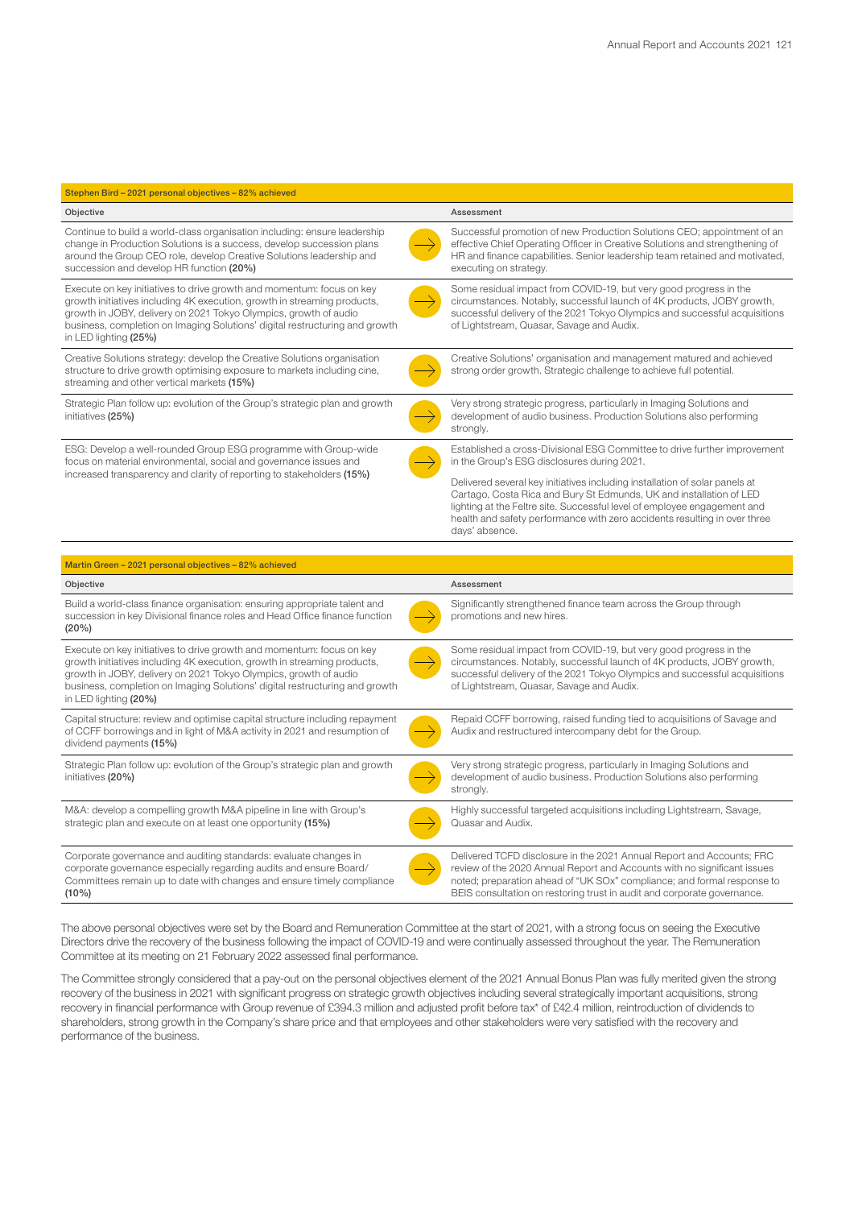| Stephen Bird - 2021 personal objectives - 82% achieved                                                                                                                                                                                                                                                                        |  |                                                                                                                                                                                                                                                                                                                               |
|-------------------------------------------------------------------------------------------------------------------------------------------------------------------------------------------------------------------------------------------------------------------------------------------------------------------------------|--|-------------------------------------------------------------------------------------------------------------------------------------------------------------------------------------------------------------------------------------------------------------------------------------------------------------------------------|
| Objective                                                                                                                                                                                                                                                                                                                     |  | Assessment                                                                                                                                                                                                                                                                                                                    |
| Continue to build a world-class organisation including: ensure leadership<br>change in Production Solutions is a success, develop succession plans<br>around the Group CEO role, develop Creative Solutions leadership and<br>succession and develop HR function (20%)                                                        |  | Successful promotion of new Production Solutions CEO; appointment of an<br>effective Chief Operating Officer in Creative Solutions and strengthening of<br>HR and finance capabilities. Senior leadership team retained and motivated,<br>executing on strategy.                                                              |
| Execute on key initiatives to drive growth and momentum: focus on key<br>growth initiatives including 4K execution, growth in streaming products,<br>growth in JOBY, delivery on 2021 Tokyo Olympics, growth of audio<br>business, completion on Imaging Solutions' digital restructuring and growth<br>in LED lighting (25%) |  | Some residual impact from COVID-19, but very good progress in the<br>circumstances. Notably, successful launch of 4K products, JOBY growth,<br>successful delivery of the 2021 Tokyo Olympics and successful acquisitions<br>of Lightstream, Quasar, Savage and Audix.                                                        |
| Creative Solutions strategy: develop the Creative Solutions organisation<br>structure to drive growth optimising exposure to markets including cine,<br>streaming and other vertical markets (15%)                                                                                                                            |  | Creative Solutions' organisation and management matured and achieved<br>strong order growth. Strategic challenge to achieve full potential.                                                                                                                                                                                   |
| Strategic Plan follow up: evolution of the Group's strategic plan and growth<br>initiatives (25%)                                                                                                                                                                                                                             |  | Very strong strategic progress, particularly in Imaging Solutions and<br>development of audio business. Production Solutions also performing<br>strongly.                                                                                                                                                                     |
| ESG: Develop a well-rounded Group ESG programme with Group-wide<br>focus on material environmental, social and governance issues and                                                                                                                                                                                          |  | Established a cross-Divisional ESG Committee to drive further improvement<br>in the Group's ESG disclosures during 2021.                                                                                                                                                                                                      |
| increased transparency and clarity of reporting to stakeholders (15%)                                                                                                                                                                                                                                                         |  | Delivered several key initiatives including installation of solar panels at<br>Cartago, Costa Rica and Bury St Edmunds, UK and installation of LED<br>lighting at the Feltre site. Successful level of employee engagement and<br>health and safety performance with zero accidents resulting in over three<br>days' absence. |
|                                                                                                                                                                                                                                                                                                                               |  |                                                                                                                                                                                                                                                                                                                               |
| Martin Green - 2021 personal objectives - 82% achieved                                                                                                                                                                                                                                                                        |  |                                                                                                                                                                                                                                                                                                                               |
| Objective                                                                                                                                                                                                                                                                                                                     |  | Assessment                                                                                                                                                                                                                                                                                                                    |

| Objective                                                                                                                                                                                                                                                                                                                     | Assessment                                                                                                                                                                                                                                                                                              |
|-------------------------------------------------------------------------------------------------------------------------------------------------------------------------------------------------------------------------------------------------------------------------------------------------------------------------------|---------------------------------------------------------------------------------------------------------------------------------------------------------------------------------------------------------------------------------------------------------------------------------------------------------|
| Build a world-class finance organisation: ensuring appropriate talent and<br>succession in key Divisional finance roles and Head Office finance function<br>(20%)                                                                                                                                                             | Significantly strengthened finance team across the Group through<br>promotions and new hires.                                                                                                                                                                                                           |
| Execute on key initiatives to drive growth and momentum: focus on key<br>growth initiatives including 4K execution, growth in streaming products,<br>growth in JOBY, delivery on 2021 Tokyo Olympics, growth of audio<br>business, completion on Imaging Solutions' digital restructuring and growth<br>in LED lighting (20%) | Some residual impact from COVID-19, but very good progress in the<br>circumstances. Notably, successful launch of 4K products, JOBY growth,<br>successful delivery of the 2021 Tokyo Olympics and successful acquisitions<br>of Lightstream, Quasar, Savage and Audix.                                  |
| Capital structure: review and optimise capital structure including repayment<br>of CCFF borrowings and in light of M&A activity in 2021 and resumption of<br>dividend payments (15%)                                                                                                                                          | Repaid CCFF borrowing, raised funding tied to acquisitions of Savage and<br>Audix and restructured intercompany debt for the Group.                                                                                                                                                                     |
| Strategic Plan follow up: evolution of the Group's strategic plan and growth<br>initiatives (20%)                                                                                                                                                                                                                             | Very strong strategic progress, particularly in Imaging Solutions and<br>development of audio business. Production Solutions also performing<br>strongly.                                                                                                                                               |
| M&A: develop a compelling growth M&A pipeline in line with Group's<br>strategic plan and execute on at least one opportunity (15%)                                                                                                                                                                                            | Highly successful targeted acquisitions including Lightstream, Savage,<br>Quasar and Audix.                                                                                                                                                                                                             |
| Corporate governance and auditing standards: evaluate changes in<br>corporate governance especially regarding audits and ensure Board/<br>Committees remain up to date with changes and ensure timely compliance<br>$(10\%)$                                                                                                  | Delivered TCFD disclosure in the 2021 Annual Report and Accounts; FRC<br>review of the 2020 Annual Report and Accounts with no significant issues<br>noted; preparation ahead of "UK SOx" compliance; and formal response to<br>BEIS consultation on restoring trust in audit and corporate governance. |

The above personal objectives were set by the Board and Remuneration Committee at the start of 2021, with a strong focus on seeing the Executive Directors drive the recovery of the business following the impact of COVID-19 and were continually assessed throughout the year. The Remuneration Committee at its meeting on 21 February 2022 assessed final performance.

The Committee strongly considered that a pay-out on the personal objectives element of the 2021 Annual Bonus Plan was fully merited given the strong recovery of the business in 2021 with significant progress on strategic growth objectives including several strategically important acquisitions, strong recovery in financial performance with Group revenue of £394.3 million and adjusted profit before tax\* of £42.4 million, reintroduction of dividends to shareholders, strong growth in the Company's share price and that employees and other stakeholders were very satisfied with the recovery and performance of the business.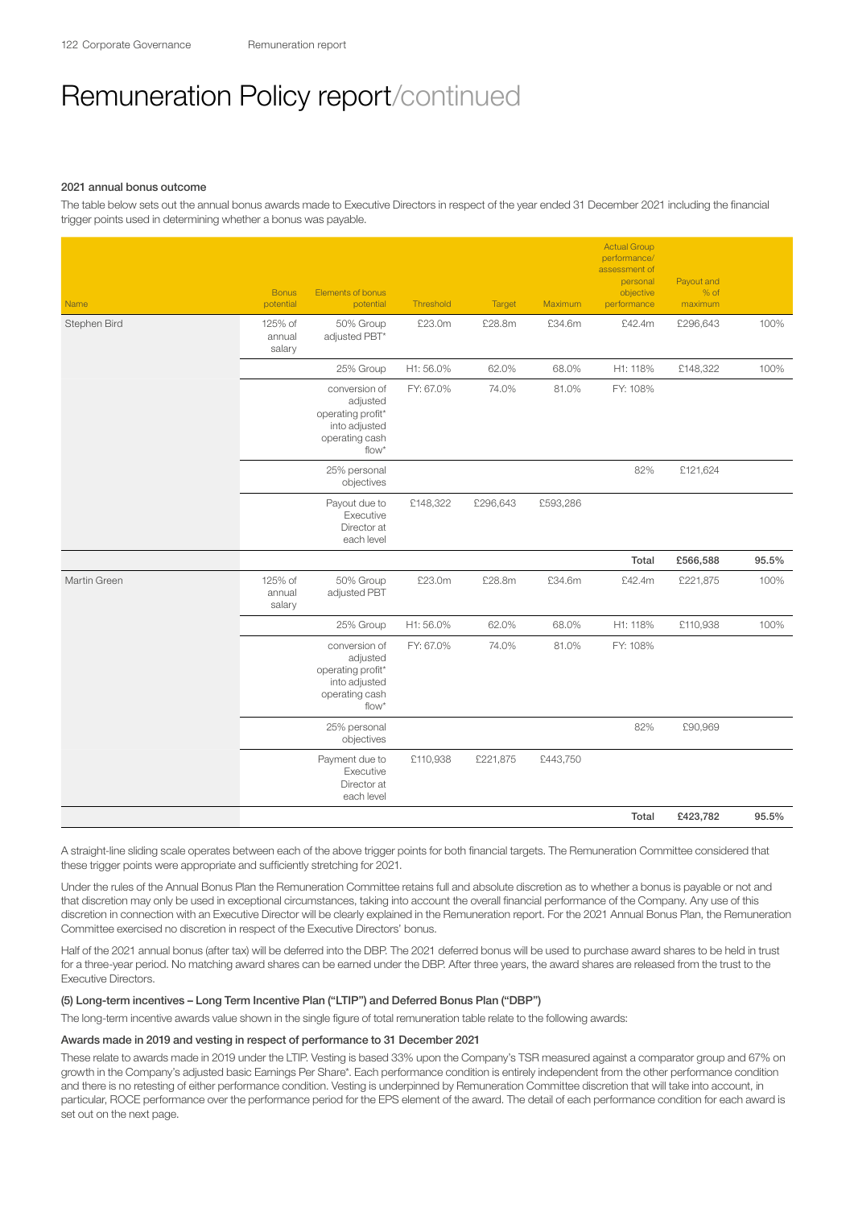#### 2021 annual bonus outcome

The table below sets out the annual bonus awards made to Executive Directors in respect of the year ended 31 December 2021 including the financial trigger points used in determining whether a bonus was payable.

| <b>Name</b>  | <b>Bonus</b><br>potential   | Elements of bonus<br>potential                                                             | Threshold | Target   | Maximum  | <b>Actual Group</b><br>performance/<br>assessment of<br>personal<br>objective<br>performance | Payout and<br>$%$ of<br>maximum |       |
|--------------|-----------------------------|--------------------------------------------------------------------------------------------|-----------|----------|----------|----------------------------------------------------------------------------------------------|---------------------------------|-------|
| Stephen Bird | 125% of<br>annual<br>salary | 50% Group<br>adjusted PBT*                                                                 | £23.0m    | £28.8m   | £34.6m   | £42.4m                                                                                       | £296,643                        | 100%  |
|              |                             | 25% Group                                                                                  | H1:56.0%  | 62.0%    | 68.0%    | H1: 118%                                                                                     | £148,322                        | 100%  |
|              |                             | conversion of<br>adjusted<br>operating profit*<br>into adjusted<br>operating cash<br>flow* | FY: 67.0% | 74.0%    | 81.0%    | FY: 108%                                                                                     |                                 |       |
|              |                             | 25% personal<br>objectives                                                                 |           |          |          | 82%                                                                                          | £121,624                        |       |
|              |                             | Payout due to<br>Executive<br>Director at<br>each level                                    | £148,322  | £296,643 | £593,286 |                                                                                              |                                 |       |
|              |                             |                                                                                            |           |          |          | Total                                                                                        | £566,588                        | 95.5% |
| Martin Green | 125% of<br>annual<br>salary | 50% Group<br>adjusted PBT                                                                  | £23.0m    | £28.8m   | £34.6m   | £42.4m                                                                                       | £221,875                        | 100%  |
|              |                             | 25% Group                                                                                  | H1:56.0%  | 62.0%    | 68.0%    | H1: 118%                                                                                     | £110,938                        | 100%  |
|              |                             | conversion of<br>adjusted<br>operating profit*<br>into adjusted<br>operating cash<br>flow* | FY: 67.0% | 74.0%    | 81.0%    | FY: 108%                                                                                     |                                 |       |
|              |                             | 25% personal<br>objectives                                                                 |           |          |          | 82%                                                                                          | £90,969                         |       |
|              |                             | Payment due to<br>Executive<br>Director at<br>each level                                   | £110,938  | £221,875 | £443,750 |                                                                                              |                                 |       |
|              |                             |                                                                                            |           |          |          | Total                                                                                        | £423,782                        | 95.5% |

A straight-line sliding scale operates between each of the above trigger points for both financial targets. The Remuneration Committee considered that these trigger points were appropriate and sufficiently stretching for 2021.

Under the rules of the Annual Bonus Plan the Remuneration Committee retains full and absolute discretion as to whether a bonus is payable or not and that discretion may only be used in exceptional circumstances, taking into account the overall financial performance of the Company. Any use of this discretion in connection with an Executive Director will be clearly explained in the Remuneration report. For the 2021 Annual Bonus Plan, the Remuneration Committee exercised no discretion in respect of the Executive Directors' bonus.

Half of the 2021 annual bonus (after tax) will be deferred into the DBP. The 2021 deferred bonus will be used to purchase award shares to be held in trust for a three-year period. No matching award shares can be earned under the DBP. After three years, the award shares are released from the trust to the Executive Directors.

## (5) Long-term incentives – Long Term Incentive Plan ("LTIP") and Deferred Bonus Plan ("DBP")

The long-term incentive awards value shown in the single figure of total remuneration table relate to the following awards:

## Awards made in 2019 and vesting in respect of performance to 31 December 2021

These relate to awards made in 2019 under the LTIP. Vesting is based 33% upon the Company's TSR measured against a comparator group and 67% on growth in the Company's adjusted basic Earnings Per Share\*. Each performance condition is entirely independent from the other performance condition and there is no retesting of either performance condition. Vesting is underpinned by Remuneration Committee discretion that will take into account, in particular, ROCE performance over the performance period for the EPS element of the award. The detail of each performance condition for each award is set out on the next page.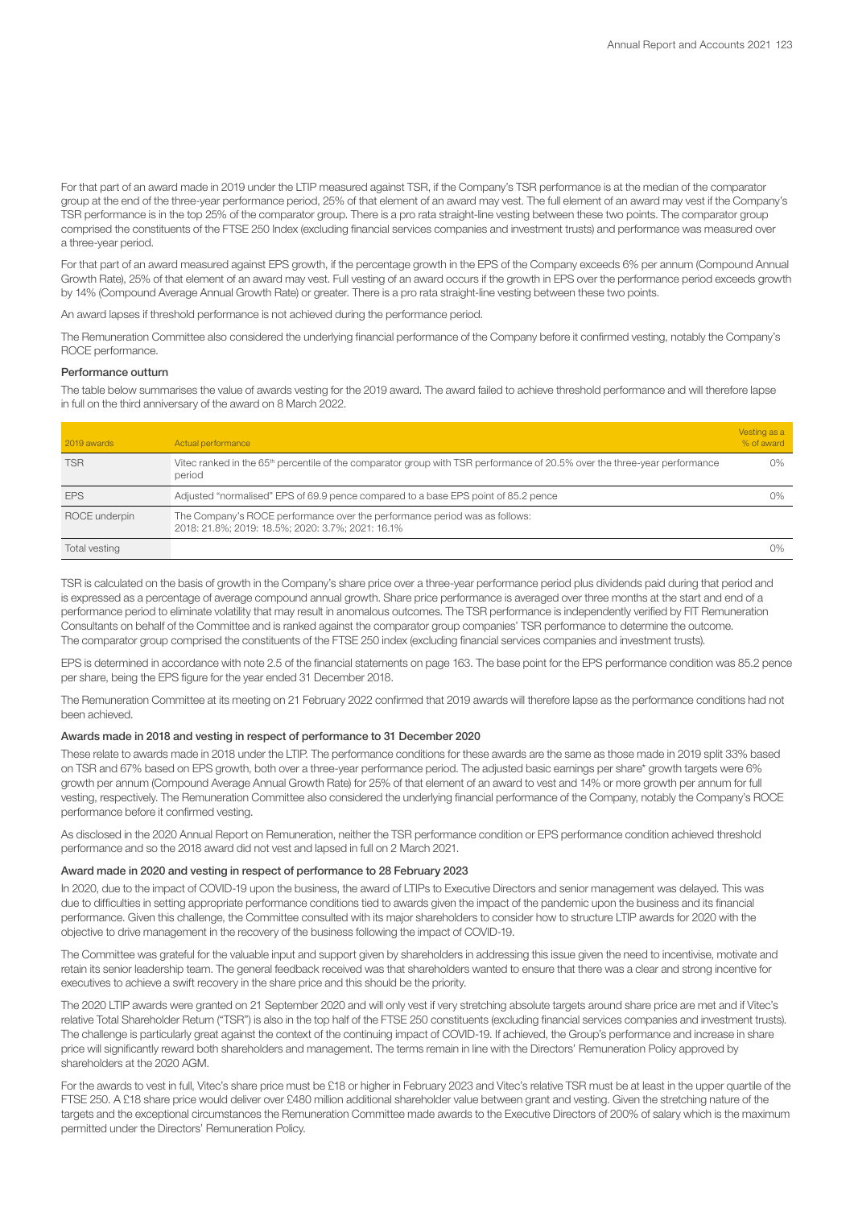For that part of an award made in 2019 under the LTIP measured against TSR, if the Company's TSR performance is at the median of the comparator group at the end of the three-year performance period, 25% of that element of an award may vest. The full element of an award may vest if the Company's TSR performance is in the top 25% of the comparator group. There is a pro rata straight-line vesting between these two points. The comparator group comprised the constituents of the FTSE 250 Index (excluding financial services companies and investment trusts) and performance was measured over a three-year period.

For that part of an award measured against EPS growth, if the percentage growth in the EPS of the Company exceeds 6% per annum (Compound Annual Growth Rate), 25% of that element of an award may vest. Full vesting of an award occurs if the growth in EPS over the performance period exceeds growth by 14% (Compound Average Annual Growth Rate) or greater. There is a pro rata straight-line vesting between these two points.

An award lapses if threshold performance is not achieved during the performance period.

The Remuneration Committee also considered the underlying financial performance of the Company before it confirmed vesting, notably the Company's ROCE performance.

## Performance outturn

The table below summarises the value of awards vesting for the 2019 award. The award failed to achieve threshold performance and will therefore lapse in full on the third anniversary of the award on 8 March 2022.

| 2019 awards   | Actual performance                                                                                                                              | Vesting as a<br>% of award |
|---------------|-------------------------------------------------------------------------------------------------------------------------------------------------|----------------------------|
| TSR           | Vitec ranked in the 65 <sup>th</sup> percentile of the comparator group with TSR performance of 20.5% over the three-year performance<br>period | 0%                         |
| <b>EPS</b>    | Adjusted "normalised" EPS of 69.9 pence compared to a base EPS point of 85.2 pence                                                              | 0%                         |
| ROCE underpin | The Company's ROCE performance over the performance period was as follows:<br>2018: 21.8%; 2019: 18.5%; 2020: 3.7%; 2021: 16.1%                 |                            |
| Total vesting |                                                                                                                                                 | 0%                         |

TSR is calculated on the basis of growth in the Company's share price over a three-year performance period plus dividends paid during that period and is expressed as a percentage of average compound annual growth. Share price performance is averaged over three months at the start and end of a performance period to eliminate volatility that may result in anomalous outcomes. The TSR performance is independently verified by FIT Remuneration Consultants on behalf of the Committee and is ranked against the comparator group companies' TSR performance to determine the outcome. The comparator group comprised the constituents of the FTSE 250 index (excluding financial services companies and investment trusts).

EPS is determined in accordance with note 2.5 of the financial statements on page 163. The base point for the EPS performance condition was 85.2 pence per share, being the EPS figure for the year ended 31 December 2018.

The Remuneration Committee at its meeting on 21 February 2022 confirmed that 2019 awards will therefore lapse as the performance conditions had not been achieved.

## Awards made in 2018 and vesting in respect of performance to 31 December 2020

These relate to awards made in 2018 under the LTIP. The performance conditions for these awards are the same as those made in 2019 split 33% based on TSR and 67% based on EPS growth, both over a three-year performance period. The adjusted basic earnings per share\* growth targets were 6% growth per annum (Compound Average Annual Growth Rate) for 25% of that element of an award to vest and 14% or more growth per annum for full vesting, respectively. The Remuneration Committee also considered the underlying financial performance of the Company, notably the Company's ROCE performance before it confirmed vesting.

As disclosed in the 2020 Annual Report on Remuneration, neither the TSR performance condition or EPS performance condition achieved threshold performance and so the 2018 award did not vest and lapsed in full on 2 March 2021.

## Award made in 2020 and vesting in respect of performance to 28 February 2023

In 2020, due to the impact of COVID-19 upon the business, the award of LTIPs to Executive Directors and senior management was delayed. This was due to difficulties in setting appropriate performance conditions tied to awards given the impact of the pandemic upon the business and its financial performance. Given this challenge, the Committee consulted with its major shareholders to consider how to structure LTIP awards for 2020 with the objective to drive management in the recovery of the business following the impact of COVID-19.

The Committee was grateful for the valuable input and support given by shareholders in addressing this issue given the need to incentivise, motivate and retain its senior leadership team. The general feedback received was that shareholders wanted to ensure that there was a clear and strong incentive for executives to achieve a swift recovery in the share price and this should be the priority.

The 2020 LTIP awards were granted on 21 September 2020 and will only vest if very stretching absolute targets around share price are met and if Vitec's relative Total Shareholder Return ("TSR") is also in the top half of the FTSE 250 constituents (excluding financial services companies and investment trusts). The challenge is particularly great against the context of the continuing impact of COVID-19. If achieved, the Group's performance and increase in share price will significantly reward both shareholders and management. The terms remain in line with the Directors' Remuneration Policy approved by shareholders at the 2020 AGM.

For the awards to vest in full, Vitec's share price must be £18 or higher in February 2023 and Vitec's relative TSR must be at least in the upper quartile of the FTSE 250. A £18 share price would deliver over £480 million additional shareholder value between grant and vesting. Given the stretching nature of the targets and the exceptional circumstances the Remuneration Committee made awards to the Executive Directors of 200% of salary which is the maximum permitted under the Directors' Remuneration Policy.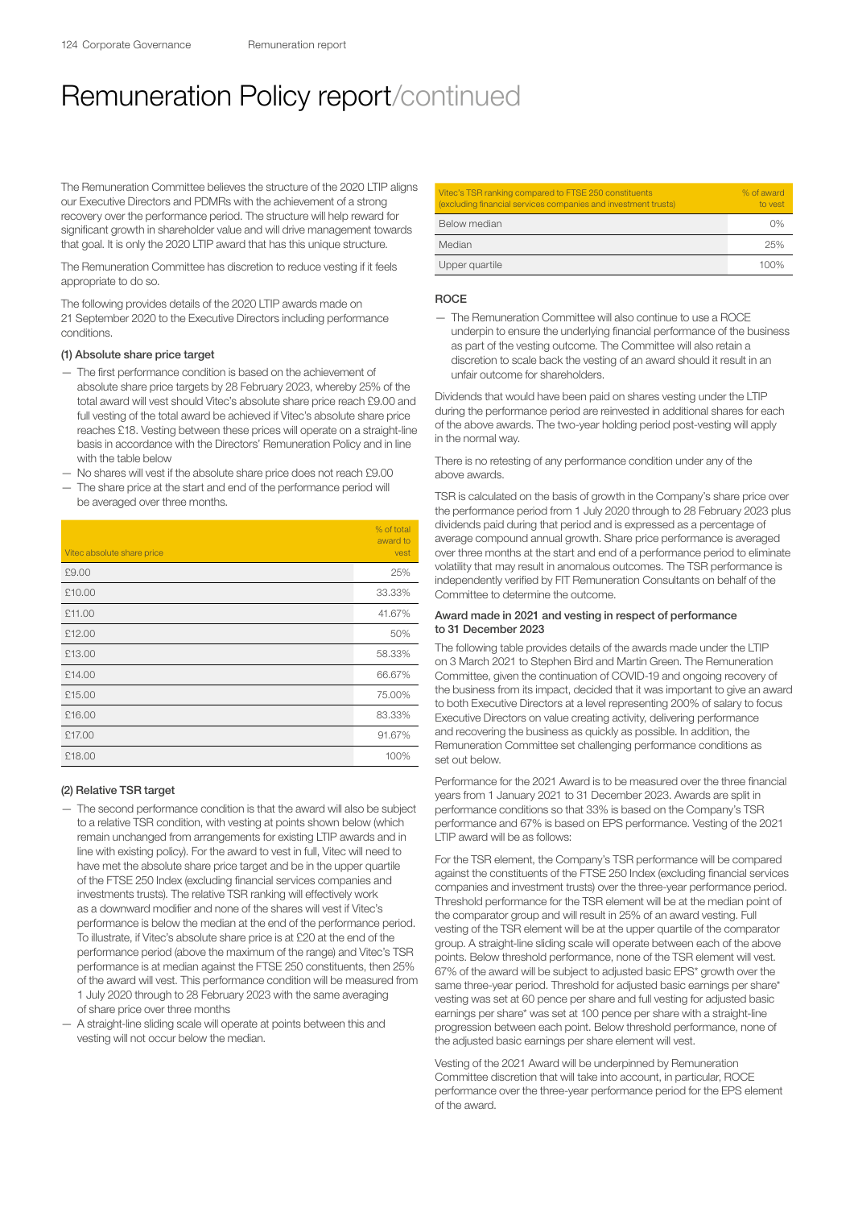The Remuneration Committee believes the structure of the 2020 LTIP aligns our Executive Directors and PDMRs with the achievement of a strong recovery over the performance period. The structure will help reward for significant growth in shareholder value and will drive management towards that goal. It is only the 2020 LTIP award that has this unique structure.

The Remuneration Committee has discretion to reduce vesting if it feels appropriate to do so.

The following provides details of the 2020 LTIP awards made on 21 September 2020 to the Executive Directors including performance conditions.

#### (1) Absolute share price target

- The first performance condition is based on the achievement of absolute share price targets by 28 February 2023, whereby 25% of the total award will vest should Vitec's absolute share price reach £9.00 and full vesting of the total award be achieved if Vitec's absolute share price reaches £18. Vesting between these prices will operate on a straight-line basis in accordance with the Directors' Remuneration Policy and in line with the table below
- No shares will vest if the absolute share price does not reach £9.00 The share price at the start and end of the performance period will
- be averaged over three months.

|                            | % of total<br>award to |
|----------------------------|------------------------|
| Vitec absolute share price | vest                   |
| £9.00                      | 25%                    |
| £10.00                     | 33.33%                 |
| £11.00                     | 41.67%                 |
| £12.00                     | 50%                    |
| £13.00                     | 58.33%                 |
| £14.00                     | 66.67%                 |
| £15.00                     | 75.00%                 |
| £16.00                     | 83.33%                 |
| £17.00                     | 91.67%                 |
| £18.00                     | 100%                   |

#### (2) Relative TSR target

- The second performance condition is that the award will also be subject to a relative TSR condition, with vesting at points shown below (which remain unchanged from arrangements for existing LTIP awards and in line with existing policy). For the award to vest in full, Vitec will need to have met the absolute share price target and be in the upper quartile of the FTSE 250 Index (excluding financial services companies and investments trusts). The relative TSR ranking will effectively work as a downward modifier and none of the shares will vest if Vitec's performance is below the median at the end of the performance period. To illustrate, if Vitec's absolute share price is at £20 at the end of the performance period (above the maximum of the range) and Vitec's TSR performance is at median against the FTSE 250 constituents, then 25% of the award will vest. This performance condition will be measured from 1 July 2020 through to 28 February 2023 with the same averaging of share price over three months
- A straight-line sliding scale will operate at points between this and vesting will not occur below the median.

| Vitec's TSR ranking compared to FTSE 250 constituents<br>(excluding financial services companies and investment trusts) | % of award<br>to yest |
|-------------------------------------------------------------------------------------------------------------------------|-----------------------|
| Below median                                                                                                            | 0%                    |
| Median                                                                                                                  | 25%                   |
| Upper quartile                                                                                                          | 100%                  |

## **ROCE**

— The Remuneration Committee will also continue to use a ROCE underpin to ensure the underlying financial performance of the business as part of the vesting outcome. The Committee will also retain a discretion to scale back the vesting of an award should it result in an unfair outcome for shareholders.

Dividends that would have been paid on shares vesting under the LTIP during the performance period are reinvested in additional shares for each of the above awards. The two-year holding period post-vesting will apply in the normal way.

There is no retesting of any performance condition under any of the above awards.

TSR is calculated on the basis of growth in the Company's share price over the performance period from 1 July 2020 through to 28 February 2023 plus dividends paid during that period and is expressed as a percentage of average compound annual growth. Share price performance is averaged over three months at the start and end of a performance period to eliminate volatility that may result in anomalous outcomes. The TSR performance is independently verified by FIT Remuneration Consultants on behalf of the Committee to determine the outcome.

## Award made in 2021 and vesting in respect of performance to 31 December 2023

The following table provides details of the awards made under the LTIP on 3 March 2021 to Stephen Bird and Martin Green. The Remuneration Committee, given the continuation of COVID-19 and ongoing recovery of the business from its impact, decided that it was important to give an award to both Executive Directors at a level representing 200% of salary to focus Executive Directors on value creating activity, delivering performance and recovering the business as quickly as possible. In addition, the Remuneration Committee set challenging performance conditions as set out below.

Performance for the 2021 Award is to be measured over the three financial years from 1 January 2021 to 31 December 2023. Awards are split in performance conditions so that 33% is based on the Company's TSR performance and 67% is based on EPS performance. Vesting of the 2021 LTIP award will be as follows:

For the TSR element, the Company's TSR performance will be compared against the constituents of the FTSE 250 Index (excluding financial services companies and investment trusts) over the three-year performance period. Threshold performance for the TSR element will be at the median point of the comparator group and will result in 25% of an award vesting. Full vesting of the TSR element will be at the upper quartile of the comparator group. A straight-line sliding scale will operate between each of the above points. Below threshold performance, none of the TSR element will vest. 67% of the award will be subject to adjusted basic EPS\* growth over the same three-year period. Threshold for adjusted basic earnings per share\* vesting was set at 60 pence per share and full vesting for adjusted basic earnings per share\* was set at 100 pence per share with a straight-line progression between each point. Below threshold performance, none of the adjusted basic earnings per share element will vest.

Vesting of the 2021 Award will be underpinned by Remuneration Committee discretion that will take into account, in particular, ROCE performance over the three-year performance period for the EPS element of the award.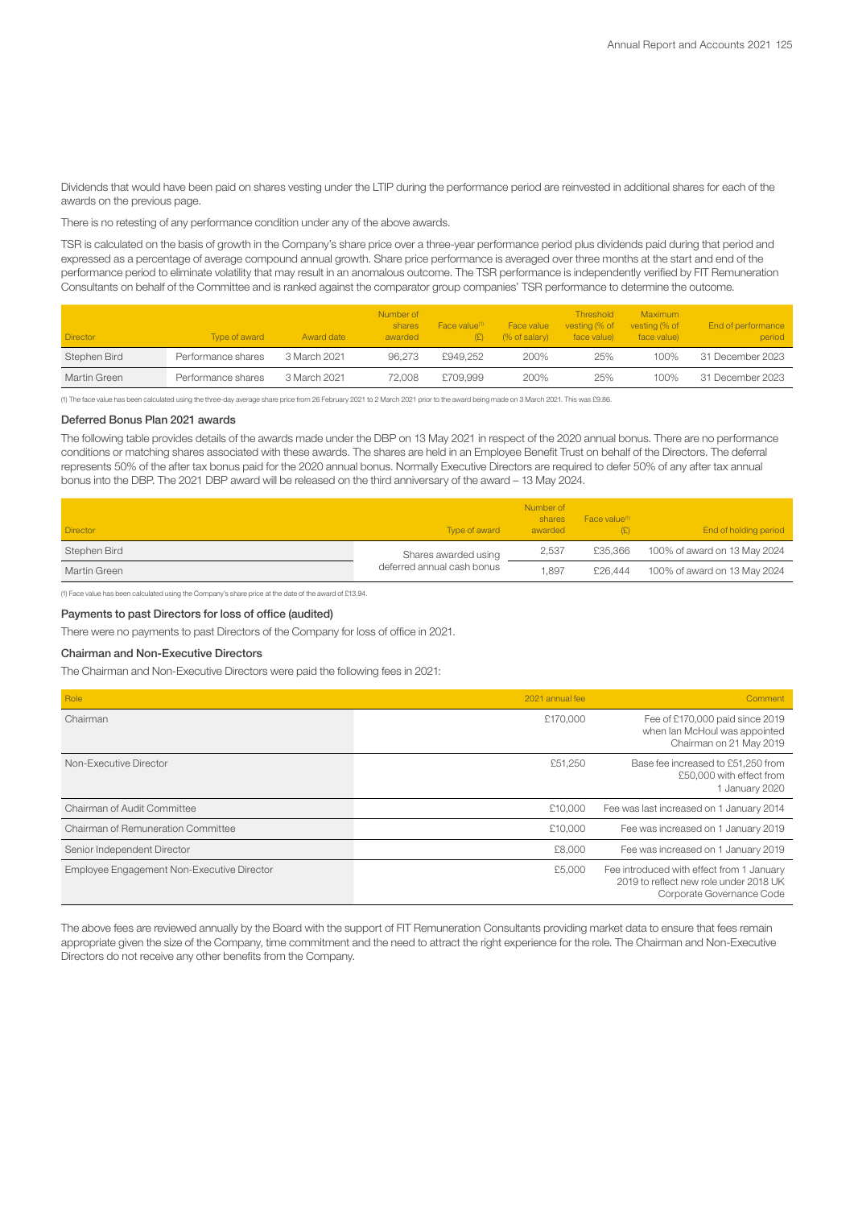Dividends that would have been paid on shares vesting under the LTIP during the performance period are reinvested in additional shares for each of the awards on the previous page.

There is no retesting of any performance condition under any of the above awards.

TSR is calculated on the basis of growth in the Company's share price over a three-year performance period plus dividends paid during that period and expressed as a percentage of average compound annual growth. Share price performance is averaged over three months at the start and end of the performance period to eliminate volatility that may result in an anomalous outcome. The TSR performance is independently verified by FIT Remuneration Consultants on behalf of the Committee and is ranked against the comparator group companies' TSR performance to determine the outcome.

| <b>Director</b> | Type of award      | Award date   | Number of<br>shares<br>awarded | Face value <sup>(1)</sup><br>(£) | Face value<br>$%$ of salary) | <b>Threshold</b><br>vesting (% of<br>face value) | Maximum<br>vesting (% of<br>face value) | End of performance<br>period |
|-----------------|--------------------|--------------|--------------------------------|----------------------------------|------------------------------|--------------------------------------------------|-----------------------------------------|------------------------------|
| Stephen Bird    | Performance shares | 3 March 2021 | 96.273                         | £949.252                         | 200%                         | 25%                                              | 100%                                    | 31 December 2023             |
| Martin Green    | Performance shares | 3 March 2021 | 72.008                         | £709.999                         | 200%                         | 25%                                              | 100%                                    | 31 December 2023             |

(1) The face value has been calculated using the three-day average share price from 26 February 2021 to 2 March 2021 prior to the award being made on 3 March 2021. This was £9.86.

## Deferred Bonus Plan 2021 awards

The following table provides details of the awards made under the DBP on 13 May 2021 in respect of the 2020 annual bonus. There are no performance conditions or matching shares associated with these awards. The shares are held in an Employee Benefit Trust on behalf of the Directors. The deferral represents 50% of the after tax bonus paid for the 2020 annual bonus. Normally Executive Directors are required to defer 50% of any after tax annual bonus into the DBP. The 2021 DBP award will be released on the third anniversary of the award – 13 May 2024.

| <b>Director</b> | Type of award              | Number of<br>shares<br>awarded | Face value <sup>(1)</sup> | End of holding period        |
|-----------------|----------------------------|--------------------------------|---------------------------|------------------------------|
| Stephen Bird    | Shares awarded using       | 2,537                          | £35.366                   | 100% of award on 13 May 2024 |
| Martin Green    | deferred annual cash bonus | 1.897                          | £26,444                   | 100% of award on 13 May 2024 |

(1) Face value has been calculated using the Company's share price at the date of the award of £13.94.

## Payments to past Directors for loss of office (audited)

There were no payments to past Directors of the Company for loss of office in 2021.

## Chairman and Non-Executive Directors

The Chairman and Non-Executive Directors were paid the following fees in 2021:

| Role                                       | 2021 annual fee | Comment                                                                                                          |
|--------------------------------------------|-----------------|------------------------------------------------------------------------------------------------------------------|
| Chairman                                   | £170,000        | Fee of £170,000 paid since 2019<br>when Ian McHoul was appointed<br>Chairman on 21 May 2019                      |
| Non-Executive Director                     | £51,250         | Base fee increased to £51,250 from<br>£50,000 with effect from<br>1 January 2020                                 |
| Chairman of Audit Committee                | £10,000         | Fee was last increased on 1 January 2014                                                                         |
| Chairman of Remuneration Committee         | £10,000         | Fee was increased on 1 January 2019                                                                              |
| Senior Independent Director                | £8,000          | Fee was increased on 1 January 2019                                                                              |
| Employee Engagement Non-Executive Director | £5,000          | Fee introduced with effect from 1 January<br>2019 to reflect new role under 2018 UK<br>Corporate Governance Code |

The above fees are reviewed annually by the Board with the support of FIT Remuneration Consultants providing market data to ensure that fees remain appropriate given the size of the Company, time commitment and the need to attract the right experience for the role. The Chairman and Non-Executive Directors do not receive any other benefits from the Company.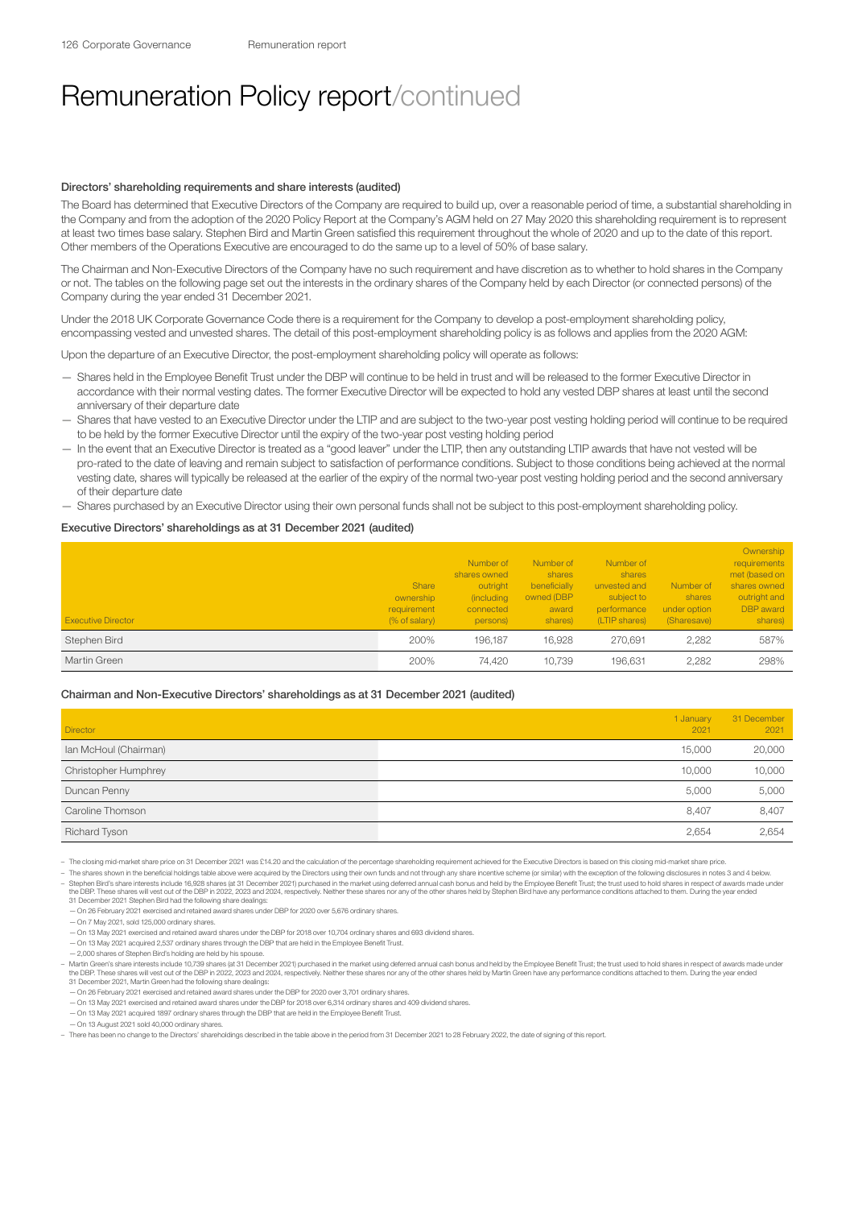#### Directors' shareholding requirements and share interests (audited)

The Board has determined that Executive Directors of the Company are required to build up, over a reasonable period of time, a substantial shareholding in the Company and from the adoption of the 2020 Policy Report at the Company's AGM held on 27 May 2020 this shareholding requirement is to represent at least two times base salary. Stephen Bird and Martin Green satisfied this requirement throughout the whole of 2020 and up to the date of this report. Other members of the Operations Executive are encouraged to do the same up to a level of 50% of base salary.

The Chairman and Non-Executive Directors of the Company have no such requirement and have discretion as to whether to hold shares in the Company or not. The tables on the following page set out the interests in the ordinary shares of the Company held by each Director (or connected persons) of the Company during the year ended 31 December 2021.

Under the 2018 UK Corporate Governance Code there is a requirement for the Company to develop a post-employment shareholding policy, encompassing vested and unvested shares. The detail of this post-employment shareholding policy is as follows and applies from the 2020 AGM:

Upon the departure of an Executive Director, the post-employment shareholding policy will operate as follows:

- Shares held in the Employee Benefit Trust under the DBP will continue to be held in trust and will be released to the former Executive Director in accordance with their normal vesting dates. The former Executive Director will be expected to hold any vested DBP shares at least until the second anniversary of their departure date
- Shares that have vested to an Executive Director under the LTIP and are subject to the two-year post vesting holding period will continue to be required to be held by the former Executive Director until the expiry of the two-year post vesting holding period
- In the event that an Executive Director is treated as a "good leaver" under the LTIP, then any outstanding LTIP awards that have not vested will be pro-rated to the date of leaving and remain subject to satisfaction of performance conditions. Subject to those conditions being achieved at the normal vesting date, shares will typically be released at the earlier of the expiry of the normal two-year post vesting holding period and the second anniversary of their departure date

— Shares purchased by an Executive Director using their own personal funds shall not be subject to this post-employment shareholding policy.

## Executive Directors' shareholdings as at 31 December 2021 (audited)

| <b>Executive Director</b> | Share<br>ownership<br>requirement<br>(% of salary) | Number of<br>shares owned<br>outright<br><i>(including)</i><br>connected<br>persons) | Number of<br>shares<br>beneficially<br>owned (DBP<br>award<br>shares) | Number of<br>shares<br>unvested and<br>subject to<br>performance<br>(LTIP shares) | Number of<br>shares<br>under option<br>(Sharesave) | Ownership<br>requirements<br>met (based on<br>shares owned<br>outright and<br><b>DBP</b> award<br>shares) |
|---------------------------|----------------------------------------------------|--------------------------------------------------------------------------------------|-----------------------------------------------------------------------|-----------------------------------------------------------------------------------|----------------------------------------------------|-----------------------------------------------------------------------------------------------------------|
| Stephen Bird              | 200%                                               | 196.187                                                                              | 16.928                                                                | 270.691                                                                           | 2.282                                              | 587%                                                                                                      |
| Martin Green              | 200%                                               | 74.420                                                                               | 10.739                                                                | 196.631                                                                           | 2,282                                              | 298%                                                                                                      |

#### Chairman and Non-Executive Directors' shareholdings as at 31 December 2021 (audited)

| <b>Director</b>       | 1 January<br>2021 | 31 December<br>2021 |
|-----------------------|-------------------|---------------------|
| Ian McHoul (Chairman) | 15,000            | 20,000              |
| Christopher Humphrey  | 10,000            | 10,000              |
| Duncan Penny          | 5,000             | 5,000               |
| Caroline Thomson      | 8,407             | 8,407               |
| Richard Tyson         | 2,654             | 2,654               |

– The closing mid-market share price on 31 December 2021 was £14.20 and the calculation of the percentage shareholding requirement achieved for the Executive Directors is based on this closing mid-market share price.

- The shares shown in the beneficial holdings table above were acquired by the Directors using their own funds and not through any share incentive scheme (or similar) with the exception of the following disclosures in note
- Stephen Bird's share interests include 16.928 shares (at 31 December 2021) purchased in the market using deferred annual cash bonus and held by the Employee Benefit Trust: the trust used to hold shares in respect of awar the DBP. These shares will vest out of the DBP in 2022, 2023 and 2024, respectively. Neither these shares nor any of the other shares held by Stephen Bird have any performance conditions attached to them. During the year e

—On 26 February 2021 exercised and retained award shares under DBP for 2020 over 5,676 ordinary shares.

- —On 7 May 2021, sold 125,000 ordinary shares.
- —On 13 May 2021 exercised and retained award shares under the DBP for 2018 over 10,704 ordinary shares and 693 dividend shares.
- —On 13 May 2021 acquired 2,537 ordinary shares through the DBP that are held in the Employee Benefit Trust.
- —2,000 shares of Stephen Bird's holding are held by his spouse.
- Martin Green's share interests include 10.739 shares (at 31 December 2021) purchased in the market using deferred annual cash bonus and held by the Employee Benefit Trust: the trust used to hold shares in respect of awards the DBP. These shares will vest out of the DBP in 2022, 2023 and 2024, respectively. Neither these shares nor any of the other shares held by Martin Green have any performance conditions attached to them. During the year e
- —On 26 February 2021 exercised and retained award shares under the DBP for 2020 over 3,701 ordinary shares.
- —On 13 May 2021 exercised and retained award shares under the DBP for 2018 over 6,314 ordinary shares and 409 dividend shares.
- —On 13 May 2021 acquired 1897 ordinary shares through the DBP that are held in the Employee Benefit Trust.
- —On 13 August 2021 sold 40,000 ordinary shares.
- There has been no change to the Directors' shareholdings described in the table above in the period from 31 December 2021 to 28 February 2022, the date of signing of this report.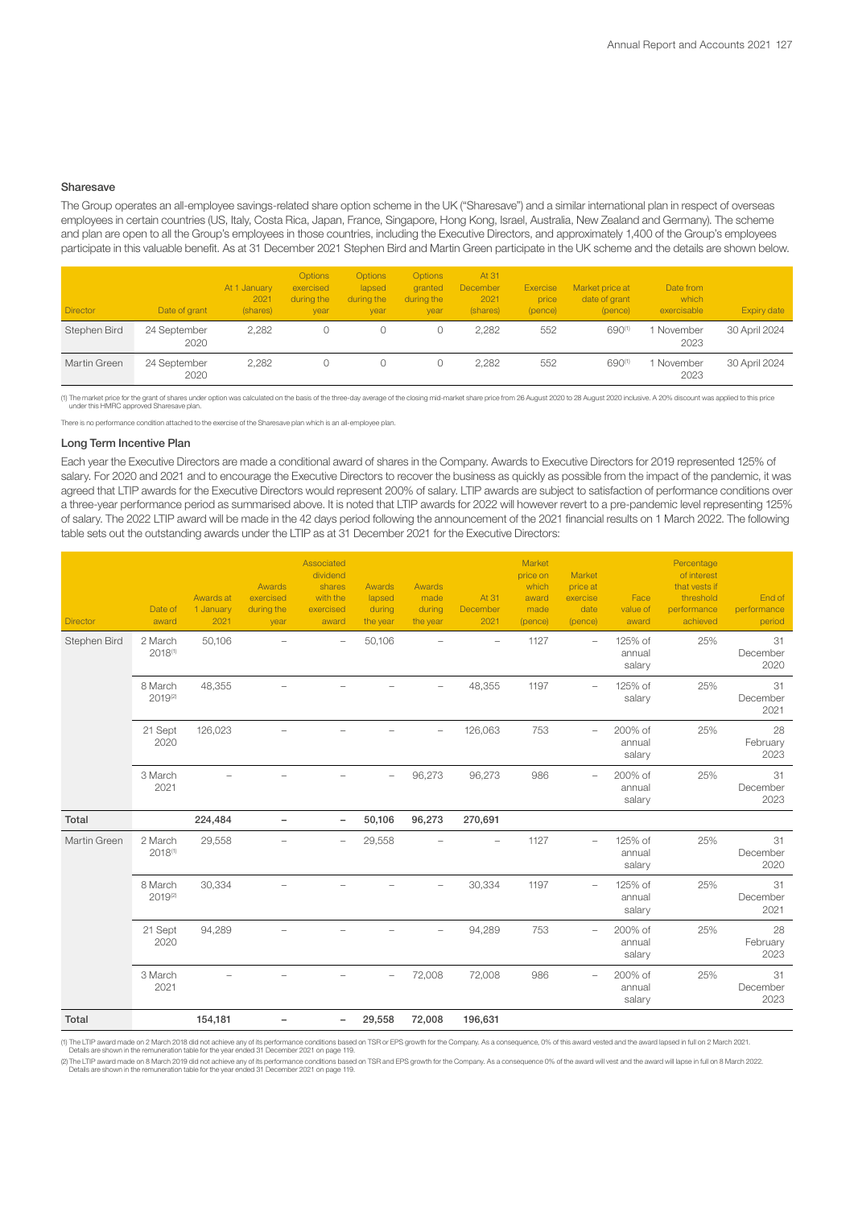#### Sharesave

The Group operates an all-employee savings-related share option scheme in the UK ("Sharesave") and a similar international plan in respect of overseas employees in certain countries (US, Italy, Costa Rica, Japan, France, Singapore, Hong Kong, Israel, Australia, New Zealand and Germany). The scheme and plan are open to all the Group's employees in those countries, including the Executive Directors, and approximately 1,400 of the Group's employees participate in this valuable benefit. As at 31 December 2021 Stephen Bird and Martin Green participate in the UK scheme and the details are shown below.

| <b>Director</b> | Date of grant        | At 1 January<br>2021<br>(shares) | <b>Options</b><br>exercised<br>during the<br>year | <b>Options</b><br>lapsed<br>during the<br>year | <b>Options</b><br>granted<br>during the<br>year | At 31<br>December<br>2021<br>(shares) | Exercise<br>price<br>(pence) | Market price at<br>date of grant<br>(pence) | Date from<br>which<br>exercisable | Expiry date   |
|-----------------|----------------------|----------------------------------|---------------------------------------------------|------------------------------------------------|-------------------------------------------------|---------------------------------------|------------------------------|---------------------------------------------|-----------------------------------|---------------|
| Stephen Bird    | 24 September<br>2020 | 2.282                            |                                                   |                                                |                                                 | 2.282                                 | 552                          | 690(1)                                      | 1 November<br>2023                | 30 April 2024 |
| Martin Green    | 24 September<br>2020 | 2.282                            |                                                   |                                                |                                                 | 2.282                                 | 552                          | 690(1)                                      | 1 November<br>2023                | 30 April 2024 |

(1) The market price for the grant of shares under option was calculated on the basis of the three-day average of the closing mid-market share price from 26 August 2020 to 28 August 2020 inclusive. A 20% discount was appli

There is no performance condition attached to the exercise of the Sharesave plan which is an all-employee plan.

#### Long Term Incentive Plan

Each year the Executive Directors are made a conditional award of shares in the Company. Awards to Executive Directors for 2019 represented 125% of salary. For 2020 and 2021 and to encourage the Executive Directors to recover the business as quickly as possible from the impact of the pandemic, it was agreed that LTIP awards for the Executive Directors would represent 200% of salary. LTIP awards are subject to satisfaction of performance conditions over a three-year performance period as summarised above. It is noted that LTIP awards for 2022 will however revert to a pre-pandemic level representing 125% of salary. The 2022 LTIP award will be made in the 42 days period following the announcement of the 2021 financial results on 1 March 2022. The following table sets out the outstanding awards under the LTIP as at 31 December 2021 for the Executive Directors:

| <b>Director</b> | Date of<br>award        | Awards at<br>1 January<br>2021 | Awards<br>exercised<br>during the<br>year | Associated<br>dividend<br>shares<br>with the<br>exercised<br>award | <b>Awards</b><br>lapsed<br>during<br>the year | Awards<br>made<br>during<br>the year | At 31<br>December<br>2021 | Market<br>price on<br>which<br>award<br>made<br>(pence) | Market<br>price at<br>exercise<br>date<br>(pence) | Face<br>value of<br>award   | Percentage<br>of interest<br>that vests if<br>threshold<br>performance<br>achieved | End of<br>performance<br>period |
|-----------------|-------------------------|--------------------------------|-------------------------------------------|--------------------------------------------------------------------|-----------------------------------------------|--------------------------------------|---------------------------|---------------------------------------------------------|---------------------------------------------------|-----------------------------|------------------------------------------------------------------------------------|---------------------------------|
| Stephen Bird    | 2 March<br>2018(1)      | 50,106                         |                                           | $\overline{\phantom{0}}$                                           | 50,106                                        |                                      | $\overline{\phantom{m}}$  | 1127                                                    | $\overline{\phantom{a}}$                          | 125% of<br>annual<br>salary | 25%                                                                                | 31<br>December<br>2020          |
|                 | 8 March<br>2019(2)      | 48,355                         |                                           |                                                                    |                                               |                                      | 48,355                    | 1197                                                    | $\overline{\phantom{a}}$                          | 125% of<br>salary           | 25%                                                                                | 31<br>December<br>2021          |
|                 | 21 Sept<br>2020         | 126,023                        |                                           |                                                                    |                                               | $\qquad \qquad -$                    | 126,063                   | 753                                                     | $\overline{\phantom{a}}$                          | 200% of<br>annual<br>salary | 25%                                                                                | 28<br>February<br>2023          |
|                 | 3 March<br>2021         |                                |                                           |                                                                    |                                               | 96,273                               | 96,273                    | 986                                                     | $\overline{\phantom{a}}$                          | 200% of<br>annual<br>salary | 25%                                                                                | 31<br>December<br>2023          |
| Total           |                         | 224,484                        | $\overline{\phantom{a}}$                  | $\overline{\phantom{a}}$                                           | 50,106                                        | 96,273                               | 270,691                   |                                                         |                                                   |                             |                                                                                    |                                 |
| Martin Green    | 2 March<br>2018(1)      | 29,558                         |                                           | $\overline{\phantom{0}}$                                           | 29,558                                        |                                      |                           | 1127                                                    | $\qquad \qquad -$                                 | 125% of<br>annual<br>salary | 25%                                                                                | 31<br>December<br>2020          |
|                 | 8 March<br>$2019^{(2)}$ | 30,334                         |                                           |                                                                    |                                               |                                      | 30,334                    | 1197                                                    |                                                   | 125% of<br>annual<br>salary | 25%                                                                                | 31<br>December<br>2021          |
|                 | 21 Sept<br>2020         | 94,289                         |                                           |                                                                    |                                               |                                      | 94,289                    | 753                                                     | $\qquad \qquad -$                                 | 200% of<br>annual<br>salary | 25%                                                                                | 28<br>February<br>2023          |
|                 | 3 March<br>2021         |                                |                                           |                                                                    |                                               | 72,008                               | 72,008                    | 986                                                     | $\overline{\phantom{a}}$                          | 200% of<br>annual<br>salary | 25%                                                                                | 31<br>December<br>2023          |
| Total           |                         | 154,181                        |                                           | Ξ.                                                                 | 29,558                                        | 72,008                               | 196,631                   |                                                         |                                                   |                             |                                                                                    |                                 |

(1) The LTIP award made on 2 March 2018 did not achieve any of its performance conditions based on TSR or EPS growth for the Company. As a consequence, 0% of this award vested and the award lapsed in full on 2 March 2021.<br>

(2) The LTIP award made on 8 March 2019 did not achieve any of its performance conditions based on TSR and EPS growth for the Company. As a consequence 0% of the award will vest and the award will lapse in full on 8 March Details are shown in the remuneration table for the year ended 31 December 2021 on page 119.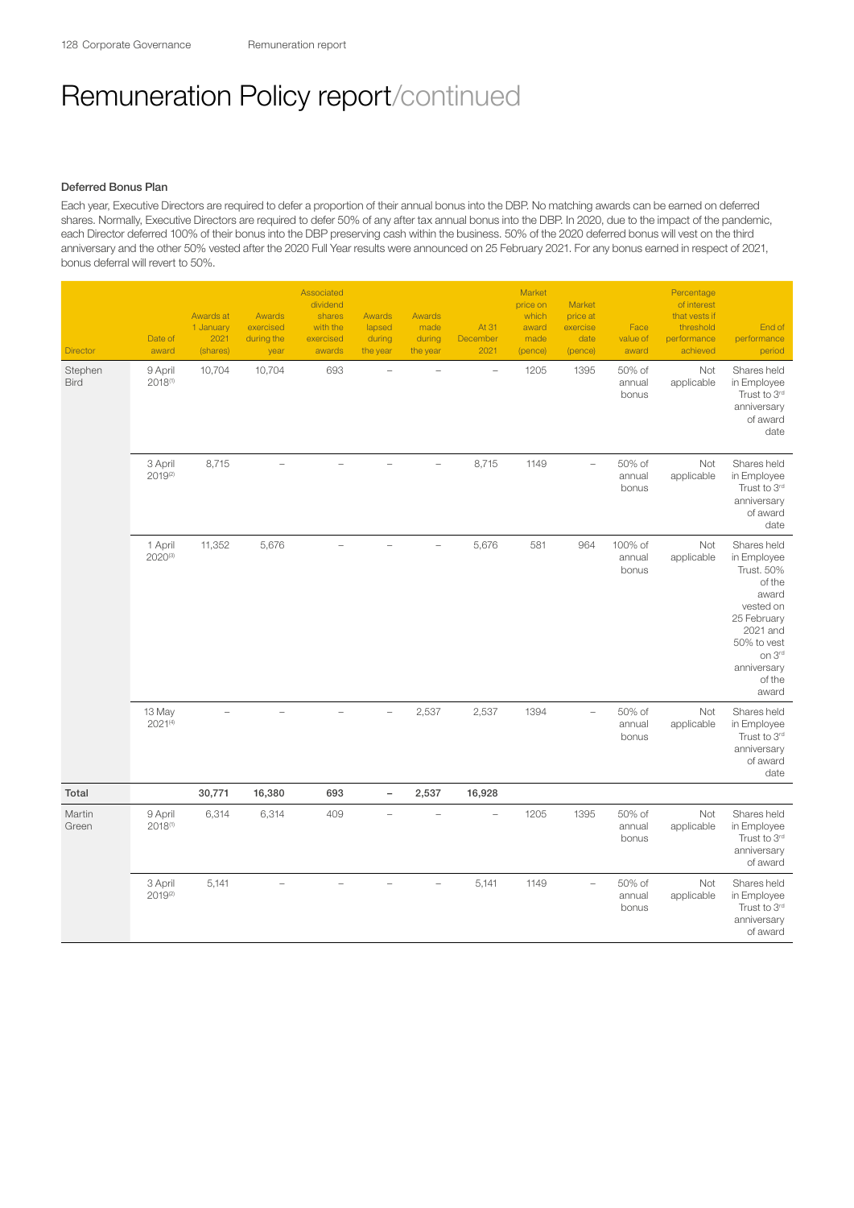## Deferred Bonus Plan

Each year, Executive Directors are required to defer a proportion of their annual bonus into the DBP. No matching awards can be earned on deferred shares. Normally, Executive Directors are required to defer 50% of any after tax annual bonus into the DBP. In 2020, due to the impact of the pandemic, each Director deferred 100% of their bonus into the DBP preserving cash within the business. 50% of the 2020 deferred bonus will vest on the third anniversary and the other 50% vested after the 2020 Full Year results were announced on 25 February 2021. For any bonus earned in respect of 2021, bonus deferral will revert to 50%.

| Director               | Date of<br>award       | Awards at<br>1 January<br>2021<br>(shares) | Awards<br>exercised<br>during the<br>year | Associated<br>dividend<br>shares<br>with the<br>exercised<br>awards | Awards<br>lapsed<br>during<br>the year | Awards<br>made<br>during<br>the year | At 31<br>December<br>2021 | Market<br>price on<br>which<br>award<br>made<br>(pence) | Market<br>price at<br>exercise<br>date<br>(pence) | Face<br>value of<br>award  | Percentage<br>of interest<br>that vests if<br>threshold<br>performance<br>achieved | End of<br>performance<br>period                                                                                                                                       |
|------------------------|------------------------|--------------------------------------------|-------------------------------------------|---------------------------------------------------------------------|----------------------------------------|--------------------------------------|---------------------------|---------------------------------------------------------|---------------------------------------------------|----------------------------|------------------------------------------------------------------------------------|-----------------------------------------------------------------------------------------------------------------------------------------------------------------------|
| Stephen<br><b>Bird</b> | 9 April<br>2018(1)     | 10,704                                     | 10,704                                    | 693                                                                 |                                        |                                      | $\equiv$                  | 1205                                                    | 1395                                              | 50% of<br>annual<br>bonus  | Not<br>applicable                                                                  | Shares held<br>in Employee<br>Trust to 3rd<br>anniversary<br>of award<br>date                                                                                         |
|                        | 3 April<br>2019(2)     | 8,715                                      | $\equiv$                                  | $\equiv$                                                            | $\equiv$                               | $\equiv$                             | 8,715                     | 1149                                                    | $\equiv$                                          | 50% of<br>annual<br>bonus  | Not<br>applicable                                                                  | Shares held<br>in Employee<br>Trust to 3rd<br>anniversary<br>of award<br>date                                                                                         |
|                        | 1 April<br>2020(3)     | 11,352                                     | 5,676                                     |                                                                     |                                        |                                      | 5,676                     | 581                                                     | 964                                               | 100% of<br>annual<br>bonus | Not<br>applicable                                                                  | Shares held<br>in Employee<br><b>Trust. 50%</b><br>of the<br>award<br>vested on<br>25 February<br>2021 and<br>50% to vest<br>on 3rd<br>anniversary<br>of the<br>award |
|                        | 13 May<br>$2021^{(4)}$ | L,                                         | ÷,                                        |                                                                     |                                        | 2,537                                | 2,537                     | 1394                                                    | $\overline{\phantom{0}}$                          | 50% of<br>annual<br>bonus  | Not<br>applicable                                                                  | Shares held<br>in Employee<br>Trust to 3rd<br>anniversary<br>of award<br>date                                                                                         |
| Total                  |                        | 30,771                                     | 16,380                                    | 693                                                                 | $\qquad \qquad -$                      | 2,537                                | 16,928                    |                                                         |                                                   |                            |                                                                                    |                                                                                                                                                                       |
| Martin<br>Green        | 9 April<br>2018(1)     | 6,314                                      | 6,314                                     | 409                                                                 |                                        |                                      | $\equiv$                  | 1205                                                    | 1395                                              | 50% of<br>annual<br>bonus  | Not<br>applicable                                                                  | Shares held<br>in Employee<br>Trust to 3rd<br>anniversary<br>of award                                                                                                 |
|                        | 3 April<br>2019(2)     | 5,141                                      |                                           |                                                                     |                                        |                                      | 5,141                     | 1149                                                    | ÷                                                 | 50% of<br>annual<br>bonus  | Not<br>applicable                                                                  | Shares held<br>in Employee<br>Trust to 3rd<br>anniversary<br>of award                                                                                                 |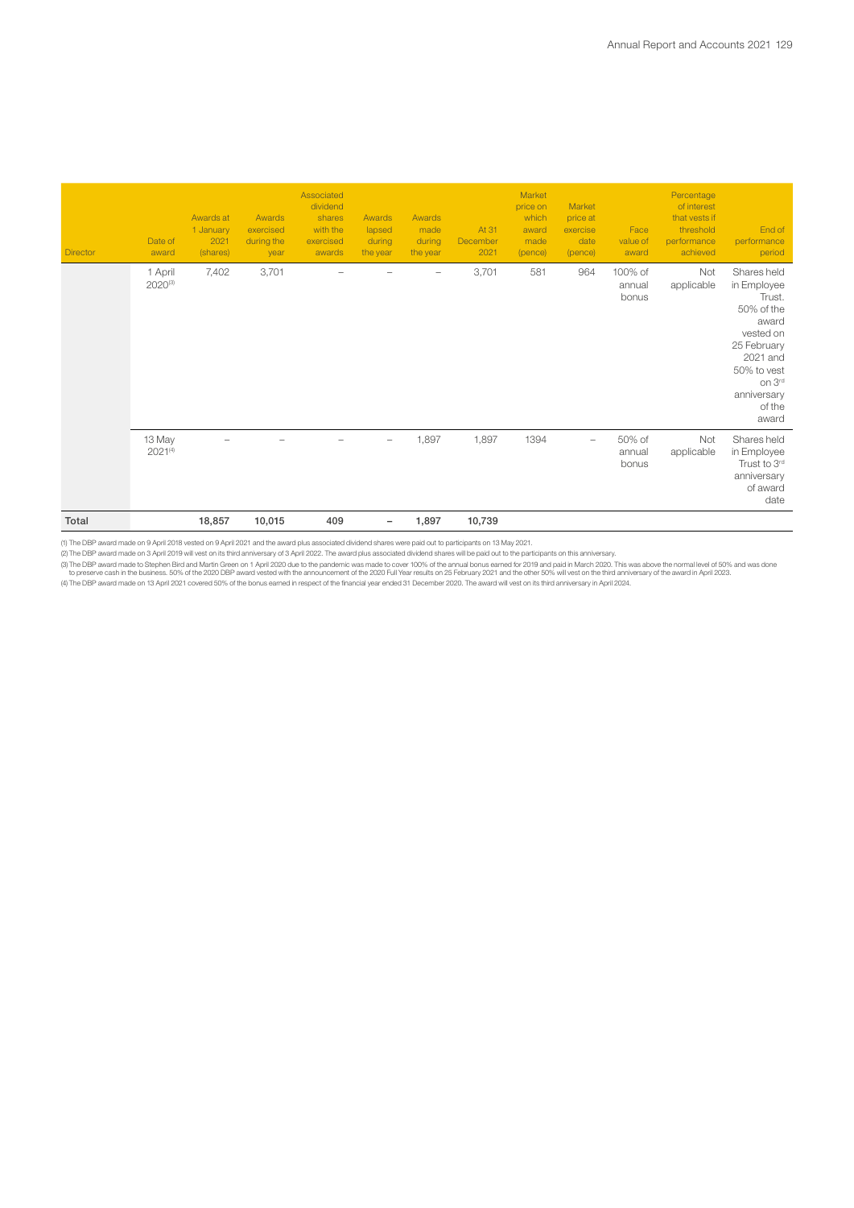| Total           |                        | 18,857                                     | 10,015                                    | 409                                                                 |                                        | 1,897                                       | 10,739                    |                                                         |                                                   |                            |                                                                                    |                                                                                                                                                                |
|-----------------|------------------------|--------------------------------------------|-------------------------------------------|---------------------------------------------------------------------|----------------------------------------|---------------------------------------------|---------------------------|---------------------------------------------------------|---------------------------------------------------|----------------------------|------------------------------------------------------------------------------------|----------------------------------------------------------------------------------------------------------------------------------------------------------------|
|                 | 13 May<br>$2021^{(4)}$ |                                            |                                           |                                                                     | $\overline{\phantom{a}}$               | 1,897                                       | 1,897                     | 1394                                                    | $\overline{\phantom{m}}$                          | 50% of<br>annual<br>bonus  | Not<br>applicable                                                                  | Shares held<br>in Employee<br>Trust to 3rd<br>anniversary<br>of award<br>date                                                                                  |
|                 | 1 April<br>2020(3)     | 7,402                                      | 3,701                                     |                                                                     |                                        |                                             | 3,701                     | 581                                                     | 964                                               | 100% of<br>annual<br>bonus | Not<br>applicable                                                                  | Shares held<br>in Employee<br>Trust.<br>50% of the<br>award<br>vested on<br>25 February<br>2021 and<br>50% to vest<br>on 3rd<br>anniversary<br>of the<br>award |
| <b>Director</b> | Date of<br>award       | Awards at<br>1 January<br>2021<br>(shares) | Awards<br>exercised<br>during the<br>year | Associated<br>dividend<br>shares<br>with the<br>exercised<br>awards | Awards<br>lapsed<br>during<br>the year | <b>Awards</b><br>made<br>during<br>the year | At 31<br>December<br>2021 | Market<br>price on<br>which<br>award<br>made<br>(pence) | Market<br>price at<br>exercise<br>date<br>(pence) | Face<br>value of<br>award  | Percentage<br>of interest<br>that vests if<br>threshold<br>performance<br>achieved | End of<br>performance<br>period                                                                                                                                |

(1) The DBP award made on 9 April 2018 vested on 9 April 2021 and the award plus associated dividend shares were paid out to participants on 13 May 2021.<br>(3) The DBP award made to Stephen Bird and Martin Green on 1 April 2

(4) The DBP award made on 13 April 2021 covered 50% of the bonus earned in respect of the financial year ended 31 December 2020. The award will vest on its third anniversary in April 2024.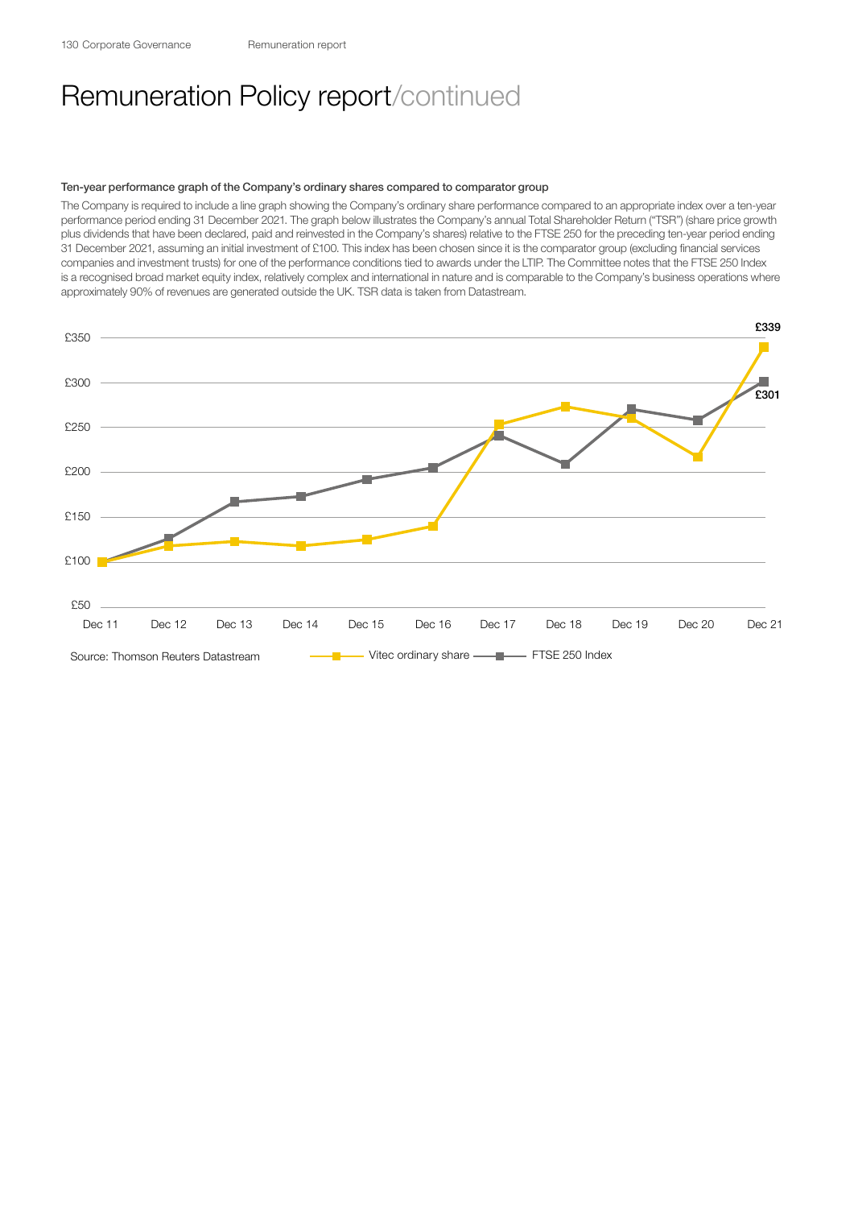#### Ten-year performance graph of the Company's ordinary shares compared to comparator group

The Company is required to include a line graph showing the Company's ordinary share performance compared to an appropriate index over a ten-year performance period ending 31 December 2021. The graph below illustrates the Company's annual Total Shareholder Return ("TSR") (share price growth plus dividends that have been declared, paid and reinvested in the Company's shares) relative to the FTSE 250 for the preceding ten-year period ending 31 December 2021, assuming an initial investment of £100. This index has been chosen since it is the comparator group (excluding financial services companies and investment trusts) for one of the performance conditions tied to awards under the LTIP. The Committee notes that the FTSE 250 Index is a recognised broad market equity index, relatively complex and international in nature and is comparable to the Company's business operations where approximately 90% of revenues are generated outside the UK. TSR data is taken from Datastream.

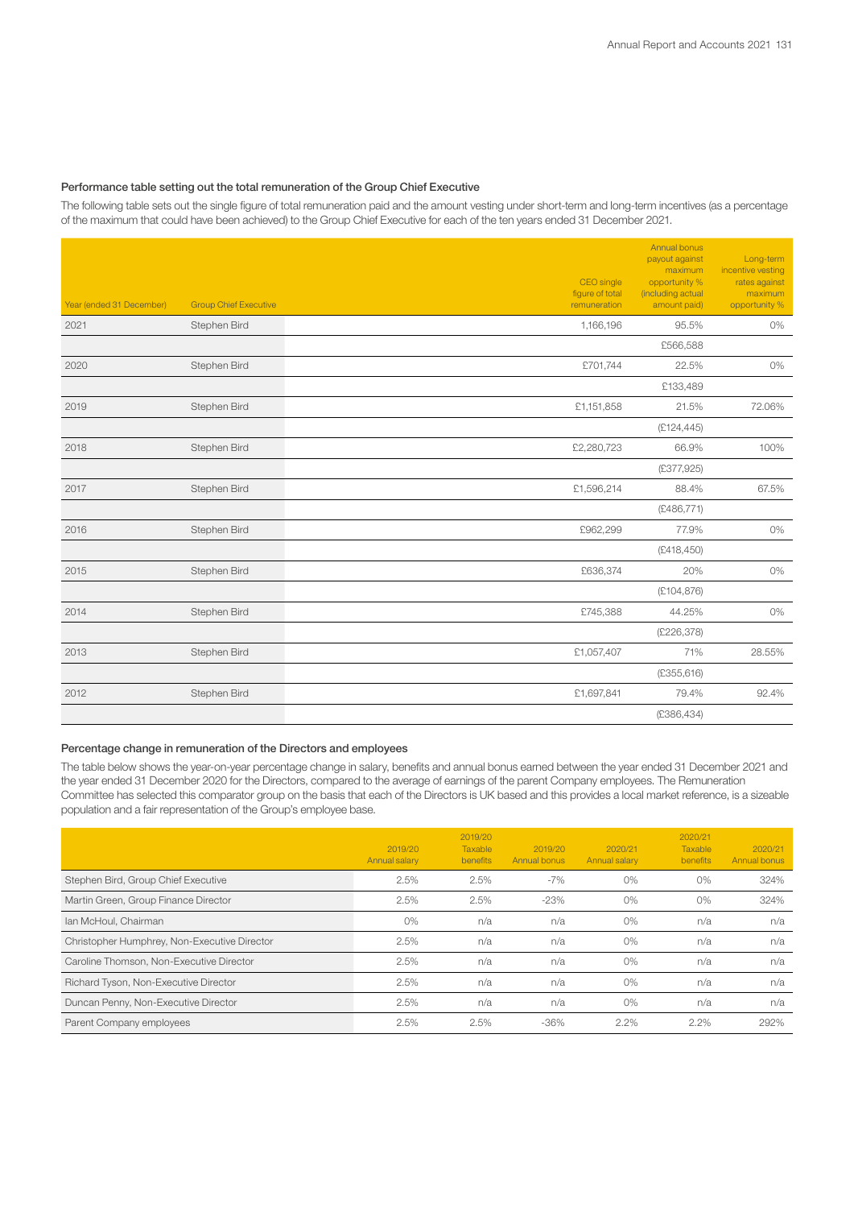## Performance table setting out the total remuneration of the Group Chief Executive

The following table sets out the single figure of total remuneration paid and the amount vesting under short-term and long-term incentives (as a percentage of the maximum that could have been achieved) to the Group Chief Executive for each of the ten years ended 31 December 2021.

| Year (ended 31 December) | <b>Group Chief Executive</b> | CEO single<br>figure of total<br>remuneration | Annual bonus<br>payout against<br>maximum<br>opportunity %<br>(including actual<br>amount paid) | Long-term<br>incentive vesting<br>rates against<br>maximum<br>opportunity % |
|--------------------------|------------------------------|-----------------------------------------------|-------------------------------------------------------------------------------------------------|-----------------------------------------------------------------------------|
| 2021                     | Stephen Bird                 | 1,166,196                                     | 95.5%                                                                                           | 0%                                                                          |
|                          |                              |                                               | £566,588                                                                                        |                                                                             |
| 2020                     | Stephen Bird                 | £701,744                                      | 22.5%                                                                                           | 0%                                                                          |
|                          |                              |                                               | £133,489                                                                                        |                                                                             |
| 2019                     | Stephen Bird                 | £1,151,858                                    | 21.5%                                                                                           | 72.06%                                                                      |
|                          |                              |                                               | (E124, 445)                                                                                     |                                                                             |
| 2018                     | Stephen Bird                 | £2,280,723                                    | 66.9%                                                                                           | 100%                                                                        |
|                          |                              |                                               | (£377,925)                                                                                      |                                                                             |
| 2017                     | Stephen Bird                 | £1,596,214                                    | 88.4%                                                                                           | 67.5%                                                                       |
|                          |                              |                                               | (E486, 771)                                                                                     |                                                                             |
| 2016                     | Stephen Bird                 | £962,299                                      | 77.9%                                                                                           | 0%                                                                          |
|                          |                              |                                               | (E418, 450)                                                                                     |                                                                             |
| 2015                     | Stephen Bird                 | £636,374                                      | 20%                                                                                             | 0%                                                                          |
|                          |                              |                                               | (E104, 876)                                                                                     |                                                                             |
| 2014                     | Stephen Bird                 | £745,388                                      | 44.25%                                                                                          | 0%                                                                          |
|                          |                              |                                               | (E226, 378)                                                                                     |                                                                             |
| 2013                     | Stephen Bird                 | £1,057,407                                    | 71%                                                                                             | 28.55%                                                                      |
|                          |                              |                                               | (E355, 616)                                                                                     |                                                                             |
| 2012                     | Stephen Bird                 | £1,697,841                                    | 79.4%                                                                                           | 92.4%                                                                       |
|                          |                              |                                               | (£386,434)                                                                                      |                                                                             |

## Percentage change in remuneration of the Directors and employees

The table below shows the year-on-year percentage change in salary, benefits and annual bonus earned between the year ended 31 December 2021 and the year ended 31 December 2020 for the Directors, compared to the average of earnings of the parent Company employees. The Remuneration Committee has selected this comparator group on the basis that each of the Directors is UK based and this provides a local market reference, is a sizeable population and a fair representation of the Group's employee base.

|                                              | 2019/20<br>Annual salary | 2019/20<br>Taxable<br><b>benefits</b> | 2019/20<br>Annual bonus | 2020/21<br>Annual salary | 2020/21<br>Taxable<br>benefits | 2020/21<br>Annual bonus |
|----------------------------------------------|--------------------------|---------------------------------------|-------------------------|--------------------------|--------------------------------|-------------------------|
| Stephen Bird, Group Chief Executive          | 2.5%                     | 2.5%                                  | $-7%$                   | $0\%$                    | $0\%$                          | 324%                    |
| Martin Green, Group Finance Director         | 2.5%                     | 2.5%                                  | $-23%$                  | $0\%$                    | $0\%$                          | 324%                    |
| Ian McHoul, Chairman                         | $0\%$                    | n/a                                   | n/a                     | $0\%$                    | n/a                            | n/a                     |
| Christopher Humphrey, Non-Executive Director | 2.5%                     | n/a                                   | n/a                     | $0\%$                    | n/a                            | n/a                     |
| Caroline Thomson, Non-Executive Director     | 2.5%                     | n/a                                   | n/a                     | $0\%$                    | n/a                            | n/a                     |
| Richard Tyson, Non-Executive Director        | 2.5%                     | n/a                                   | n/a                     | $0\%$                    | n/a                            | n/a                     |
| Duncan Penny, Non-Executive Director         | 2.5%                     | n/a                                   | n/a                     | $0\%$                    | n/a                            | n/a                     |
| Parent Company employees                     | 2.5%                     | 2.5%                                  | $-36%$                  | 2.2%                     | 2.2%                           | 292%                    |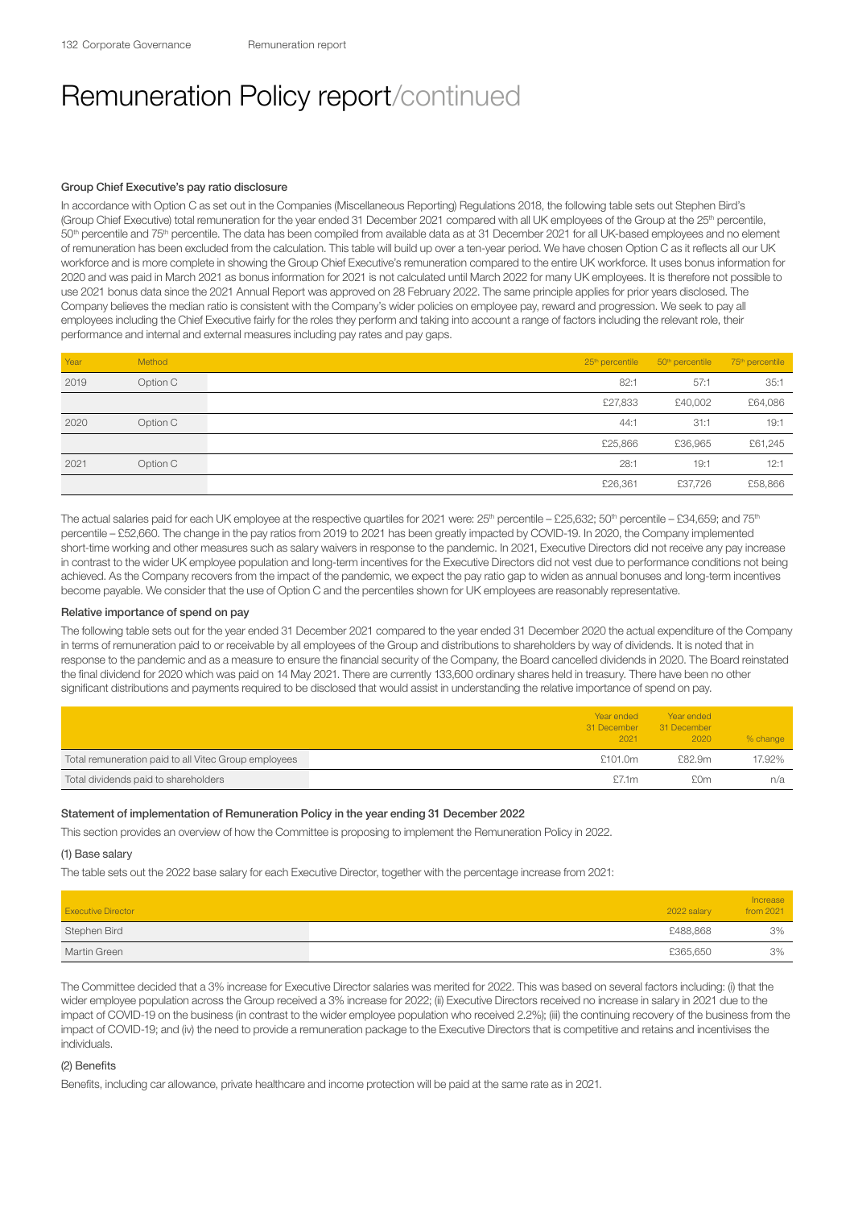## Group Chief Executive's pay ratio disclosure

In accordance with Option C as set out in the Companies (Miscellaneous Reporting) Regulations 2018, the following table sets out Stephen Bird's (Group Chief Executive) total remuneration for the year ended 31 December 2021 compared with all UK employees of the Group at the 25<sup>th</sup> percentile, 50<sup>th</sup> percentile and 75<sup>th</sup> percentile. The data has been compiled from available data as at 31 December 2021 for all UK-based employees and no element of remuneration has been excluded from the calculation. This table will build up over a ten-year period. We have chosen Option C as it reflects all our UK workforce and is more complete in showing the Group Chief Executive's remuneration compared to the entire UK workforce. It uses bonus information for 2020 and was paid in March 2021 as bonus information for 2021 is not calculated until March 2022 for many UK employees. It is therefore not possible to use 2021 bonus data since the 2021 Annual Report was approved on 28 February 2022. The same principle applies for prior years disclosed. The Company believes the median ratio is consistent with the Company's wider policies on employee pay, reward and progression. We seek to pay all employees including the Chief Executive fairly for the roles they perform and taking into account a range of factors including the relevant role, their performance and internal and external measures including pay rates and pay gaps.

| Year | Method   |         | 25 <sup>th</sup> percentile 50 <sup>th</sup> percentile | 75 <sup>th</sup> percentile |
|------|----------|---------|---------------------------------------------------------|-----------------------------|
| 2019 | Option C | 82:1    | 57:1                                                    | 35:1                        |
|      |          | £27,833 | £40,002                                                 | £64,086                     |
| 2020 | Option C | 44:1    | 31:1                                                    | 19:1                        |
|      |          | £25,866 | £36,965                                                 | £61,245                     |
| 2021 | Option C | 28:1    | 19:1                                                    | 12:1                        |
|      |          | £26,361 | £37,726                                                 | £58,866                     |

The actual salaries paid for each UK employee at the respective quartiles for 2021 were: 25<sup>th</sup> percentile – £25,632; 50<sup>th</sup> percentile – £34,659; and 75<sup>th</sup> percentile – £52,660. The change in the pay ratios from 2019 to 2021 has been greatly impacted by COVID-19. In 2020, the Company implemented short-time working and other measures such as salary waivers in response to the pandemic. In 2021, Executive Directors did not receive any pay increase in contrast to the wider UK employee population and long-term incentives for the Executive Directors did not vest due to performance conditions not being achieved. As the Company recovers from the impact of the pandemic, we expect the pay ratio gap to widen as annual bonuses and long-term incentives become payable. We consider that the use of Option C and the percentiles shown for UK employees are reasonably representative.

## Relative importance of spend on pay

The following table sets out for the year ended 31 December 2021 compared to the year ended 31 December 2020 the actual expenditure of the Company in terms of remuneration paid to or receivable by all employees of the Group and distributions to shareholders by way of dividends. It is noted that in response to the pandemic and as a measure to ensure the financial security of the Company, the Board cancelled dividends in 2020. The Board reinstated the final dividend for 2020 which was paid on 14 May 2021. There are currently 133,600 ordinary shares held in treasury. There have been no other significant distributions and payments required to be disclosed that would assist in understanding the relative importance of spend on pay.

|                                                      | Year ended<br>31 December<br>2021 | Year ended<br>31 December<br>2020 | % change |
|------------------------------------------------------|-----------------------------------|-----------------------------------|----------|
| Total remuneration paid to all Vitec Group employees | £101.0m                           | £82.9m                            | 17.92%   |
| Total dividends paid to shareholders                 | £7.1m                             | £0m                               | n/a      |

## Statement of implementation of Remuneration Policy in the year ending 31 December 2022

This section provides an overview of how the Committee is proposing to implement the Remuneration Policy in 2022.

(1) Base salary

The table sets out the 2022 base salary for each Executive Director, together with the percentage increase from 2021:

| <b>Executive Director</b> | 2022 salary | Increase<br>from 2021 |
|---------------------------|-------------|-----------------------|
| Stephen Bird              | £488,868    | 3%                    |
| Martin Green              | £365,650    | 3%                    |

The Committee decided that a 3% increase for Executive Director salaries was merited for 2022. This was based on several factors including: (i) that the wider employee population across the Group received a 3% increase for 2022; (ii) Executive Directors received no increase in salary in 2021 due to the impact of COVID-19 on the business (in contrast to the wider employee population who received 2.2%); (iii) the continuing recovery of the business from the impact of COVID-19; and (iv) the need to provide a remuneration package to the Executive Directors that is competitive and retains and incentivises the individuals.

## (2) Benefits

Benefits, including car allowance, private healthcare and income protection will be paid at the same rate as in 2021.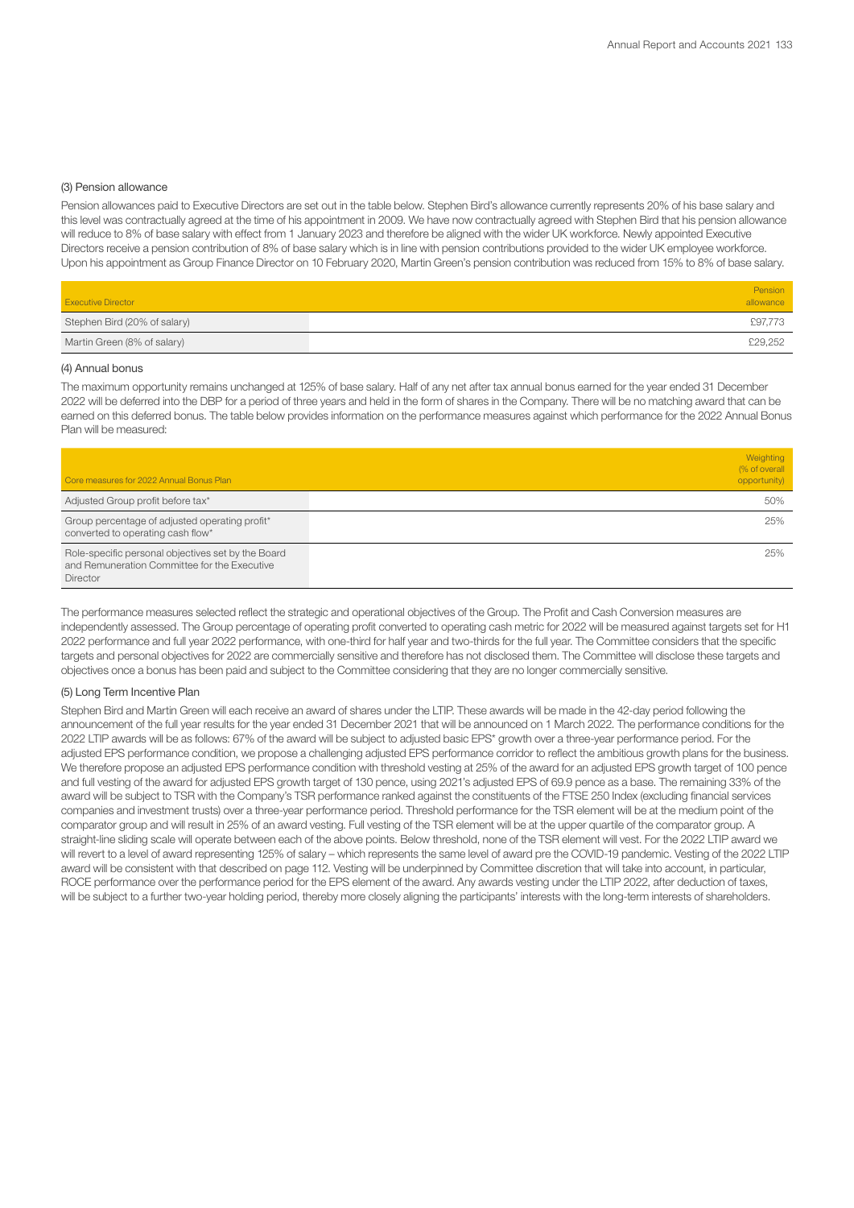#### (3) Pension allowance

Pension allowances paid to Executive Directors are set out in the table below. Stephen Bird's allowance currently represents 20% of his base salary and this level was contractually agreed at the time of his appointment in 2009. We have now contractually agreed with Stephen Bird that his pension allowance will reduce to 8% of base salary with effect from 1 January 2023 and therefore be aligned with the wider UK workforce. Newly appointed Executive Directors receive a pension contribution of 8% of base salary which is in line with pension contributions provided to the wider UK employee workforce. Upon his appointment as Group Finance Director on 10 February 2020, Martin Green's pension contribution was reduced from 15% to 8% of base salary.

| <b>Executive Director</b>    | Pension<br>allowance |  |
|------------------------------|----------------------|--|
| Stephen Bird (20% of salary) | £97,773              |  |
| Martin Green (8% of salary)  | £29,252              |  |

#### (4) Annual bonus

The maximum opportunity remains unchanged at 125% of base salary. Half of any net after tax annual bonus earned for the year ended 31 December 2022 will be deferred into the DBP for a period of three years and held in the form of shares in the Company. There will be no matching award that can be earned on this deferred bonus. The table below provides information on the performance measures against which performance for the 2022 Annual Bonus Plan will be measured:

| Core measures for 2022 Annual Bonus Plan                                                                              | Weighting<br>(% of overall<br>opportunity) |
|-----------------------------------------------------------------------------------------------------------------------|--------------------------------------------|
| Adjusted Group profit before tax*                                                                                     | 50%                                        |
| Group percentage of adjusted operating profit*<br>converted to operating cash flow*                                   | 25%                                        |
| Role-specific personal objectives set by the Board<br>and Remuneration Committee for the Executive<br><b>Director</b> | 25%                                        |

The performance measures selected reflect the strategic and operational objectives of the Group. The Profit and Cash Conversion measures are independently assessed. The Group percentage of operating profit converted to operating cash metric for 2022 will be measured against targets set for H1 2022 performance and full year 2022 performance, with one-third for half year and two-thirds for the full year. The Committee considers that the specific targets and personal objectives for 2022 are commercially sensitive and therefore has not disclosed them. The Committee will disclose these targets and objectives once a bonus has been paid and subject to the Committee considering that they are no longer commercially sensitive.

#### (5) Long Term Incentive Plan

Stephen Bird and Martin Green will each receive an award of shares under the LTIP. These awards will be made in the 42-day period following the announcement of the full year results for the year ended 31 December 2021 that will be announced on 1 March 2022. The performance conditions for the 2022 LTIP awards will be as follows: 67% of the award will be subject to adjusted basic EPS\* growth over a three-year performance period. For the adjusted EPS performance condition, we propose a challenging adjusted EPS performance corridor to reflect the ambitious growth plans for the business. We therefore propose an adjusted EPS performance condition with threshold vesting at 25% of the award for an adjusted EPS growth target of 100 pence and full vesting of the award for adjusted EPS growth target of 130 pence, using 2021's adjusted EPS of 69.9 pence as a base. The remaining 33% of the award will be subject to TSR with the Company's TSR performance ranked against the constituents of the FTSE 250 Index (excluding financial services companies and investment trusts) over a three-year performance period. Threshold performance for the TSR element will be at the medium point of the comparator group and will result in 25% of an award vesting. Full vesting of the TSR element will be at the upper quartile of the comparator group. A straight-line sliding scale will operate between each of the above points. Below threshold, none of the TSR element will vest. For the 2022 LTIP award we will revert to a level of award representing 125% of salary – which represents the same level of award pre the COVID-19 pandemic. Vesting of the 2022 LTIP award will be consistent with that described on page 112. Vesting will be underpinned by Committee discretion that will take into account, in particular, ROCE performance over the performance period for the EPS element of the award. Any awards vesting under the LTIP 2022, after deduction of taxes, will be subject to a further two-year holding period, thereby more closely aligning the participants' interests with the long-term interests of shareholders.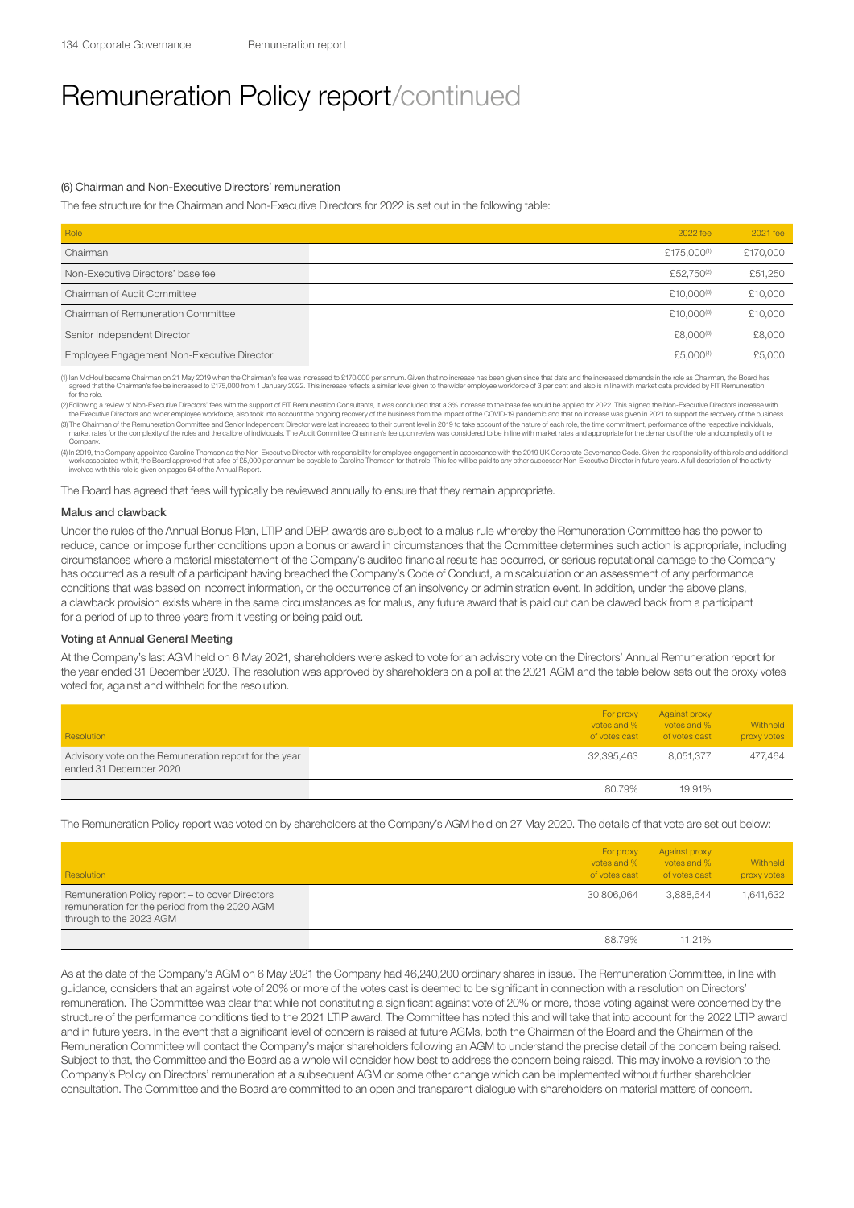#### (6) Chairman and Non-Executive Directors' remuneration

The fee structure for the Chairman and Non-Executive Directors for 2022 is set out in the following table:

| Role                                       | 2022 fee                | 2021 fee |
|--------------------------------------------|-------------------------|----------|
| Chairman                                   | £175.000 <sup>(1)</sup> | £170,000 |
| Non-Executive Directors' base fee          | £52,750 <sup>(2)</sup>  | £51,250  |
| Chairman of Audit Committee                | £10.000 <sup>(3)</sup>  | £10,000  |
| Chairman of Remuneration Committee         | £10.000 <sup>(3)</sup>  | £10,000  |
| Senior Independent Director                | £8,000(3)               | £8,000   |
| Employee Engagement Non-Executive Director | £5,000 <sup>(4)</sup>   | £5,000   |

(1) lan McHoul became Chairman on 21 May 2019 when the Chairman's fee was increased to £170,000 per annum. Given that no increase has been given since that date and the increased demands in the role as Chairman, the Board framed that the Chaire<br>for the role.

(2) Following a review of Non-Executive Directors' fees with the support of FIT Remuneration Consultants, it was concluded that a 3% increase to the base fee would be applied for 2022. This aligned the Non-Executive Direct

(3) The Chairman of the Remuneration Committee and Senior Independent Director were last increased to their current level in 2019 to take account of the nature of each role, the time commitment, performance of the respecti Compan

(4) In 2019, the Company appointed Caroline Thomson as the Non-Executive Director with responsibility for employee engagement in accordance with the 2019 UK Corporate Governance Code. Given the responsibility of this role involved with this role is given on pages 64 of the Annual Report.

The Board has agreed that fees will typically be reviewed annually to ensure that they remain appropriate.

#### Malus and clawback

Under the rules of the Annual Bonus Plan, LTIP and DBP, awards are subject to a malus rule whereby the Remuneration Committee has the power to reduce, cancel or impose further conditions upon a bonus or award in circumstances that the Committee determines such action is appropriate, including circumstances where a material misstatement of the Company's audited financial results has occurred, or serious reputational damage to the Company has occurred as a result of a participant having breached the Company's Code of Conduct, a miscalculation or an assessment of any performance conditions that was based on incorrect information, or the occurrence of an insolvency or administration event. In addition, under the above plans, a clawback provision exists where in the same circumstances as for malus, any future award that is paid out can be clawed back from a participant for a period of up to three years from it vesting or being paid out.

#### Voting at Annual General Meeting

At the Company's last AGM held on 6 May 2021, shareholders were asked to vote for an advisory vote on the Directors' Annual Remuneration report for the year ended 31 December 2020. The resolution was approved by shareholders on a poll at the 2021 AGM and the table below sets out the proxy votes voted for, against and withheld for the resolution.

| Resolution                                                                      | For proxy<br>votes and %<br>of votes cast | Against proxy<br>votes and %<br>of votes cast | Withheld<br>proxy votes |
|---------------------------------------------------------------------------------|-------------------------------------------|-----------------------------------------------|-------------------------|
| Advisory vote on the Remuneration report for the year<br>ended 31 December 2020 | 32,395,463                                | 8.051.377                                     | 477.464                 |
|                                                                                 | 80.79%                                    | 19.91%                                        |                         |

The Remuneration Policy report was voted on by shareholders at the Company's AGM held on 27 May 2020. The details of that vote are set out below:

| Resolution                                                                                                                  | For proxy<br>votes and %<br>of votes cast | Against proxy<br>votes and %<br>of votes cast | Withheld<br>proxy votes |
|-----------------------------------------------------------------------------------------------------------------------------|-------------------------------------------|-----------------------------------------------|-------------------------|
| Remuneration Policy report - to cover Directors<br>remuneration for the period from the 2020 AGM<br>through to the 2023 AGM | 30.806.064                                | 3.888.644                                     | 1,641,632               |
|                                                                                                                             | 88.79%                                    | 11.21%                                        |                         |

As at the date of the Company's AGM on 6 May 2021 the Company had 46,240,200 ordinary shares in issue. The Remuneration Committee, in line with guidance, considers that an against vote of 20% or more of the votes cast is deemed to be significant in connection with a resolution on Directors' remuneration. The Committee was clear that while not constituting a significant against vote of 20% or more, those voting against were concerned by the structure of the performance conditions tied to the 2021 LTIP award. The Committee has noted this and will take that into account for the 2022 LTIP award and in future years. In the event that a significant level of concern is raised at future AGMs, both the Chairman of the Board and the Chairman of the Remuneration Committee will contact the Company's major shareholders following an AGM to understand the precise detail of the concern being raised. Subject to that, the Committee and the Board as a whole will consider how best to address the concern being raised. This may involve a revision to the Company's Policy on Directors' remuneration at a subsequent AGM or some other change which can be implemented without further shareholder consultation. The Committee and the Board are committed to an open and transparent dialogue with shareholders on material matters of concern.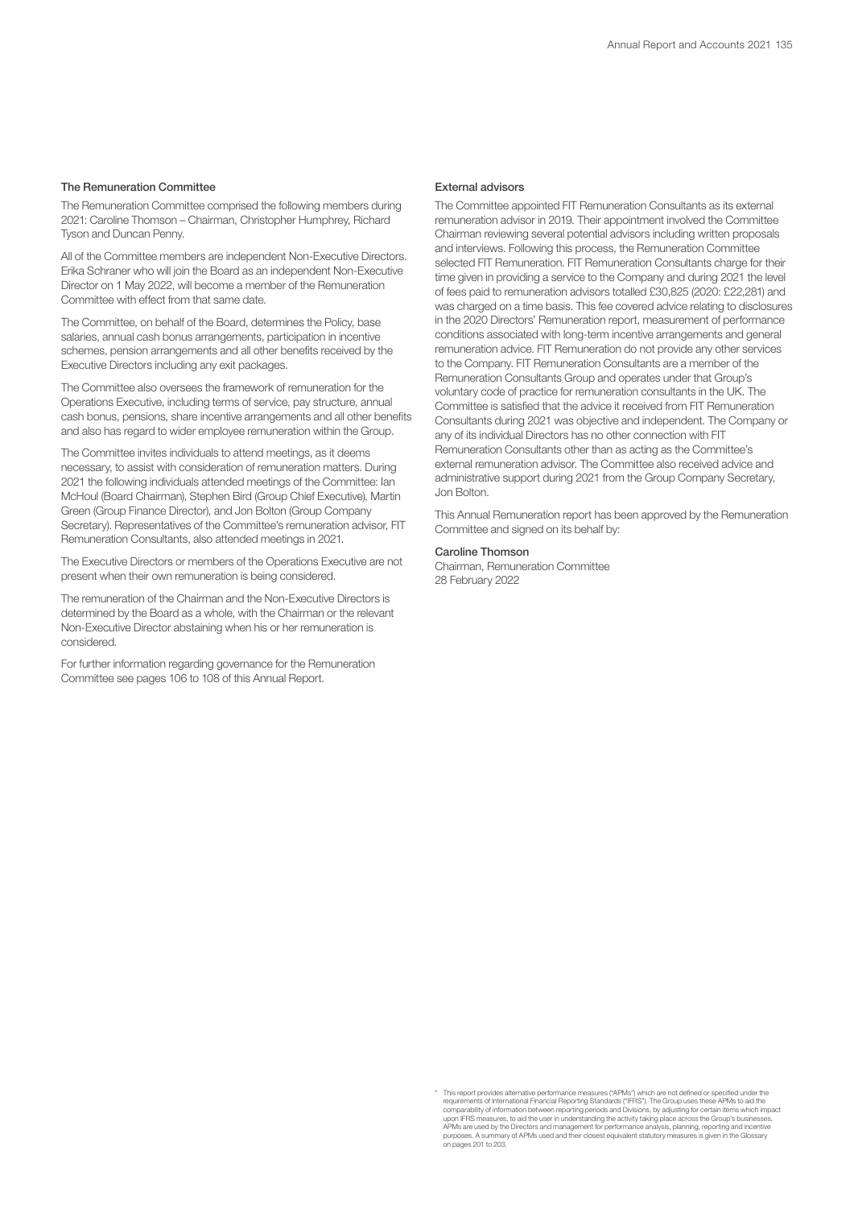### The Remuneration Committee

The Remuneration Committee comprised the following members during 2021: Caroline Thomson – Chairman, Christopher Humphrey, Richard Tyson and Duncan Penny.

All of the Committee members are independent Non-Executive Directors. Erika Schraner who will join the Board as an independent Non-Executive Director on 1 May 2022, will become a member of the Remuneration Committee with effect from that same date.

The Committee, on behalf of the Board, determines the Policy, base salaries, annual cash bonus arrangements, participation in incentive schemes, pension arrangements and all other benefits received by the Executive Directors including any exit packages.

The Committee also oversees the framework of remuneration for the Operations Executive, including terms of service, pay structure, annual cash bonus, pensions, share incentive arrangements and all other benefits and also has regard to wider employee remuneration within the Group.

The Committee invites individuals to attend meetings, as it deems necessary, to assist with consideration of remuneration matters. During 2021 the following individuals attended meetings of the Committee: Ian McHoul (Board Chairman), Stephen Bird (Group Chief Executive), Martin Green (Group Finance Director), and Jon Bolton (Group Company Secretary). Representatives of the Committee's remuneration advisor, FIT Remuneration Consultants, also attended meetings in 2021.

The Executive Directors or members of the Operations Executive are not present when their own remuneration is being considered.

The remuneration of the Chairman and the Non-Executive Directors is determined by the Board as a whole, with the Chairman or the relevant Non-Executive Director abstaining when his or her remuneration is considered.

For further information regarding governance for the Remuneration Committee see pages 106 to 108 of this Annual Report.

### External advisors

The Committee appointed FIT Remuneration Consultants as its external remuneration advisor in 2019. Their appointment involved the Committee Chairman reviewing several potential advisors including written proposals and interviews. Following this process, the Remuneration Committee selected FIT Remuneration. FIT Remuneration Consultants charge for their time given in providing a service to the Company and during 2021 the level of fees paid to remuneration advisors totalled £30,825 (2020: £22,281) and was charged on a time basis. This fee covered advice relating to disclosures in the 2020 Directors' Remuneration report, measurement of performance conditions associated with long-term incentive arrangements and general remuneration advice. FIT Remuneration do not provide any other services to the Company. FIT Remuneration Consultants are a member of the Remuneration Consultants Group and operates under that Group's voluntary code of practice for remuneration consultants in the UK. The Committee is satisfied that the advice it received from FIT Remuneration Consultants during 2021 was objective and independent. The Company or any of its individual Directors has no other connection with FIT Remuneration Consultants other than as acting as the Committee's external remuneration advisor. The Committee also received advice and administrative support during 2021 from the Group Company Secretary, Jon Bolton.

This Annual Remuneration report has been approved by the Remuneration Committee and signed on its behalf by:

## Caroline Thomson

Chairman, Remuneration Committee 28 February 2022

<sup>\*</sup> This report provides alternative performance measures ("APMs") which are not defined or specified under the requirements of International Financial Reporting Standards ("IFRS"). The Group uses these APMs to aid the comparability of information between reporting periods and Divisions, by adjusting periods proferability of incompa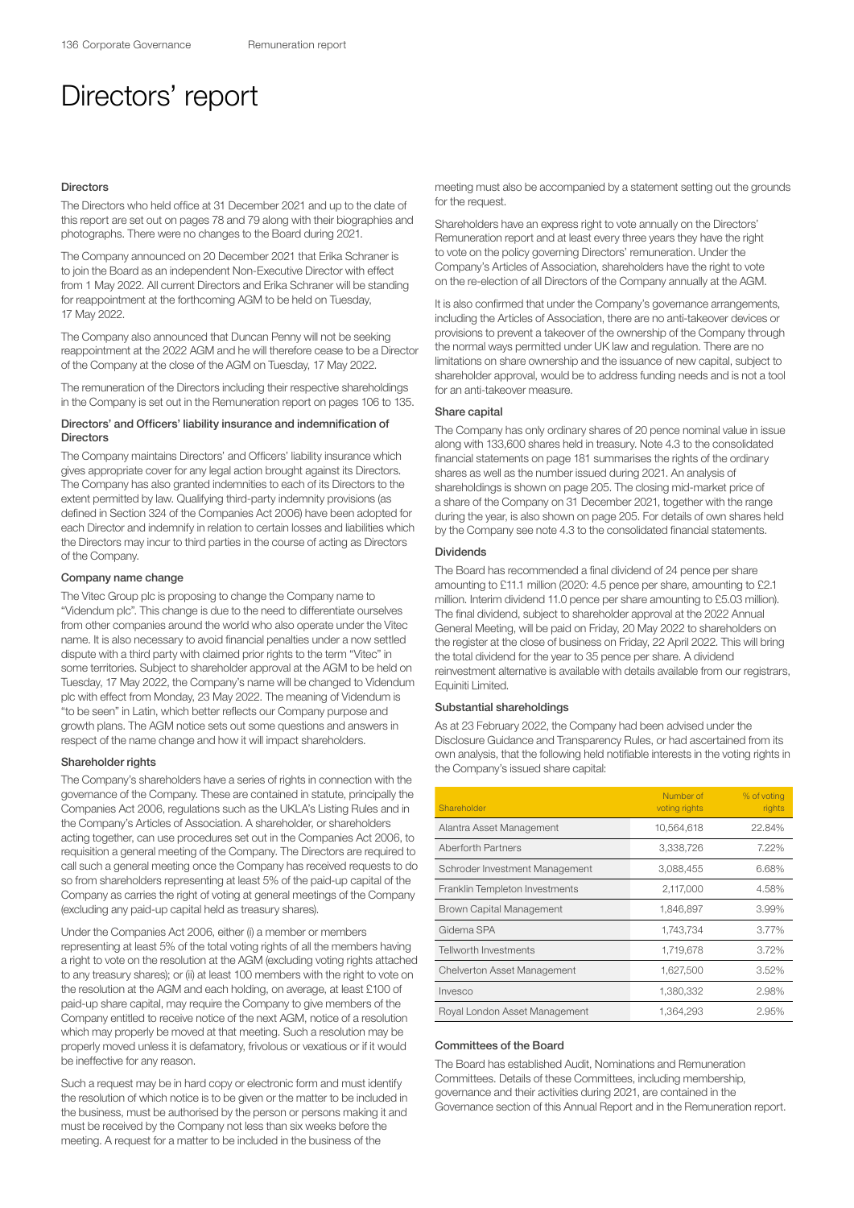## Directors' report

#### Directors

The Directors who held office at 31 December 2021 and up to the date of this report are set out on pages 78 and 79 along with their biographies and photographs. There were no changes to the Board during 2021.

The Company announced on 20 December 2021 that Erika Schraner is to join the Board as an independent Non-Executive Director with effect from 1 May 2022. All current Directors and Erika Schraner will be standing for reappointment at the forthcoming AGM to be held on Tuesday, 17 May 2022.

The Company also announced that Duncan Penny will not be seeking reappointment at the 2022 AGM and he will therefore cease to be a Director of the Company at the close of the AGM on Tuesday, 17 May 2022.

The remuneration of the Directors including their respective shareholdings in the Company is set out in the Remuneration report on pages 106 to 135.

## Directors' and Officers' liability insurance and indemnification of **Directors**

The Company maintains Directors' and Officers' liability insurance which gives appropriate cover for any legal action brought against its Directors. The Company has also granted indemnities to each of its Directors to the extent permitted by law. Qualifying third-party indemnity provisions (as defined in Section 324 of the Companies Act 2006) have been adopted for each Director and indemnify in relation to certain losses and liabilities which the Directors may incur to third parties in the course of acting as Directors of the Company.

#### Company name change

The Vitec Group plc is proposing to change the Company name to "Videndum plc". This change is due to the need to differentiate ourselves from other companies around the world who also operate under the Vitec name. It is also necessary to avoid financial penalties under a now settled dispute with a third party with claimed prior rights to the term "Vitec" in some territories. Subject to shareholder approval at the AGM to be held on Tuesday, 17 May 2022, the Company's name will be changed to Videndum plc with effect from Monday, 23 May 2022. The meaning of Videndum is "to be seen" in Latin, which better reflects our Company purpose and growth plans. The AGM notice sets out some questions and answers in respect of the name change and how it will impact shareholders.

## Shareholder rights

The Company's shareholders have a series of rights in connection with the governance of the Company. These are contained in statute, principally the Companies Act 2006, regulations such as the UKLA's Listing Rules and in the Company's Articles of Association. A shareholder, or shareholders acting together, can use procedures set out in the Companies Act 2006, to requisition a general meeting of the Company. The Directors are required to call such a general meeting once the Company has received requests to do so from shareholders representing at least 5% of the paid-up capital of the Company as carries the right of voting at general meetings of the Company (excluding any paid-up capital held as treasury shares).

Under the Companies Act 2006, either (i) a member or members representing at least 5% of the total voting rights of all the members having a right to vote on the resolution at the AGM (excluding voting rights attached to any treasury shares); or (ii) at least 100 members with the right to vote on the resolution at the AGM and each holding, on average, at least £100 of paid-up share capital, may require the Company to give members of the Company entitled to receive notice of the next AGM, notice of a resolution which may properly be moved at that meeting. Such a resolution may be properly moved unless it is defamatory, frivolous or vexatious or if it would be ineffective for any reason.

Such a request may be in hard copy or electronic form and must identify the resolution of which notice is to be given or the matter to be included in the business, must be authorised by the person or persons making it and must be received by the Company not less than six weeks before the meeting. A request for a matter to be included in the business of the

meeting must also be accompanied by a statement setting out the grounds for the request.

Shareholders have an express right to vote annually on the Directors' Remuneration report and at least every three years they have the right to vote on the policy governing Directors' remuneration. Under the Company's Articles of Association, shareholders have the right to vote on the re-election of all Directors of the Company annually at the AGM.

It is also confirmed that under the Company's governance arrangements, including the Articles of Association, there are no anti-takeover devices or provisions to prevent a takeover of the ownership of the Company through the normal ways permitted under UK law and regulation. There are no limitations on share ownership and the issuance of new capital, subject to shareholder approval, would be to address funding needs and is not a tool for an anti-takeover measure.

### Share capital

The Company has only ordinary shares of 20 pence nominal value in issue along with 133,600 shares held in treasury. Note 4.3 to the consolidated financial statements on page 181 summarises the rights of the ordinary shares as well as the number issued during 2021. An analysis of shareholdings is shown on page 205. The closing mid-market price of a share of the Company on 31 December 2021, together with the range during the year, is also shown on page 205. For details of own shares held by the Company see note 4.3 to the consolidated financial statements.

## Dividends

The Board has recommended a final dividend of 24 pence per share amounting to £11.1 million (2020: 4.5 pence per share, amounting to £2.1 million. Interim dividend 11.0 pence per share amounting to £5.03 million). The final dividend, subject to shareholder approval at the 2022 Annual General Meeting, will be paid on Friday, 20 May 2022 to shareholders on the register at the close of business on Friday, 22 April 2022. This will bring the total dividend for the year to 35 pence per share. A dividend reinvestment alternative is available with details available from our registrars, Equiniti Limited.

#### Substantial shareholdings

As at 23 February 2022, the Company had been advised under the Disclosure Guidance and Transparency Rules, or had ascertained from its own analysis, that the following held notifiable interests in the voting rights in the Company's issued share capital:

| Shareholder                        | Number of<br>voting rights | % of voting<br>rights |
|------------------------------------|----------------------------|-----------------------|
| Alantra Asset Management           | 10,564,618                 | 22.84%                |
| Aberforth Partners                 | 3,338,726                  | 7.22%                 |
| Schroder Investment Management     | 3,088,455                  | 6.68%                 |
| Franklin Templeton Investments     | 2,117,000                  | 4.58%                 |
| Brown Capital Management           | 1,846,897                  | 3.99%                 |
| Gidema SPA                         | 1,743,734                  | 3.77%                 |
| <b>Tellworth Investments</b>       | 1,719,678                  | 3.72%                 |
| <b>Chelverton Asset Management</b> | 1,627,500                  | 3.52%                 |
| Invesco                            | 1,380,332                  | 2.98%                 |
| Royal London Asset Management      | 1,364,293                  | 2.95%                 |

#### Committees of the Board

The Board has established Audit, Nominations and Remuneration Committees. Details of these Committees, including membership, governance and their activities during 2021, are contained in the Governance section of this Annual Report and in the Remuneration report.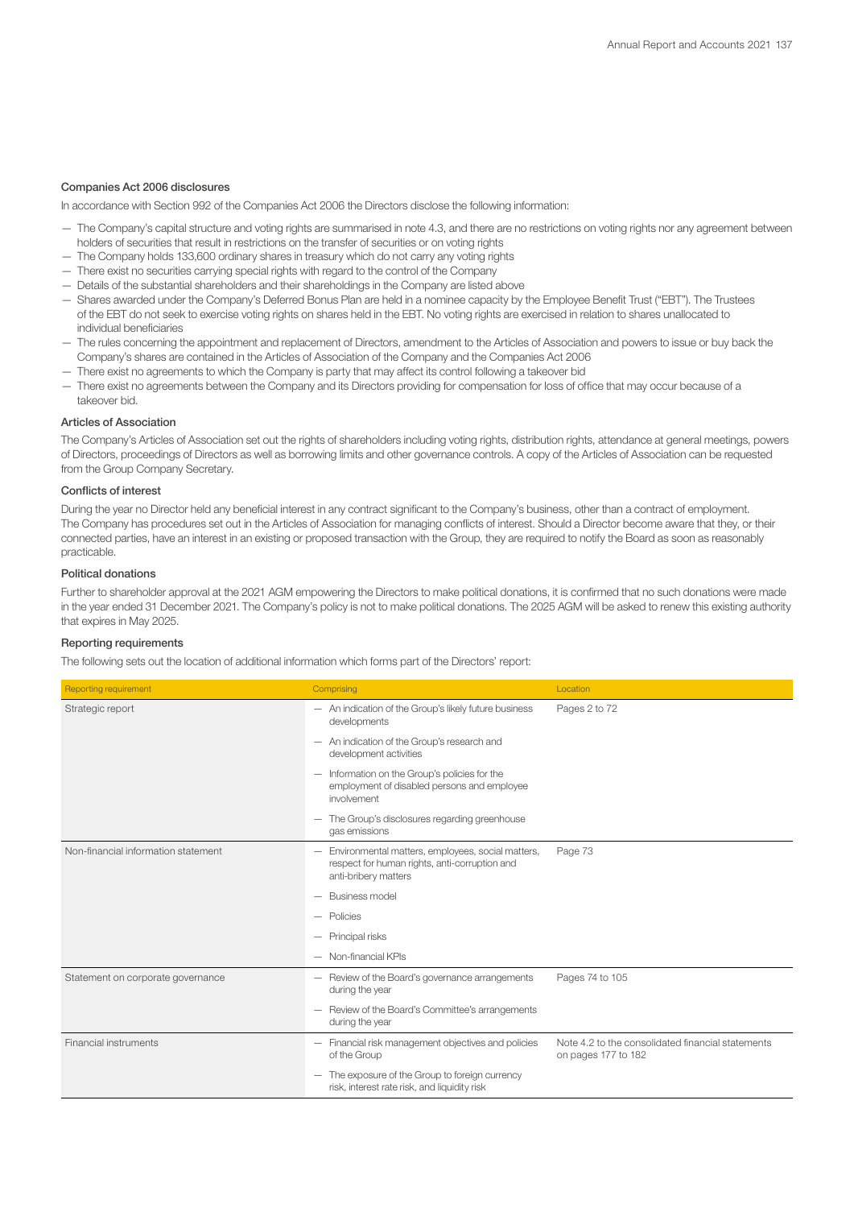## Companies Act 2006 disclosures

In accordance with Section 992 of the Companies Act 2006 the Directors disclose the following information:

- The Company's capital structure and voting rights are summarised in note 4.3, and there are no restrictions on voting rights nor any agreement between holders of securities that result in restrictions on the transfer of securities or on voting rights
- The Company holds 133,600 ordinary shares in treasury which do not carry any voting rights
- There exist no securities carrying special rights with regard to the control of the Company
- Details of the substantial shareholders and their shareholdings in the Company are listed above
- Shares awarded under the Company's Deferred Bonus Plan are held in a nominee capacity by the Employee Benefit Trust ("EBT"). The Trustees of the EBT do not seek to exercise voting rights on shares held in the EBT. No voting rights are exercised in relation to shares unallocated to individual beneficiaries
- The rules concerning the appointment and replacement of Directors, amendment to the Articles of Association and powers to issue or buy back the Company's shares are contained in the Articles of Association of the Company and the Companies Act 2006
- There exist no agreements to which the Company is party that may affect its control following a takeover bid
- There exist no agreements between the Company and its Directors providing for compensation for loss of office that may occur because of a takeover bid.

## Articles of Association

The Company's Articles of Association set out the rights of shareholders including voting rights, distribution rights, attendance at general meetings, powers of Directors, proceedings of Directors as well as borrowing limits and other governance controls. A copy of the Articles of Association can be requested from the Group Company Secretary.

## Conflicts of interest

During the year no Director held any beneficial interest in any contract significant to the Company's business, other than a contract of employment. The Company has procedures set out in the Articles of Association for managing conflicts of interest. Should a Director become aware that they, or their connected parties, have an interest in an existing or proposed transaction with the Group, they are required to notify the Board as soon as reasonably practicable.

## Political donations

Further to shareholder approval at the 2021 AGM empowering the Directors to make political donations, it is confirmed that no such donations were made in the year ended 31 December 2021. The Company's policy is not to make political donations. The 2025 AGM will be asked to renew this existing authority that expires in May 2025.

## Reporting requirements

The following sets out the location of additional information which forms part of the Directors' report:

| <b>Reporting requirement</b>        | Comprising                                                                                                                 | Location                                                                 |
|-------------------------------------|----------------------------------------------------------------------------------------------------------------------------|--------------------------------------------------------------------------|
| Strategic report                    | - An indication of the Group's likely future business<br>developments                                                      | Pages 2 to 72                                                            |
|                                     | An indication of the Group's research and<br>development activities                                                        |                                                                          |
|                                     | Information on the Group's policies for the<br>employment of disabled persons and employee<br>involvement                  |                                                                          |
|                                     | The Group's disclosures regarding greenhouse<br>gas emissions                                                              |                                                                          |
| Non-financial information statement | Environmental matters, employees, social matters,<br>respect for human rights, anti-corruption and<br>anti-bribery matters | Page 73                                                                  |
|                                     | <b>Business model</b>                                                                                                      |                                                                          |
|                                     | Policies                                                                                                                   |                                                                          |
|                                     | Principal risks                                                                                                            |                                                                          |
|                                     | - Non-financial KPIs                                                                                                       |                                                                          |
| Statement on corporate governance   | - Review of the Board's governance arrangements<br>during the year                                                         | Pages 74 to 105                                                          |
|                                     | Review of the Board's Committee's arrangements<br>during the year                                                          |                                                                          |
| Financial instruments               | - Financial risk management objectives and policies<br>of the Group                                                        | Note 4.2 to the consolidated financial statements<br>on pages 177 to 182 |
|                                     | The exposure of the Group to foreign currency<br>risk, interest rate risk, and liquidity risk                              |                                                                          |